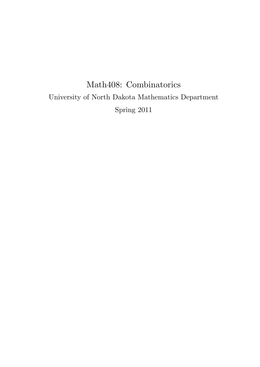# Math408: Combinatorics University of North Dakota Mathematics Department Spring 2011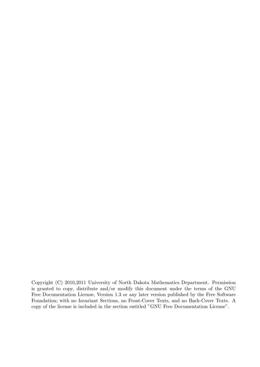Copyright (C) 2010,2011 University of North Dakota Mathematics Department. Permission is granted to copy, distribute and/or modify this document under the terms of the GNU Free Documentation License, Version 1.3 or any later version published by the Free Software Foundation; with no Invariant Sections, no Front-Cover Texts, and no Back-Cover Texts. A copy of the license is included in the section entitled "GNU Free Documentation License".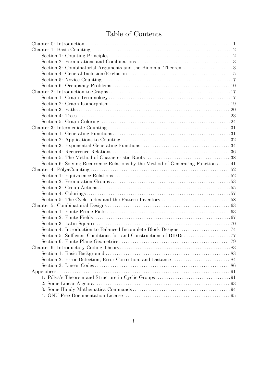## Table of Contents

| Section 6: Solving Recurrence Relations by the Method of Generating Functions  41 |  |
|-----------------------------------------------------------------------------------|--|
|                                                                                   |  |
|                                                                                   |  |
|                                                                                   |  |
|                                                                                   |  |
|                                                                                   |  |
|                                                                                   |  |
|                                                                                   |  |
|                                                                                   |  |
|                                                                                   |  |
|                                                                                   |  |
|                                                                                   |  |
|                                                                                   |  |
|                                                                                   |  |
|                                                                                   |  |
|                                                                                   |  |
|                                                                                   |  |
|                                                                                   |  |
|                                                                                   |  |
|                                                                                   |  |
|                                                                                   |  |
|                                                                                   |  |
|                                                                                   |  |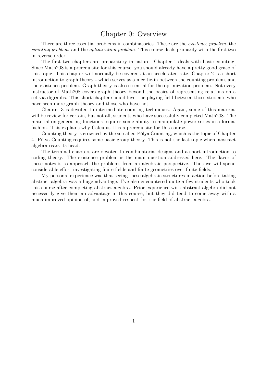## Chapter 0: Overview

There are three essential problems in combinatorics. These are the *existence problem*, the *counting problem*, and the *optimization problem*. This course deals primarily with the first two in reverse order.

The first two chapters are preparatory in nature. Chapter 1 deals with basic counting. Since Math208 is a prerequisite for this course, you should already have a pretty good grasp of this topic. This chapter will normally be covered at an accelerated rate. Chapter 2 is a short introduction to graph theory - which serves as a nice tie-in between the counting problem, and the existence problem. Graph theory is also essential for the optimization problem. Not every instructor of Math208 covers graph theory beyond the basics of representing relations on a set via digraphs. This short chapter should level the playing field between those students who have seen more graph theory and those who have not.

Chapter 3 is devoted to intermediate counting techniques. Again, some of this material will be review for certain, but not all, students who have successfully completed Math208. The material on generating functions requires some ability to manipulate power series in a formal fashion. This explains why Calculus II is a prerequisite for this course.

Counting theory is crowned by the so-called Pólya Counting, which is the topic of Chapter 4. Pólya Counting requires some basic group theory. This is not the last topic where abstract algebra rears its head.

The terminal chapters are devoted to combinatorial designs and a short introduction to coding theory. The existence problem is the main question addressed here. The flavor of these notes is to approach the problems from an algebraic perspective. Thus we will spend considerable effort investigating finite fields and finite geometries over finite fields.

My personal experience was that seeing these algebraic structures in action before taking abstract algebra was a huge advantage. I've also encountered quite a few students who took this course after completing abstract algebra. Prior experience with abstract algebra did not necessarily give them an advantage in this course, but they did tend to come away with a much improved opinion of, and improved respect for, the field of abstract algebra.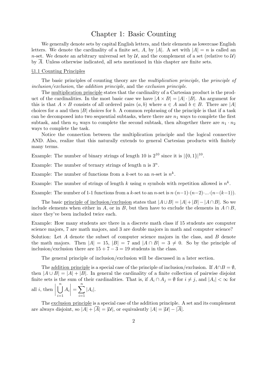## Chapter 1: Basic Counting

We generally denote sets by capital English letters, and their elements as lowercase English letters. We denote the cardinality of a finite set, *A*, by  $|A|$ . A set with  $|A| = n$  is called an *n*-set. We denote an arbitrary universal set by  $\mathcal{U}$ , and the complement of a set (relative to  $\mathcal{U}$ ) by *A*. Unless otherwise indicated, all sets mentioned in this chapter are finite sets.

#### *§*1.1 Counting Principles

The basic principles of counting theory are the *multiplication principle*, the *principle of inclusion/exclusion*, the *addition principle*, and the *exclusion principle*.

The multiplication principle states that the cardinality of a Cartesian product is the product of the cardinalities. In the most basic case we have  $|A \times B| = |A| \cdot |B|$ . An argument for this is that  $A \times B$  consists of all ordered pairs  $(a, b)$  where  $a \in A$  and  $b \in B$ . There are  $|A|$ choices for *a* and then *|B|* choices for *b*. A common rephrasing of the principle is that if a task can be decomposed into two sequential subtasks, where there are  $n_1$  ways to complete the first subtask, and then  $n_2$  ways to complete the second subtask, then altogether there are  $n_1 \cdot n_2$ ways to complete the task.

Notice the connection between the multiplication principle and the logical connective AND. Also, realize that this naturally extends to general Cartesian products with finitely many terms.

Example: The number of binary strings of length 10 is  $2^{10}$  since it is  $|\{0,1\}|^{10}$ .

Example: The number of ternary strings of length n is  $3^n$ .

Example: The number of functions from a *k*-set to an *n*-set is  $n^k$ .

Example: The number of strings of length *k* using *n* symbols with repetition allowed is  $n^k$ .

Example: The number of 1-1 functions from a *k*-set to an *n*-set is  $n \cdot (n-1) \cdot (n-2) \cdot ... \cdot (n-(k-1))$ .

The basic principle of inclusion/exclusion states that  $|A \cup B| = |A| + |B| - |A \cap B|$ . So we include elements when either in *A*, or in *B*, but then have to exclude the elements in  $A \cap B$ . since they've been included twice each.

Example: How many students are there in a discrete math class if 15 students are computer science majors, 7 are math majors, and 3 are double majors in math and computer science?

Solution: Let *A* denote the subset of computer science majors in the class, and *B* denote the math majors. Then  $|A| = 15$ ,  $|B| = 7$  and  $|A \cap B| = 3 \neq 0$ . So by the principle of inclusion/exclusion there are  $15 + 7 - 3 = 19$  students in the class.

The general principle of inclusion/exclusion will be discussed in a later section.

The addition principle is a special case of the principle of inclusion/exclusion. If  $A \cap B = \emptyset$ , then  $|A \cup B| = |A| + |B|$ . In general the cardinality of a finite collection of pairwise disjoint finite sets is the sum of their cardinalities. That is, if  $A_i \cap A_j = \emptyset$  for  $i \neq j$ , and  $|A_i| < \infty$  for all *i*, then ∪*n i*=1 *Ai*  $=\sum_{n=1}^{\infty}$ *i*=1  $|A_i|$ .

The exclusion principle is a special case of the addition principle. A set and its complement are always disjoint, so  $|A| + |\overline{A}| = |\mathcal{U}|$ , or equivalently  $|A| = |\mathcal{U}| - |\overline{A}|$ .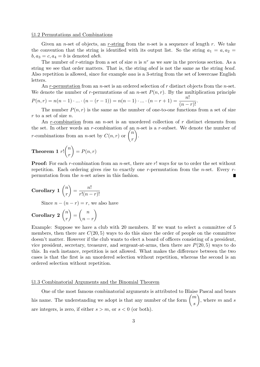#### *§*1.2 Permutations and Combinations

Given an *n*-set of objects, an *r*-string from the *n*-set is a sequence of length *r*. We take the convention that the string is identified with its output list. So the string  $a_1 = a, a_2 = a_1$  $b, a_3 = c, a_4 = b$  is denoted *abcb*.

The number of *r*-strings from a set of size  $n$  is  $n^r$  as we saw in the previous section. As a string we see that order matters. That is, the string *abcd* is not the same as the string *bcad*. Also repetition is allowed, since for example *aaa* is a 3-string from the set of lowercase English letters.

An *r*-permutation from an *n*-set is an ordered selection of *r* distinct objects from the *n*-set. We denote the number of *r*-permutations of an *n*-set  $P(n, r)$ . By the multiplication principle  $P(n,r) = n(n-1)\cdot ... \cdot (n-(r-1)) = n(n-1)\cdot ... \cdot (n-r+1) = \frac{n!}{(n-r)!}.$ 

The number  $P(n, r)$  is the same as the number of one-to-one functions from a set of size

*r* to a set of size *n*. An *r*-combination from an *n*-set is an unordered collection of *r* distinct elements from the set. In other words an *r*-combination of an *n*-set is a *r*-subset. We denote the number of *r*-combinations from an *n*-set by  $C(n,r)$  or  $\binom{n}{r}$ *r* ) .

Theorem 1 
$$
r!
$$
 $\binom{n}{r} = P(n,r)$ 

**Proof:** For each *r*-combination from an *n*-set, there are *r*! ways for us to order the set without repetition. Each ordering gives rise to exactly one *r*-permutation from the *n*-set. Every *r*permutation from the *n*-set arises in this fashion.

**Corollary 1** 
$$
\binom{n}{r} = \frac{n!}{r!(n-r)!}
$$
  
Since  $n - (n-r) = r$ , we also have

Corollary 2 
$$
\binom{n}{r} = \binom{n}{n-r}
$$

Example: Suppose we have a club with 20 members. If we want to select a committee of 5 members, then there are  $C(20, 5)$  ways to do this since the order of people on the committee doesn't matter. However if the club wants to elect a board of officers consisting of a president, vice president, secretary, treasurer, and sergeant-at-arms, then there are  $P(20, 5)$  ways to do this. In each instance, repetition is not allowed. What makes the difference between the two cases is that the first is an unordered selection without repetition, whereas the second is an ordered selection without repetition.

#### *§*1.3 Combinatorial Arguments and the Binomial Theorem

One of the most famous combinatorial arguments is attributed to Blaise Pascal and bears his name. The understanding we adopt is that any number of the form  $\binom{m}{m}$ *s* ) , where *m* and *s* are integers, is zero, if either  $s > m$ , or  $s < 0$  (or both).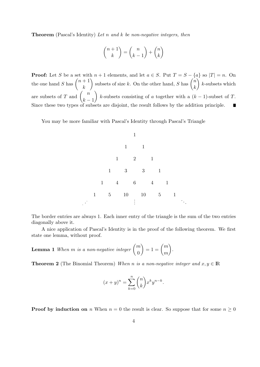**Theorem** (Pascal's Identity) *Let n and k be non-negative integers, then*

$$
\binom{n+1}{k} = \binom{n}{k-1} + \binom{n}{k}
$$

**Proof:** Let *S* be a set with  $n + 1$  elements, and let  $a \in S$ . Put  $T = S - \{a\}$  so  $|T| = n$ . On the one hand *S* has  $\binom{n+1}{k}$ subsets of size *k*. On the other hand, *S* has  $\binom{n}{k}$  $\lambda$ *k*-subsets which *k k* are subsets of *T* and  $\left(\frac{n}{n}\right)$  $\setminus$ *k*-subsets consisting of *a* together with a (*k −* 1)-subset of *T*. *k −* 1 Since these two types of subsets are disjoint, the result follows by the addition principle.  $\blacksquare$ 

You may be more familiar with Pascal's Identity through Pascal's Triangle



The border entries are always 1. Each inner entry of the triangle is the sum of the two entries diagonally above it.

A nice application of Pascal's Identity is in the proof of the following theorem. We first state one lemma, without proof.

**Lemma 1** When *m* is a non-negative integer  $\binom{m}{0}$  $\boldsymbol{0}$  $\binom{m}{1} = 1 = \binom{m}{1}$ *m*  $\lambda$ *.*

**Theorem 2** (The Binomial Theorem) *When n* is a non-negative integer and  $x, y \in \mathbb{R}$ 

$$
(x+y)^n = \sum_{k=0}^n \binom{n}{k} x^k y^{n-k}.
$$

**Proof by induction on** *n* When  $n = 0$  the result is clear. So suppose that for some  $n \geq 0$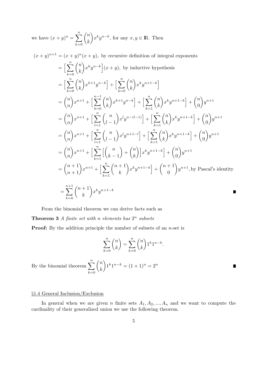we have  $(x+y)^n = \sum_{n=0}^{\infty}$ *k*=0 ( *n k*  $\setminus$  $x^k y^{n-k}$ , for any  $x, y \in \mathbb{R}$ . Then

$$
(x + y)^{n+1} = (x + y)^n (x + y), \text{ by recursive definition of integral exponents}
$$
\n
$$
= \left[ \sum_{k=0}^n {n \choose k} x^k y^{n-k} \right] (x + y), \text{ by inductive hypothesis}
$$
\n
$$
= \left[ \sum_{k=0}^n {n \choose k} x^{k+1} y^{n-k} \right] + \left[ \sum_{k=0}^n {n \choose k} x^k y^{n+1-k} \right]
$$
\n
$$
= {n \choose n} x^{n+1} + \left[ \sum_{k=0}^n {n \choose k} x^{k+1} y^{n-k} \right] + \left[ \sum_{k=1}^n {n \choose k} x^k y^{n+1-k} \right] + {n \choose 0} y^{n+1}
$$
\n
$$
= {n \choose n} x^{n+1} + \left[ \sum_{l=1}^n {n \choose l-1} x^l y^{n-(l-1)} \right] + \left[ \sum_{k=1}^n {n \choose k} x^k y^{n+1-k} \right] + {n \choose 0} y^{n+1}
$$
\n
$$
= {n \choose n} x^{n+1} + \left[ \sum_{k=1}^n {n \choose k-1} x^l y^{n+1-k} \right] + \left[ \sum_{k=1}^n {n \choose k} x^k y^{n+1-k} \right] + {n \choose 0} y^{n+1}
$$
\n
$$
= {n \choose n} x^{n+1} + \left[ \sum_{k=1}^n \left[ {n \choose k-1} + {n \choose k} \right] x^k y^{n+1-k} \right] + {n \choose 0} y^{n+1}
$$
\n
$$
= {n+1 \choose n+1} x^{n+1} + \left[ \sum_{k=1}^n {n+1 \choose k} x^k y^{n+1-k} \right] + {n+1 \choose 0} y^{n+1}, \text{ by Pascal's identity}
$$
\n
$$
= \sum_{k=0}^{n+1} {n+1 \choose k} x^k y^{n+1-k}
$$

From the binomial theorem we can derive facts such as

**Theorem 3** *A* finite set with *n* elements has  $2^n$  subsets

**Proof:** By the addition principle the number of subsets of an *n*-set is

$$
\sum_{k=0}^{n} \binom{n}{k} = \sum_{k=0}^{n} \binom{n}{k} 1^k 1^{n-k}.
$$

П

By the binomial theorem  $\sum_{n=1}^n$ *k*=0 ( *n k*  $\lambda$  $1^{k}1^{n-k} = (1+1)^{n} = 2^{n}$ 

#### *§*1.4 General Inclusion/Exclusion

In general when we are given *n* finite sets  $A_1, A_2, ..., A_n$  and we want to compute the cardinality of their generalized union we use the following theorem.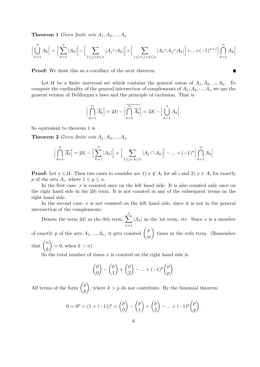**Theorem 1** *Given finite sets*  $A_1, A_2, ..., A_n$ 

$$
\Big|\bigcup_{k=1}^n A_k\Big| = \Big[\sum_{k=1}^n |A_k|\Big] - \Big[\sum_{1\leq j < k \leq n} |A_j\cap A_k|\Big] + \Big[\sum_{1\leq i < j < k \leq n} |A_i\cap A_j\cap A_k|\Big] + \ldots + (-1)^{n+1} \Big|\bigcap_{k=1}^n A_k\Big|
$$

**Proof:** We draw this as a corollary of the next theorem.

Let *U* be a finite universal set which contains the general union of  $A_1, A_2, ..., A_n$ . To compute the cardinality of the general intersection of complements of  $A_1, A_2, ..., A_n$  we use the general version of DeMorgan's laws and the principle of exclusion. That is

$$
\left|\bigcap_{k=1}^{n} \overline{A_k}\right| = |\mathcal{U}| - \left|\overline{\bigcap_{k=1}^{n} \overline{A_k}}\right| = |\mathcal{U}| - \left|\bigcup_{k=1}^{n} A_k\right|.
$$

So equivalent to theorem 1 is

**Theorem 2** *Given finite sets*  $A_1, A_2, ..., A_n$ 

$$
\Big|\bigcap_{k=1}^{n} \overline{A_k}\Big| = |\mathcal{U}| - \Big[\sum_{k=1}^{n} |A_k|\Big] + \Big[\sum_{1 \le j < k \le n} |A_j \cap A_k|\Big] - \dots + (-1)^n \Big|\bigcap_{k=1}^{n} A_k\Big|
$$

**Proof:** Let  $x \in \mathcal{U}$ . Then two cases to consider are 1)  $x \notin A_i$  for all *i* and 2)  $x \in A_i$  for exactly  $p$  of the sets  $A_i$ , where  $1 \leq p \leq n$ .

In the first case, x is counted once on the left hand side. It is also counted only once on the right hand side in the  $|U|$  term. It is not counted in any of the subsequent terms on the right hand side.

In the second case, x is not counted on the left hand side, since it is not in the general intersection of the complements.

Denote the term  $|\mathcal{U}|$  as the 0th term,  $\sum_{n=1}^{\infty}$ *k*=1  $|A_k|$  as the 1st term, etc. Since *x* is a member of exactly *p* of the sets  $A_1, ..., A_n$ , it gets counted  $\begin{pmatrix} p \\ p \end{pmatrix}$ *m*  $\setminus$ times in the *m*th term. (Remember that  $\binom{n}{n}$ *k*  $\lambda$  $= 0$ , when  $k > n$ )

So the total number of times *x* is counted on the right hand side is

$$
\binom{p}{0} - \binom{p}{1} + \binom{p}{2} - \dots + (-1)^p \binom{p}{p}.
$$

All terms of the form  $\binom{p}{p}$ *k*  $\setminus$ , where  $k > p$  do not contribute. By the binomial theorem

$$
0 = 0p = (1 + (-1))p = {p \choose 0} - {p \choose 1} + {p \choose 2} - \dots + (-1)^p {p \choose p}.
$$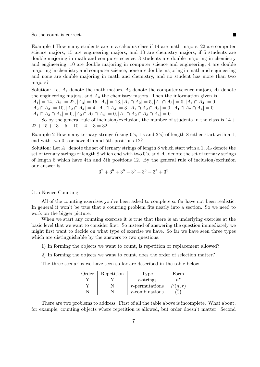So the count is correct.

Example 1 How many students are in a calculus class if 14 are math majors, 22 are computer science majors, 15 are engineering majors, and 13 are chemistry majors, if 5 students are double majoring in math and computer science, 3 students are double majoring in chemistry and engineering, 10 are double majoring in computer science and engineering, 4 are double majoring in chemistry and computer science, none are double majoring in math and engineering and none are double majoring in math and chemistry, and no student has more than two majors?

■

Solution: Let  $A_1$  denote the math majors,  $A_2$  denote the computer science majors,  $A_3$  denote the engineering majors, and  $A_4$  the chemistry majors. Then the information given is  $|A_1| = 14, |A_2| = 22, |A_3| = 15, |A_4| = 13, |A_1 \cap A_2| = 5, |A_1 \cap A_3| = 0, |A_1 \cap A_4| = 0,$  $|A_2 \cap A_3| = 10, |A_2 \cap A_4| = 4, |A_3 \cap A_4| = 3, |A_1 \cap A_2 \cap A_3| = 0, |A_1 \cap A_2 \cap A_4| = 0$  $|A_1 \cap A_3 \cap A_4| = 0, |A_2 \cap A_3 \cap A_4| = 0, |A_1 \cap A_2 \cap A_3 \cap A_4| = 0.$ 

So by the general rule of inclusion/exclusion, the number of students in the class is  $14 +$  $22 + 15 + 13 - 5 - 10 - 4 - 3 = 32.$ 

Example 2 How many ternary strings (using 0's, 1's and 2's) of length 8 either start with a 1, end with two 0's or have 4th and 5th positions 12?

Solution: Let *A*<sup>1</sup> denote the set of ternary strings of length 8 which start with a 1, *A*<sup>2</sup> denote the set of ternary strings of length 8 which end with two 0's, and *A*<sup>3</sup> denote the set of ternary strings of length 8 which have 4th and 5th positions 12. By the general rule of inclusion/exclusion our answer is

$$
3^7 + 3^6 + 3^6 - 3^5 - 3^5 - 3^4 + 3^3
$$

#### *§*1.5 Novice Counting

All of the counting exercises you've been asked to complete so far have not been realistic. In general it won't be true that a counting problem fits neatly into a section. So we need to work on the bigger picture.

When we start any counting exercise it is true that there is an underlying exercise at the basic level that we want to consider first. So instead of answering the question immediately we might first want to decide on what type of exercise we have. So far we have seen three types which are distinguishable by the answers to two questions.

1) In forming the objects we want to count, is repetition or replacement allowed?

2) In forming the objects we want to count, does the order of selection matter?

The three scenarios we have seen so far are described in the table below.

| Order | Repetition | ⊥'vpe             | Form      |
|-------|------------|-------------------|-----------|
|       |            | $r$ -strings      |           |
|       |            | $r$ -permutations | P(n,r)    |
|       |            | $r$ -combinations | $\hat{n}$ |

There are two problems to address. First of all the table above is incomplete. What about, for example, counting objects where repetition is allowed, but order doesn't matter. Second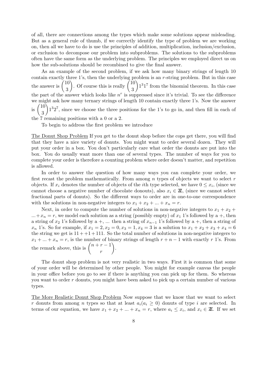of all, there are connections among the types which make some solutions appear misleading. But as a general rule of thumb, if we correctly identify the type of problem we are working on, then all we have to do is use the principles of addition, multiplication, inclusion/exclusion, or exclusion to decompose our problem into subproblems. The solutions to the subproblems often have the same form as the underlying problem. The principles we employed direct us on how the sub-solutions should be recombined to give the final answer.

As an example of the second problem, if we ask how many binary strings of length 10 contain exactly three 1's, then the underlying problem is an *r*-string problem. But in this case the answer is  $\left(\begin{matrix}10\\2\end{matrix}\right)$ 3 ). Of course this is really  $\begin{pmatrix} 10 \\ 2 \end{pmatrix}$ 3  $\Delta$ 1 3 1 7 from the binomial theorem. In this case the part of the answer which looks like  $n<sup>r</sup>$  is suppressed since it's trivial. To see the difference we might ask how many ternary strings of length 10 contain exactly three 1's. Now the answer is  $\binom{10}{3}$ 3 Í 1<sup>3</sup>2<sup>7</sup>, since we choose the three positions for the 1's to go in, and then fill in each of the 7 remaining positions with a 0 or a 2.

To begin to address the first problem we introduce

The Donut Shop Problem If you get to the donut shop before the cops get there, you will find that they have a nice variety of donuts. You might want to order several dozen. They will put your order in a box. You don't particularly care what order the donuts are put into the box. You do usually want more than one of several types. The number of ways for you to complete your order is therefore a counting problem where order doesn't matter, and repetition is allowed.

In order to answer the question of how many ways you can complete your order, we first recast the problem mathematically. From among *n* types of objects we want to select *r* objects. If  $x_i$  denotes the number of objects of the *i*th type selected, we have  $0 \leq x_i$ , (since we cannot choose a negative number of chocolate donouts), also  $x_i \in \mathbb{Z}$ , (since we cannot select fractional parts of donuts). So the different ways to order are in one-to-one correspondence with the solutions in non-negative integers to  $x_1 + x_2 + ... + x_n = r$ .

Next, in order to compute the number of solutions in non-negative integers to  $x_1 + x_2 +$  $...+x_n = r$ , we model each solution as a string (possibly empty) of  $x_1$  1's followed by a +, then a string of  $x_2$  1's followed by a +, ... then a string of  $x_{n-1}$  1's followed by a +, then a string of *x<sub>n</sub>* 1's. So for example, if  $x_1 = 2, x_2 = 0, x_3 = 1, x_4 = 3$  is a solution to  $x_1 + x_2 + x_3 + x_4 = 6$ the string we get is  $11 + 1 + 111$ . So the total number of solutions in non-negative integers to  $x_1 + \ldots + x_n = r$ , is the number of binary strings of length  $r + n - 1$  with exactly  $r$  1's. From the remark above, this is  $\binom{n+r-1}{r}$ *r*  $\setminus$ .

The donut shop problem is not very realistic in two ways. First it is common that some of your order will be determined by other people. You might for example canvas the people in your office before you go to see if there is anything you can pick up for them. So whereas you want to order *r* donuts, you might have been asked to pick up a certain number of various types.

The More Realistic Donut Shop Problem Now suppose that we know that we want to select *r* donuts from among *n* types so that at least  $a_i(a_i \geq 0)$  donuts of type *i* are selected. In terms of our equation, we have  $x_1 + x_2 + \ldots + x_n = r$ , where  $a_i \leq x_i$ , and  $x_i \in \mathbb{Z}$ . If we set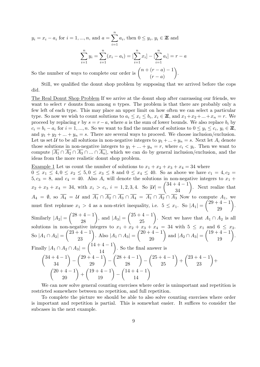$y_i = x_i - a_i$  for  $i = 1, ..., n$ , and  $a = \sum_{i=1}^{n} a_i$ , then  $0 \leq y_i, y_i \in \mathbb{Z}$  and *i*=1  $\sum_{i=1}^{n} y_i = \sum_{i=1}^{n} (x_i - a_i) = [\sum_{i=1}^{n} x_i] - [\sum_{i=1}^{n} a_i] = r - a$ *i*=1 *i*=1 *i*=1 *i*=1

So the number of ways to complete our order is  $\binom{n+(r-a)-1}{r}$  $(r - a)$  $\setminus$ .

Still, we qualified the donut shop problem by supposing that we arrived before the cops did.

The Real Donut Shop Problem If we arrive at the donut shop after canvassing our friends, we want to select r donuts from among *n* types. The problem is that there are probably only a few left of each type. This may place an upper limit on how often we can select a particular type. So now we wish to count solutions to  $a_i \leq x_i \leq b_i$ ,  $x_i \in \mathbb{Z}$ , and  $x_1 + x_2 + ... + x_n = r$ . We proceed by replacing *r* by  $s = r - a$ , where *a* is the sum of lower bounds. We also replace  $b_i$  by  $c_i = b_i - a_i$  for  $i = 1, ..., n$ . So we want to find the number of solutions to  $0 \le y_i \le c_i, y_i \in \mathbb{Z}$ , and  $y_1 + y_2 + \ldots + y_n = s$ . There are several ways to proceed. We choose inclusion/exclusion. Let us set *U* to be all solutions in non-negative integers to  $y_1 + ... + y_n = s$ . Next let  $A_i$  denote those solutions in non-negative integers to  $y_1 + ... + y_n = r$ , where  $c_i \leq y_i$ . Then we want to compute  $|\overline{A_1} \cap \overline{A_2} \cap \overline{A_3} \cap ... \cap \overline{A_n}|$ , which we can do by general inclusion/exclusion, and the ideas from the more realistic donut shop problem.

Example 1 Let us count the number of solutions to  $x_1 + x_2 + x_3 + x_4 = 34$  where  $0 \le x_1 \le 4, 0 \le x_2 \le 5, 0 \le x_3 \le 8$  and  $0 \le x_4 \le 40$ . So as above we have  $c_1 = 4, c_2 = 0$  $5, c_3 = 8$ , and  $c_4 = 40$ . Also  $A_i$  will denote the solutions in non-negative integers to  $x_1 +$  $x_2 + x_3 + x_4 = 34$ , with  $x_i > c_i$ ,  $i = 1, 2, 3, 4$ . So  $|\mathcal{U}| =$  $\begin{pmatrix} 34+4-1 \\ 34 \end{pmatrix}$ . Next realize that *A*<sub>4</sub> =  $\emptyset$ , so *A*<sub>4</sub> = *U* and *A*<sub>1</sub> ∩ *A*<sub>2</sub> ∩ *A*<sub>3</sub> ∩ *A*<sub>4</sub> = *A*<sub>1</sub> ∩ *A*<sub>2</sub> ∩ *A*<sub>3</sub> Now to compute *A*<sub>1</sub>, we must first rephrase  $x_1 > 4$  as a non-strict inequality, i.e.  $5 \leq x_1$ . So  $|A_1|$  =  $\binom{29+4-1}{29}$ . Similarly  $|A_2|$  =  $\binom{28+4-1}{28}$ , and  $|A_3|$  =  $\binom{25+4-1}{25}$ . Next we have that *A*<sub>1</sub> ∩ *A*<sub>2</sub> is all solutions in non-negative integers to  $x_1 + x_2 + x_3 + x_4 = 34$  with  $5 \leq x_1$  and  $6 \leq x_2$ .  $|A_1 \cap A_2|$  =  $\binom{23+4-1}{23}$ . Also  $|A_1 \cap A_3|$  =  $\binom{20+4-1}{20}$  and  $|A_2 \cap A_3|$  =  $\left(\frac{19+4-1}{19}\right)$ .  $\text{Finally } |A_1 \cap A_2 \cap A_3| =$  $\binom{14+4-1}{14}$ . So the final answer is  $\binom{34+4-1}{34}$  –  $\binom{29+4-1}{29}$  –  $\binom{28+4-1}{28}$  –  $\binom{25+4-1}{25}$  +  $\binom{23+4-1}{23} +$  $\binom{20+4-1}{20}$  +  $\binom{19+4-1}{19}$  –  $\begin{pmatrix} 14+4-1 \\ 14 \end{pmatrix}$ 

We can now solve general counting exercises where order is unimportant and repetition is restricted somewhere between no repetition, and full repetition.

To complete the picture we should be able to also solve counting exercises where order is important and repetition is partial. This is somewhat easier. It suffices to consider the subcases in the next example.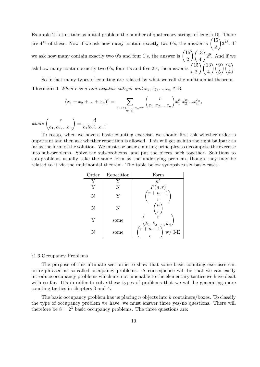Example 2 Let us take as initial problem the number of quaternary strings of length 15. There are  $4^{15}$  of these. Now if we ask how many contain exactly two 0's, the answer is  $\begin{pmatrix} 15 \\ 2 \end{pmatrix}$ 2  $\Delta$  $3^{13}$ . If we ask how many contain exactly two 0's and four 1's, the answer is  $\begin{pmatrix} 15 \\ 0 \end{pmatrix}$ 2  $\setminus$  (13) 4  $\Delta$ 2 9 . And if we ask how many contain exactly two 0's, four 1's and five 2's, the answer is  $\begin{pmatrix} 15 \\ 2 \end{pmatrix}$ 2  $\sqrt{13}$ 4  $\setminus$  (9) 5  $\setminus$  (4) 4 ) .

So in fact many types of counting are related by what we call the multinomial theorem. **Theorem 1** *When*  $r$  *is a non-negative integer and*  $x_1, x_2, ..., x_n \in \mathbb{R}$ 

$$
(x_1 + x_2 + \dots + x_n)^r = \sum_{\substack{e_1 + e_2 + \dots + e_n = r \\ 0 \le e_i}} {r \choose e_1, e_2, \dots e_n} x_1^{e_1} x_2^{e_2} \dots x_n^{e_n},
$$

*where*  $\begin{pmatrix} r \end{pmatrix}$ *e*1*, e*2*, ...e<sup>n</sup>*  $\setminus$  $=\frac{r!}{1-r!}$  $\frac{1}{e_1!e_2!...e_n!}$ 

To recap, when we have a basic counting exercise, we should first ask whether order is important and then ask whether repetition is allowed. This will get us into the right ballpark as far as the form of the solution. We must use basic counting principles to decompose the exercise into sub-problems. Solve the sub-problems, and put the pieces back together. Solutions to sub-problems usually take the same form as the underlying problem, though they may be related to it via the multinomial theorem. The table below synopsizes six basic cases.

| Order | Repetition | Form                                                                                                                                                                                |
|-------|------------|-------------------------------------------------------------------------------------------------------------------------------------------------------------------------------------|
| Y     |            | $n^r$                                                                                                                                                                               |
|       |            |                                                                                                                                                                                     |
| N     |            | $\begin{pmatrix} P(n,r) \\ r+n-1 \\ r \end{pmatrix}$                                                                                                                                |
| N     | N          | $\, n$                                                                                                                                                                              |
| Y     | some       |                                                                                                                                                                                     |
| N     | some       | $\begin{pmatrix} \boldsymbol{k}_1, \boldsymbol{k}_2, , \boldsymbol{k}_n \\ \boldsymbol{r} + \boldsymbol{n} - 1 \\ \boldsymbol{r} \end{pmatrix} \mathbf{w} / \ \mathbf{I} \text{-E}$ |

#### *§*1.6 Occupancy Problems

The purpose of this ultimate section is to show that some basic counting exercises can be re-phrased as so-called occupancy problems. A consequence will be that we can easily introduce occupancy problems which are not amenable to the elementary tactics we have dealt with so far. It's in order to solve these types of problems that we will be generating more counting tactics in chapters 3 and 4.

The basic occupancy problem has us placing *n* objects into *k* containers/boxes. To classify the type of occupancy problem we have, we must answer three yes/no questions. There will therefore be  $8 = 2<sup>3</sup>$  basic occupancy problems. The three questions are: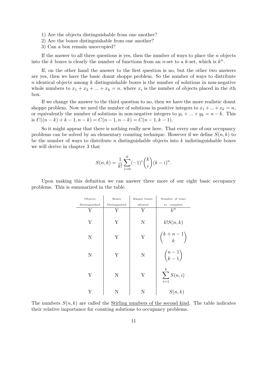- 1) Are the objects distinguishable from one another?
- 2) Are the boxes distinguishable from one another?
- 3) Can a box remain unoccupied?

If the answer to all three questions is yes, then the number of ways to place the *n* objects into the *k* boxes is clearly the number of functions from an *n*-set to a *k*-set, which is  $k^n$ .

If, on the other hand the answer to the first question is no, but the other two answers are yes, then we have the basic donut shoppe problem. So the number of ways to distribute *n* identical objects among *k* distinguishable boxes is the number of solutions in non-negative whole numbers to  $x_1 + x_2 + \ldots + x_k = n$ , where  $x_i$  is the number of objects placed in the *i*th box.

If we change the answer to the third question to no, then we have the more realistic donut shoppe problem. Now we need the number of solutions in positive integers to  $x_1 + ... + x_k = n$ , or equivalently the number of solutions in non-negative integers to  $y_1 + ... + y_k = n - k$ . This is  $C((n-k)+k-1, n-k) = C(n-1, n-k) = C(n-1, k-1).$ 

So it might appear that there is nothing really new here. That every one of our occupancy problems can be solved by an elementary counting technique. However if we define  $S(n, k)$  to be the number of ways to distribute *n* distinguishable objects into *k* indistinguishable boxes we will derive in chapter 3 that

$$
S(n,k) = \frac{1}{k!} \sum_{i=0}^{k} (-1)^{i} {k \choose i} (k-i)^{n}.
$$

Upon making this definition we can answer three more of our eight basic occupancy problems. This is summarized in the table.

| Objects       | <b>Boxes</b> | Empty boxes | Number of ways           |
|---------------|--------------|-------------|--------------------------|
| Distinguished | Distingushed | allowed     | complete<br>to           |
| Y             | Y            | Y           | $k^n$                    |
| Y             | Y            | N           | k!S(n,k)                 |
| $\mathbf N$   | Y            | Y           | $\binom{k+n-1}{k}$       |
| N             | Y            | N           | $\binom{n-1}{k-1}$       |
| Y             | Ν            | Y           | $\sum^k S(n,i)$<br>$i=1$ |
|               |              |             | S(n,k)                   |

The numbers  $S(n, k)$  are called the Stirling numbers of the second kind. The table indicates their relative importance for counting solutions to occupancy problems.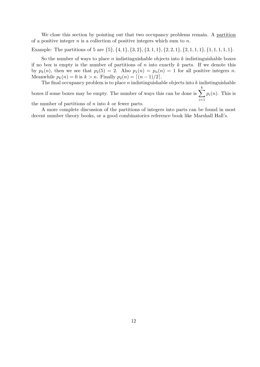We close this section by pointing out that two occupancy problems remain. A partition of a positive integer *n* is a collection of positive integers which sum to *n*.

Example: The partitions of 5 are  $\{5\}, \{4, 1\}, \{3, 2\}, \{3, 1, 1\}, \{2, 2, 1\}, \{2, 1, 1, 1\}, \{1, 1, 1, 1, 1\}.$ 

So the number of ways to place *n* indistinguishable objects into *k* indistinguishable boxes if no box is empty is the number of partitions of *n* into exactly *k* parts. If we denote this by  $p_k(n)$ , then we see that  $p_2(5) = 2$ . Also  $p_1(n) = p_n(n) = 1$  for all positive integers *n*. Meanwhile  $p_k(n) = 0$  is  $k > n$ . Finally  $p_2(n) = \lceil (n-1)/2 \rceil$ .

The final occupancy problem is to place *n* indistinguishable objects into *k* indistinguishable boxes if some boxes may be empty. The number of ways this can be done is  $\sum_{n=1}^k$ *i*=1  $p_i(n)$ . This is

the number of partitions of *n* into *k* or fewer parts.

A more complete discussion of the partitions of integers into parts can be found in most decent number theory books, or a good combinatorics reference book like Marshall Hall's.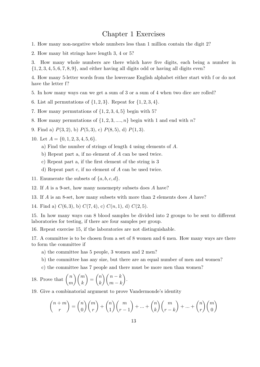### Chapter 1 Exercises

- 1. How many non-negative whole numbers less than 1 million contain the digit 2?
- 2. How many bit strings have length 3, 4 or 5?

3. How many whole numbers are there which have five digits, each being a number in *{*1*,* 2*,* 3*,* 4*,* 5*,* 6*,* 7*,* 8*,* 9*}*, and either having all digits odd or having all digits even?

4. How many 5-letter words from the lowercase English alphabet either start with f or do not have the letter f?

- 5. In how many ways can we get a sum of 3 or a sum of 4 when two dice are rolled?
- 6. List all permutations of *{*1*,* 2*,* 3*}*. Repeat for *{*1*,* 2*,* 3*,* 4*}*.
- 7. How many permutations of *{*1*,* 2*,* 3*,* 4*,* 5*}* begin with 5?
- 8. How many permutations of  $\{1, 2, 3, \ldots, n\}$  begin with 1 and end with *n*?
- 9. Find a) *P*(3*,* 2), b) *P*(5*,* 3), c) *P*(8*,* 5), d) *P*(1*,* 3).
- 10. Let *A* = *{*0*,* 1*,* 2*,* 3*,* 4*,* 5*,* 6*}*.
	- a) Find the number of strings of length 4 using elements of *A*.
	- b) Repeat part a, if no element of *A* can be used twice.
	- c) Repeat part a, if the first element of the string is 3
	- d) Repeat part c, if no element of *A* can be used twice.
- 11. Enumerate the subsets of  $\{a, b, c, d\}$ .
- 12. If *A* is a 9-set, how many nonemepty subsets does *A* have?
- 13. If *A* is an 8-set, how many subsets with more than 2 elements does *A* have?
- 14. Find a)  $C(6,3)$ , b)  $C(7,4)$ , c)  $C(n,1)$ , d)  $C(2,5)$ .

15. In how many ways can 8 blood samples be divided into 2 groups to be sent to different laboratories for testing, if there are four samples per group.

16. Repeat exercise 15, if the laboratories are not distinguishable.

17. A committee is to be chosen from a set of 8 women and 6 men. How many ways are there to form the committee if

- a) the committee has 5 people, 3 women and 2 men?
- b) the committee has any size, but there are an equal number of men and women?
- c) the committee has 7 people and there must be more men than women?

18. Prove that 
$$
\binom{n}{m}\binom{m}{k} = \binom{n}{k}\binom{n-k}{m-k}
$$
.

19. Give a combinatorial argument to prove Vandermonde's identity

$$
\binom{n+m}{r} = \binom{n}{0}\binom{m}{r} + \binom{n}{1}\binom{m}{r-1} + \dots + \binom{n}{k}\binom{m}{r-k} + \dots + \binom{n}{r}\binom{m}{0}
$$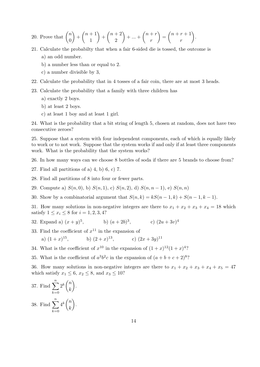20. Prove that 
$$
\binom{n}{0} + \binom{n+1}{1} + \binom{n+2}{2} + \dots + \binom{n+r}{r} = \binom{n+r+1}{r}
$$
.

- 21. Calculate the probabilty that when a fair 6-sided die is tossed, the outcome is a) an odd number.
	- b) a number less than or equal to 2.
	- c) a number divisible by 3,
- 22. Calculate the probability that in 4 tosses of a fair coin, there are at most 3 heads.
- 23. Calculate the probability that a family with three children has
	- a) exactly 2 boys.
	- b) at least 2 boys.
	- c) at least 1 boy and at least 1 girl.

24. What is the probability that a bit string of length 5, chosen at random, does not have two consecutive zeroes?

25. Suppose that a system with four independent components, each of which is equally likely to work or to not work. Suppose that the system works if and only if at least three components work. What is the probability that the system works?

26. In how many ways can we choose 8 bottles of soda if there are 5 brands to choose from?

- 27. Find all partitions of a) 4, b) 6, c) 7.
- 28. Find all partitions of 8 into four or fewer parts.
- 29. Compute a) *S*(*n,* 0), b) *S*(*n,* 1), c) *S*(*n,* 2), d) *S*(*n, n −* 1), e) *S*(*n, n*)
- 30. Show by a combinatorial argument that  $S(n, k) = kS(n-1, k) + S(n-1, k-1)$ .

31. How many solutions in non-negative integers are there to  $x_1 + x_2 + x_3 + x_4 = 18$  which satisfy  $1 \leq x_i \leq 8$  for  $i = 1, 2, 3, 4$ ?

- 32. Expand a)  $(x + y)^5$  $\hbox{,} \quad$  b)  $(a+2b)^3$  $(c) (2u + 3v)^4$
- 33. Find the coefficient of  $x^{11}$  in the expansion of a)  $(1+x)^{15}$  $,$  b)  $(2+x)^{13}$  $(c)$   $(2x+3y)^{11}$
- 34. What is the coefficient of  $x^{10}$  in the expansion of  $(1+x)^{12}(1+x)^4$ ?
- 35. What is the coefficient of  $a^3b^2c$  in the expansion of  $(a+b+c+2)^8$ ?

36. How many solutions in non-negative integers are there to  $x_1 + x_2 + x_3 + x_4 + x_5 = 47$ which satisfy  $x_1 \leq 6$ ,  $x_2 \leq 8$ , and  $x_3 \leq 10$ ?

37. Find 
$$
\sum_{k=0}^{n} 2^{k} \binom{n}{k}.
$$
  
38. Find 
$$
\sum_{k=0}^{n} 4^{k} \binom{n}{k}.
$$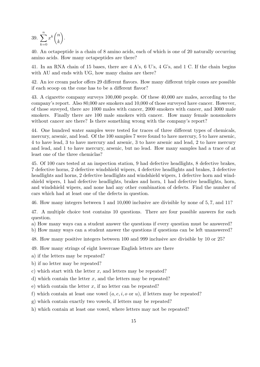39. <sup>∑</sup>*<sup>n</sup> k*=0  $x^k\binom{n}{k}$ *k*  $\setminus$ .

40. An octapeptide is a chain of 8 amino acids, each of which is one of 20 naturally occurring amino acids. How many octapeptides are there?

41. In an RNA chain of 15 bases, there are 4 A's, 6 U's, 4 G's, and 1 C. If the chain begins with AU and ends with UG, how many chains are there?

42. An ice cream parlor offers 29 different flavors. How many different triple cones are possible if each scoop on the cone has to be a different flavor?

43. A cigarette company surveys 100,000 people. Of these 40,000 are males, according to the company's report. Also 80,000 are smokers and 10,000 of those surveyed have cancer. However, of those suveyed, there are 1000 males with cancer, 2000 smokers with cancer, and 3000 male smokers. Finally there are 100 male smokers with cancer. How many female nonsmokers without cancer are there? Is there something wrong with the company's report?

44. One hundred water samples were tested for traces of three different types of chemicals, mercury, arsenic, and lead. Of the 100 samples 7 were found to have mercury, 5 to have arsenic, 4 to have lead, 3 to have mercury and arsenic, 3 to have arsenic and lead, 2 to have mercury and lead, and 1 to have mercury, arsenic, but no lead. How many samples had a trace of at least one of the three chemiclas?

45. Of 100 cars tested at an inspection station, 9 had defective headlights, 8 defective brakes, 7 defective horns, 2 defective windshield wipers, 4 defective headlights and brakes, 3 defective headlights and horns, 2 defective headlights and windshield wipers, 1 defective horn and windshield wipers, 1 had defective headlights, brakes and horn, 1 had defective headlights, horn, and windshield wipers, and none had any other combination of defects. Find the number of cars which had at least one of the defects in question.

46. How many integers between 1 and 10,000 inclusive are divisible by none of 5*,* 7, and 11?

47. A multiple choice test contains 10 questions. There are four possible answers for each question.

a) How many ways can a student answer the questions if every question must be answered? b) How many ways can a student answer the questions if questions can be left unanswered?

48. How many positive integers between 100 and 999 inclusive are divisible by 10 or 25?

49. How many strings of eight lowercase English letters are there

- a) if the letters may be repeated?
- b) if no letter may be repeated?
- c) which start with the letter *x*, and letters may be repeated?
- d) which contain the letter *x*, and the letters may be repeated?
- e) which contain the letter *x*, if no letter can be repeated?
- f) which contain at least one vowel  $(a, e, i, o \text{ or } u)$ , if letters may be repeated?
- g) which contain exactly two vowels, if letters may be repeated?
- h) which contain at least one vowel, where letters may not be repeated?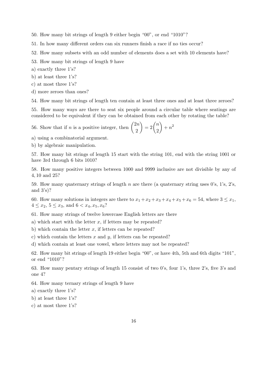50. How many bit strings of length 9 either begin "00", or end "1010"?

51. In how many different orders can six runners finish a race if no ties occur?

52. How many subsets with an odd number of elements does a set with 10 elements have?

53. How many bit strings of length 9 have

a) exactly three 1's?

b) at least three 1's?

c) at most three 1's?

d) more zeroes than ones?

54. How many bit strings of length ten contain at least three ones and at least three zeroes?

55. How many ways are there to seat six people around a circular table where seatings are considered to be equivalent if they can be obtained from each other by rotating the table?

56. Show that if *n* is a positive integer, then 
$$
\binom{2n}{2} = 2\binom{n}{2} + n^2
$$

a) using a combinatorial argument.

b) by algebraic manipulation.

57. How many bit strings of length 15 start with the string 101, end with the string 1001 or have 3rd through 6 bits 1010?

58. How many positive integers between 1000 and 9999 inclusive are not divisible by any of 4*,* 10 and 25?

59. How many quaternary strings of length *n* are there (a quaternary string uses 0's, 1's, 2's, and 3's)?

60. How many solutions in integers are there to  $x_1 + x_2 + x_3 + x_4 + x_5 + x_6 = 54$ , where  $3 \le x_1$ ,  $4 \leq x_2, 5 \leq x_3, \text{ and } 6 < x_4, x_5, x_6?$ 

61. How many strings of twelve lowercase English letters are there

a) which start with the letter *x*, if letters may be repeated?

b) which contain the letter *x*, if letters can be repeated?

c) which contain the letters *x* and *y*, if letters can be repeated?

d) which contain at least one vowel, where letters may not be repeated?

62. How many bit strings of length 19 either begin "00", or have 4th, 5th and 6th digits "101", or end "1010"?

63. How many pentary strings of length 15 consist of two 0's, four 1's, three 2's, five 3's and one 4?

64. How many ternary strings of length 9 have

a) exactly three 1's?

- b) at least three 1's?
- c) at most three 1's?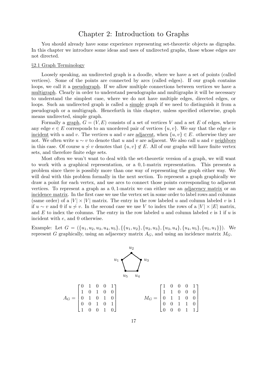## Chapter 2: Introduction to Graphs

You should already have some experience representing set-theoretic objects as digraphs. In this chapter we introduce some ideas and uses of undirected graphs, those whose edges are not directed.

#### *§*2.1 Graph Terminology

Loosely speaking, an undirected graph is a doodle, where we have a set of points (called vertices). Some of the points are connected by arcs (called edges). If our graph contains loops, we call it a pseudograph. If we allow multiple connections between vertices we have a multigraph. Clearly in order to understand pseudographs and multigraphs it will be necessary to understand the simplest case, where we do not have multiple edges, directed edges, or loops. Such an undirected graph is called a simple graph if we need to distinguish it from a pseudograph or a multigraph. Henceforth in this chapter, unless specified otherwise, graph means undirected, simple graph.

Formally a graph,  $G = (V, E)$  consists of a set of vertices V and a set E of edges, where any edge  $e \in E$  corresponds to an unordered pair of vertices  $\{u, v\}$ . We say that the edge *e* is incident with *u* and *v*. The vertices *u* and *v* are <u>adjacent</u>, when  $\{u, v\} \in E$ . otherwise they are not. We often write  $u \sim v$  to denote that *u* and *v* are adjacent. We also call *u* and *v* neighbors in this case. Of course  $u \nsim v$  denotes that  $\{u, v\} \notin E$ . All of our graphs will have finite vertex sets, and therefore finite edge sets.

Most often we won't want to deal with the set-theoretic version of a graph, we will want to work with a graphical representation, or a 0*,* 1-matrix representation. This presents a problem since there is possibly more than one way of representing the graph either way. We will deal with this problem formally in the next section. To represent a graph graphically we draw a point for each vertex, and use arcs to connect those points corresponding to adjacent vertices. To represent a graph as a 0*,* 1-matrix we can either use an adjacency matrix or an incidence matrix. In the first case we use the vertex set in some order to label rows and columns (same order) of a  $|V| \times |V|$  matrix. The entry in the row labeled *u* and column labeled *v* is 1 if *u* ∼ *v* and 0 if *u*  $\neq$  *v*. In the second case we use *V* to index the rows of a  $|V| \times |E|$  matrix, and *E* to index the columns. The entry in the row labeled *u* and column labeled *e* is 1 if *u* is incident with *e*, and 0 otherwise.

Example: Let  $G = (\{u_1, u_2, u_3, u_4, u_5\}, \{\{u_1, u_2\}, \{u_2, u_3\}, \{u_3, u_4\}, \{u_4, u_5\}, \{u_5, u_1\})$ . We represent *G* graphically, using an adjacency matrix  $A_G$ , and using an incidence matrix  $M_G$ .

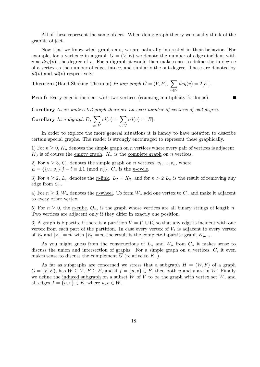All of these represent the same object. When doing graph theory we usually think of the graphic object.

Now that we know what graphs are, we are naturally interested in their behavior. For example, for a vertex v in a graph  $G = (V, E)$  we denote the number of edges incident with *v* as  $deg(v)$ , the <u>degree</u> of *v*. For a digraph it would then make sense to define the in-degree of a vertex as the number of edges into *v*, and similarly the out-degree. These are denoted by  $id(v)$  and  $od(v)$  respectively.

■

**Theorem** (Hand-Shaking Theorem) *In any graph*  $G = (V, E)$ ,  $\sum$ *v∈V*  $deg(v) = 2|E|.$ 

**Proof:** Every edge is incident with two vertices (counting multiplicity for loops).

**Corollary** *In an undirected graph there are an even number of vertices of odd degree.*

Corollary In a digraph D, 
$$
\sum_{v \in V} id(v) = \sum_{v \in V} od(v) = |E|.
$$

In order to explore the more general situations it is handy to have notation to describe certain special graphs. The reader is strongly encouraged to represent these graphically.

1) For  $n \geq 0$ ,  $K_n$  denotes the simple graph on *n* vertices where every pair of vertices is adjacent.  $K_0$  is of course the empty graph.  $K_n$  is the complete graph on *n* vertices.

2) For  $n \geq 3$ ,  $C_n$  denotes the simple graph on *n* vertices,  $v_1, ..., v_n$ , where  $E = \{\{v_i, v_j\} | j - i \equiv \pm 1 \pmod{n}\}.$  *C<sub>n</sub>* is the <u>*n*-cycle</u>.

3) For  $n \geq 2$ ,  $L_n$  denotes the *n*-link.  $L_2 = K_2$ , and for  $n > 2$   $L_n$  is the result of removing any edge from  $C_n$ .

4) For  $n \geq 3$ ,  $W_n$  denotes the *n*-wheel. To form  $W_n$  add one vertex to  $C_n$  and make it adjacent to every other vertex.

5) For  $n \geq 0$ , the <u>*n*-cube</u>,  $Q_n$ , is the graph whose vertices are all binary strings of length *n*. Two vertices are adjacent only if they differ in exactly one position.

6) A graph is <u>bipartite</u> if there is a partition  $V = V_1 \cup V_2$  so that any edge is incident with one vertex from each part of the partition. In case every vertex of  $V_1$  is adjacent to every vertex of  $V_2$  and  $|V_1| = m$  with  $|V_2| = n$ , the result is the <u>complete bipartite graph</u>  $K_{m,n}$ .

As you might guess from the constructions of  $L_n$  and  $W_n$  from  $C_n$  it makes sense to discuss the union and intersection of graphs. For a simple graph on *n* vertices, *G*, it even makes sense to discuss the complement  $\overline{G}$  (relative to  $K_n$ ).

As far as subgraphs are concerned we stress that a subgraph  $H = (W, F)$  of a graph  $G = (V, E)$ , has  $W \subseteq V$ ,  $F \subseteq E$ , and if  $f = \{u, v\} \in F$ , then both *u* and *v* are in *W*. Finally we define the induced subgraph on a subset *W* of *V* to be the graph with vertex set *W*, and all edges  $f = \{u, v\} \in E$ , where  $u, v \in W$ .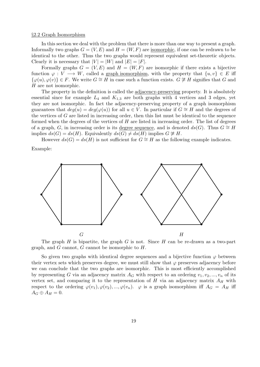#### *§*2.2 Graph Isomorphism

In this section we deal with the problem that there is more than one way to present a graph. Informally two graphs  $G = (V, E)$  and  $H = (W, F)$  are isomorphic, if one can be redrawn to be identical to the other. Thus the two graphs would represent equivalent set-theoretic objects. Clearly it is necessary that  $|V| = |W|$  and  $|E| = |F|$ .

Formally graphs  $G = (V, E)$  and  $H = (W, F)$  are isomorphic if there exists a bijective function  $\varphi : V \longrightarrow W$ , called a graph isomorphism, with the property that  $\{u, v\} \in E$  iff  ${φ(u), φ(v)} ∈ F$ . We write *G*  $\cong$  *H* in case such a function exists. *G*  $\ncong$  *H* signifies that *G* and *H* are not isomorphic.

The property in the definition is called the adjacency-preserving property. It is absolutely essential since for example  $L_4$  and  $K_{1,3}$  are both graphs with 4 vertices and 3 edges, yet they are not isomorphic. In fact the adjacency-preserving property of a graph isomorphism guarantees that  $deg(u) = deg(\varphi(u))$  for all  $u \in V$ . In particular if  $G \cong H$  and the degrees of the vertices of *G* are listed in increasing order, then this list must be identical to the sequence formed when the degrees of the vertices of *H* are listed in increasing order. The list of degrees of a graph, *G*, in increasing order is its degree sequence, and is denoted  $ds(G)$ . Thus  $G \cong H$ implies  $ds(G) = ds(H)$ . Equivalently  $ds(G) \neq ds(H)$  implies  $G \not\cong H$ .

However  $ds(G) = ds(H)$  is not sufficient for  $G \cong H$  as the following example indicates.

Example:



The graph *H* is bipartite, the graph *G* is not. Since *H* can be re-drawn as a two-part graph, and *G* cannot, *G* cannot be isomorphic to *H*.

So given two graphs with identical degree sequences and a bijective function  $\varphi$  between their vertex sets which preserves degree, we must still show that  $\varphi$  preserves adjacency before we can conclude that the two graphs are isomorphic. This is most efficiently accomplished by representing *G* via an adjacency matrix  $A_G$  with respect to an ordering  $v_1, v_2, ..., v_n$  of its vertex set, and comparing it to the representation of  $H$  via an adjacency matrix  $A_H$  with respect to the ordering  $\varphi(v_1), \varphi(v_2), ..., \varphi(v_n)$ .  $\varphi$  is a graph isomorphism iff  $A_G = A_H$  iff  $A_G \oplus A_H = 0.$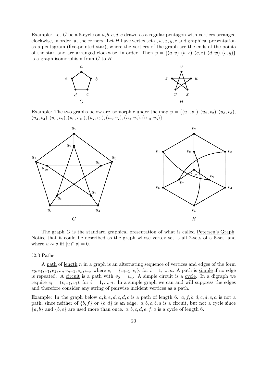Example: Let *G* be a 5-cycle on *a, b, c, d, e* drawn as a regular pentagon with vertices arranged clockwise, in order, at the corners. Let *H* have vertex set  $v, w, x, y, z$  and graphical presentation as a pentagram (five-pointed star), where the vertices of the graph are the ends of the points of the star, and are arranged clockwise, in order. Then  $\varphi = \{(a, v), (b, x), (c, z), (d, w), (e, y)\}\$ is a graph isomorphism from *G* to *H*.



Example: The two graphs below are isomorphic under the map  $\varphi = \{(u_1, v_1), (u_2, v_2), (u_3, v_3)\}$  $(u_4, v_4), (u_5, v_9), (u_6, v_{10}), (u_7, v_5), (u_8, v_7), (u_9, v_8), (u_{10}, v_6) \}.$ 



The graph *G* is the standard graphical presentation of what is called Petersen's Graph. Notice that it could be described as the graph whose vertex set is all 2-sets of a 5-set, and where  $u \sim v$  iff  $|u \cap v| = 0$ .

#### *§*2.3 Paths

A path of length *n* in a graph is an alternating sequence of vertices and edges of the form  $v_0, e_1, v_1, e_2, ..., v_{n-1}, e_n, v_n$ , where  $e_i = \{v_{i-1}, v_i\}$ , for  $i = 1, ..., n$ . A path is simple if no edge is repeated. A <u>circuit</u> is a path with  $v_0 = v_n$ . A simple circuit is a cycle. In a digraph we require  $e_i = (v_{i-1}, v_i)$ , for  $i = 1, ..., n$ . In a simple graph we can and will suppress the edges and therefore consider any string of pairwise incident vertices as a path.

Example: In the graph below *a, b, e, d, c, d, c* is a path of length 6. *a, f, b, d, c, d, e, a* is not a path, since neither of  $\{b, f\}$  or  $\{b, d\}$  is an edge.  $a, b, e, b, a$  is a circuit, but not a cycle since  ${a, b}$  and  ${b, e}$  are used more than once. *a, b, c, d, e, f, a* is a cycle of length 6.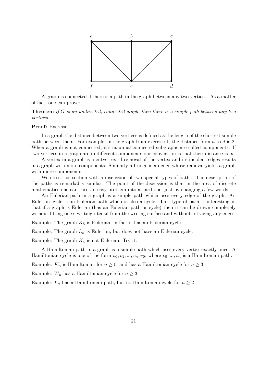

A graph is connected if there is a path in the graph between any two vertices. As a matter of fact, one can prove:

**Theorem** *If G is an undirected, connected graph, then there is a simple path between any two vertices.*

#### **Proof:** Exercise.

In a graph the distance between two vertices is defined as the length of the shortest simple path between them. For example, in the graph from exercise 1, the distance from *a* to *d* is 2. When a graph is not connected, it's maximal connected subgraphs are called components. If two vertices in a graph are in different components our convention is that their distance is *∞*.

A vertex in a graph is a cutvertex, if removal of the vertex and its incident edges results in a graph with more components. Similarly a bridge is an edge whose removal yields a graph with more components.

We close this section with a discussion of two special types of paths. The description of the paths is remarkably similar. The point of the discussion is that in the area of discrete mathematics one can turn an easy problem into a hard one, just by changing a few words.

An Eulerian path in a graph is a simple path which uses every edge of the graph. An Eulerian cycle is an Eulerian path which is also a cycle. This type of path is interesting in that if a graph is Eulerian (has an Eulerian path or cycle) then it can be drawn completely without lifting one's writing utensil from the writing surface and without retracing any edges.

Example: The graph  $K_5$  is Eulerian, in fact it has an Eulerian cycle.

Example: The graph  $L_n$  is Eulerian, but does not have an Eulerian cycle.

Example: The graph *K*<sup>4</sup> is not Eulerian. Try it.

A Hamiltonian path in a graph is a simple path which uses every vertex exactly once. A Hamiltonian cycle is one of the form  $v_0, v_1, ..., v_n, v_0$ , where  $v_0, ..., v_n$  is a Hamiltonian path.

Example:  $K_n$  is Hamiltonian for  $n \geq 0$ , and has a Hamiltonian cycle for  $n \geq 3$ .

Example:  $W_n$  has a Hamiltonian cycle for  $n \geq 3$ .

Example:  $L_n$  has a Hamiltonian path, but no Hamiltonian cycle for  $n \geq 2$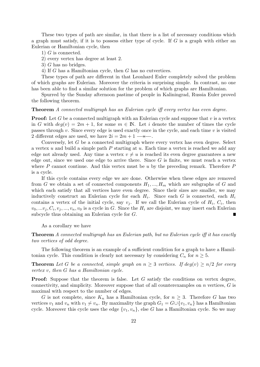These two types of path are similar, in that there is a list of necessary conditions which a graph must satisfy, if it is to possess either type of cycle. If *G* is a graph with either an Eulerian or Hamiltonian cycle, then

- 1) *G* is connected.
- 2) every vertex has degree at least 2.
- 3) *G* has no bridges.
- 4) If *G* has a Hamiltonian cycle, then *G* has no cutvertices.

These types of path are different in that Leonhard Euler completely solved the problem of which graphs are Eulerian. Moreover the criteria is surprising simple. In contrast, no one has been able to find a similar solution for the problem of which graphs are Hamiltonian.

Spurred by the Sunday afternoon pastime of people in Kaliningrad, Russia Euler proved the following theorem.

#### **Theorem** *A connected multigraph has an Eulerian cycle iff every vertex has even degree.*

**Proof:** Let G be a connected multigraph with an Eulerian cycle and suppose that v is a vertex in *G* with  $deq(v) = 2m + 1$ , for some  $m \in \mathbb{N}$ . Let *i* denote the number of times the cycle passes through *v*. Since every edge is used exactly once in the cycle, and each time *v* is visited 2 different edges are used, we have  $2i = 2m + 1$   $\longrightarrow \rightarrow \rightarrow \rightarrow$ .

Conversely, let *G* be a connected multigraph where every vertex has even degree. Select a vertex *u* and build a simple path *P* starting at *u*. Each time a vertex is reached we add any edge not already used. Any time a vertex  $v \neq u$  is reached its even degree guarantees a new edge out, since we used one edge to arrive there. Since *G* is finite, we must reach a vertex where *P* cannot continue. And this vertex must be *u* by the preceding remark. Therefore *P* is a cycle.

If this cycle contains every edge we are done. Otherwise when these edges are removed from *G* we obtain a set of connected components  $H_1, ..., H_m$  which are subgraphs of *G* and which each satisfy that all vertices have even degree. Since their sizes are smaller, we may inductively construct an Eulerian cycle for each *H<sup>i</sup>* . Since each *G* is connected, each *H<sup>i</sup>* contains a vertex of the initial cycle, say  $v_j$ . If we call the Eulerian cycle of  $H_i$ ,  $C_i$ , then  $v_0, \ldots v_j, C_i, v_j, \ldots, v_n, v_0$  is a cycle in *G*. Since the  $H_i$  are disjoint, we may insert each Eulerian subcycle thus obtaining an Eulerian cycle for *G*.  $\blacksquare$ 

#### As a corollary we have

**Theorem** *A connected multigraph has an Eulerian path, but no Eulerian cycle iff it has exactly two vertices of odd degree.*

The following theorem is an example of a sufficient condition for a graph to have a Hamiltonian cycle. This condition is clearly not necessary by considering  $C_n$  for  $n \geq 5$ .

**Theorem** Let G be a connected, simple graph on  $n \geq 3$  vertices. If  $deg(v) \geq n/2$  for every *vertex v, then G has a Hamiltonian cycle.*

**Proof:** Suppose that the theorem is false. Let *G* satisfy the conditions on vertex degree, connectivity, and simplicity. Moreover suppose that of all counterexamples on *n* vertices, *G* is maximal with respect to the number of edges.

*G* is not complete, since  $K_n$  has a Hamiltonian cycle, for  $n \geq 3$ . Therefore *G* has two vertices *v*<sub>1</sub> and *v<sub>n</sub>* with *v*<sub>1</sub>  $\not\sim v_n$ . By maximality the graph  $G_1 = G \cup \{v_1, v_n\}$  has a Hamiltonian cycle. Moreover this cycle uses the edge  $\{v_1, v_n\}$ , else G has a Hamiltonian cycle. So we may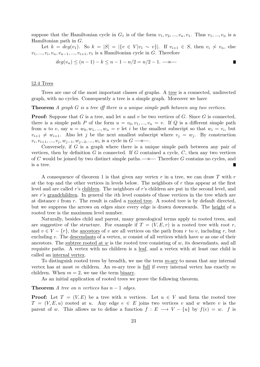suppose that the Hamiltonian cycle in  $G_1$  is of the form  $v_1, v_2, ..., v_n, v_1$ . Thus  $v_1, ..., v_n$  is a Hamiltonian path in *G*.

Let  $k = deg(v_1)$ . So  $k = |S| = |\{v \in V | v_1 \sim v\}|$ . If  $v_{i+1} \in S$ , then  $v_i \nsim v_n$ , else  $v_1, \ldots, v_i, v_n, v_{n-1}, \ldots, v_{i+1}, v_1$  is a Hamiltonian cycle in *G*. Therefore

$$
deg(v_n) \le (n-1) - k \le n - 1 - n/2 = n/2 - 1. \longrightarrow
$$

#### *§*2.4 Trees

Trees are one of the most important classes of graphs. A tree is a connected, undirected graph, with no cycles. Consequently a tree is a simple graph. Moreover we have

**Theorem** *A graph G is a tree iff there is a unique simple path between any two vertices.*

**Proof:** Suppose that *G* is a tree, and let *u* and *v* be two vertices of *G*. Since *G* is connected, there is a simple path *P* of the form  $u = v_0, v_1, ..., v_n = v$ . If *Q* is a different simple path from *u* to *v*, say  $u = w_0, w_1, ..., w_n = v$  let *i* be the smallest subscript so that  $w_i = v_i$ , but  $v_{i+1} \neq w_{i+1}$ . Also let *j* be the next smallest subscript where  $v_j = w_j$ . By construction *v*<sub>*i*</sub>, *v*<sub>*i*+1</sub>, ..., *v*<sub>*j*</sub>, *w*<sub>*j*−1</sub>, *w*<sub>*j*−2</sub>, ..., *w*<sub>*i*</sub> is a cycle in *G* → *→* 

Conversely, if *G* is a graph where there is a unique simple path between any pair of vertices, then by definition  $G$  is connected. If  $G$  contained a cycle,  $C$ , then any two vertices of *C* would be joined by two distinct simple paths.*−→←−* Therefore *G* contains no cycles, and is a tree.

A consequence of theorem 1 is that given any vertex *r* in a tree, we can draw *T* with *r* at the top and the other vertices in levels below. The neighbors of *r* thus appear at the first level and are called *r*'s children. The neighbors of *r*'s children are put in the second level, and are *r*'s grandchildren. In general the *i*th level consists of those vertices in the tree which are at distance *i* from *r*. The result is called a rooted tree. A rooted tree is by default directed, but we suppress the arrows on edges since every edge is drawn downwards. The height of a rooted tree is the maximum level number.

Naturally, besides child and parent, many geneological terms apply to rooted trees, and are suggestive of the structure. For example if  $T = (V, E, r)$  is a rooted tree with root r, and  $v \in V - \{r\}$ , the ancestors of *v* are all vertices on the path from *r* to *v*, including *r*, but excluding *v*. The descendants of a vertex, *w* consist of all vertices which have *w* as one of their ancestors. The subtree rooted at *w* is the rooted tree consisting of *w*, its descendants, and all requisite paths. A vertex with no children is a leaf, and a vertex with at least one child is called an internal vertex.

To distinguish rooted trees by breadth, we use the term *m*-ary to mean that any internal vertex has at most *m* children. An *m*-ary tree is full if every internal vertex has exactly *m* children. When  $m = 2$ , we use the term binary.

As an initial application of rooted trees we prove the following theorem.

#### **Theorem** *A* tree on *n* vertices has  $n - 1$  edges.

**Proof:** Let  $T = (V, E)$  be a tree with *n* vertices. Let  $u \in V$  and form the rooted tree  $T = (V, E, u)$  rooted at *u*. Any edge  $e \in E$  joins two vertices *v* and *w* where *v* is the parent of *w*. This allows us to define a function  $f: E \longrightarrow V - \{u\}$  by  $f(e) = w$ . *f* is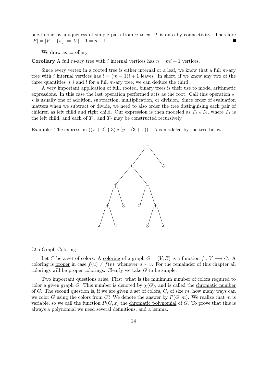one-to-one by uniqueness of simple path from  $u$  to  $w$ .  $f$  is onto by connectivity. Therefore  $|E| = |V - \{u\}| = |V| - 1 = n - 1.$ 

We draw as corollary

**Corollary** A full *m*-ary tree with *i* internal vertices has  $n = mi + 1$  vertices.

Since every vertex in a rooted tree is either internal or a leaf, we know that a full *m*-ary tree with *i* internal vertices has  $l = (m-1)i+1$  leaves. In short, if we know any two of the three quantities *n, i* and *l* for a full *m*-ary tree, we can deduce the third.

A very important application of full, rooted, binary trees is their use to model arithmetic expressions. In this case the last operation performed acts as the root. Call this operation *⋆*. *⋆* is usually one of addition, subtraction, multiplication, or division. Since order of evaluation matters when we subtract or divide, we need to also order the tree distinguising each pair of children as left child and right child. Our expression is then modeled as  $T_1 \star T_2$ , where  $T_1$  is the left child, and each of  $T_1$ , and  $T_2$  may be constructed recursively.

Example: The expression  $((x+2) \uparrow 3) * (y-(3+x)) - 5$  is modeled by the tree below.



#### *§*2.5 Graph Coloring

Let *C* be a set of colors. A coloring of a graph  $G = (V, E)$  is a function  $f: V \longrightarrow C$ . A coloring is proper in case  $f(u) \neq f(v)$ , whenever  $u \sim v$ . For the remainder of this chapter all colorings will be proper colorings. Clearly we take *G* to be simple.

Two important questions arise. First, what is the minimum number of colors required to color a given graph *G*. This number is denoted by  $\chi(G)$ , and is called the chromatic number of *G*. The second question is, if we are given a set of colors, *C*, of size *m*, how many ways can we color *G* using the colors from *C*? We denote the answer by  $P(G, m)$ . We realize that *m* is variable, so we call the function  $P(G, x)$  the chromatic polynomial of *G*. To prove that this is always a polynomial we need several definitions, and a lemma.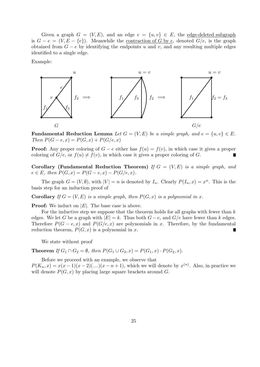Given a graph  $G = (V, E)$ , and an edge  $e = \{u, v\} \in E$ , the edge-deleted subgraph is  $G − e = (V, E − {e})$ . Meanwhile the <u>contraction of *G* by *e*</u>, denoted  $G/e$ , is the graph obtained from  $G - e$  by identifying the endpoints *u* and *v*, and any resulting multiple edges identified to a single edge.

Example:



**Fundamental Reduction Lemma** *Let*  $G = (V, E)$  *be a simple graph, and*  $e = \{u, v\} \in E$ *. Then*  $P(G - e, x) = P(G, x) + P(G/e, x)$ 

**Proof:** Any proper coloring of  $G - e$  either has  $f(u) = f(v)$ , in which case it gives a proper coloring of  $G/e$ , or  $f(u) \neq f(v)$ , in which case it gives a proper coloring of *G*.

**Corollary (Fundamental Reduction Theorem)** *If*  $G = (V, E)$  *is a simple graph, and*  $e \in E$ , then  $P(G, x) = P(G - e, x) - P(G/e, x)$ .

The graph  $G = (V, \emptyset)$ , with  $|V| = n$  is denoted by  $I_n$ . Clearly  $P(I_n, x) = x^n$ . This is the basis step for an induction proof of

**Corollary** If  $G = (V, E)$  *is a simple graph, then*  $P(G, x)$  *is a polynomial in x.* 

**Proof:** We induct on *|E|*. The base case is above.

For the inductive step we suppose that the theorem holds for all graphs with fewer than *k* edges. We let *G* be a graph with  $|E| = k$ . Thus both  $G - e$ , and  $G/e$  have fewer than *k* edges. Therefore  $P(G - e, x)$  and  $P(G/e, x)$  are polynomials in *x*. Therefore, by the fundamental reduction theorem,  $P(G, x)$  is a polynomial in x. Г

We state without proof

**Theorem** *If*  $G_1 \cap G_2 = \emptyset$ *, then*  $P(G_1 \cup G_2, x) = P(G_1, x) \cdot P(G_2, x)$ *.* 

Before we proceed with an example, we observe that

 $P(K_n, x) = x(x-1)(x-2)(\ldots)(x-n+1)$ , which we will denote by  $x^{(n)}$ . Also, in practice we will denote  $P(G, x)$  by placing large square brackets around  $G$ .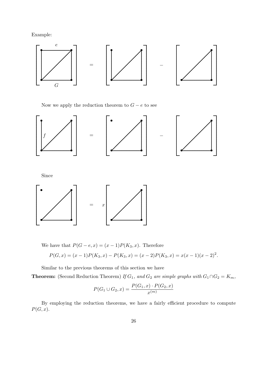Example:



Now we apply the reduction theorem to  $G - e$  to see



We have that  $P(G - e, x) = (x - 1)P(K_3, x)$ . Therefore

$$
P(G, x) = (x - 1)P(K_3, x) - P(K_3, x) = (x - 2)P(K_3, x) = x(x - 1)(x - 2)^2.
$$

Similar to the previous theorems of this section we have

**Theorem:** (Second Reduction Theorem) If  $G_1$ , and  $G_2$  are simple graphs with  $G_1 \cap G_2 = K_m$ ,

$$
P(G_1 \cup G_2, x) = \frac{P(G_1, x) \cdot P(G_2, x)}{x^{(m)}}
$$

By employing the reduction theorems, we have a fairly efficient procedure to compute  $P(G, x)$ .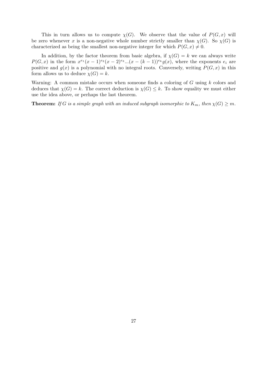This in turn allows us to compute  $\chi(G)$ . We observe that the value of  $P(G, x)$  will be zero whenever *x* is a non-negative whole number strictly smaller than  $\chi(G)$ . So  $\chi(G)$  is characterized as being the smallest non-negative integer for which  $P(G, x) \neq 0$ .

In addition, by the factor theorem from basic algebra, if  $\chi(G) = k$  we can always write  $P(G, x)$  in the form  $x^{e_1}(x-1)^{e_2}(x-2)^{e_3}...(x-(k-1))^{e_k}g(x)$ , where the exponents  $e_i$  are positive and  $g(x)$  is a polynomial with no integral roots. Conversely, writing  $P(G, x)$  in this form allows us to deduce  $\chi(G) = k$ .

Warning: A common mistake occurs when someone finds a coloring of *G* using *k* colors and deduces that  $\chi(G) = k$ . The correct deduction is  $\chi(G) \leq k$ . To show equality we must either use the idea above, or perhaps the last theorem.

**Theorem:** *If G is a simple graph with an induced subgraph isomorphic to*  $K_m$ *, then*  $\chi(G) \geq m$ *.*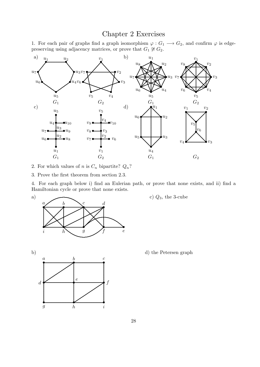## Chapter 2 Exercises

1. For each pair of graphs find a graph isomorphism  $\varphi: G_1 \longrightarrow G_2$ , and confirm  $\varphi$  is edge-<br>preserving using adjacency matrices, or prove that  $G_1 \not\cong G_2$ .



2. For which values of *n* is  $C_n$  bipartite?  $Q_n$ ?

3. Prove the first theorem from section 2.3.

4. For each graph below i) find an Eulerian path, or prove that none exists, and ii) find a Hamiltonian cycle or prove that none exists.



c)  $Q_3$ , the 3-cube





d) the Petersen graph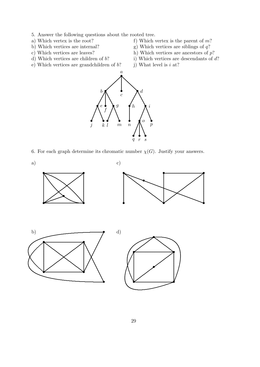- 5. Answer the following questions about the rooted tree.
- 
- 
- 
- d) Which vertices are children of *b*? i) Which vertices are descendants of *d*?
- e) Which vertices are grandchildren of  $b$ ? j) What level is  $i$  at?
- a) Which vertex is the root?<br>
b) Which vertices are internal?<br>
g) Which vertices are siblings of *q*?
	- g) Which vertices are siblings of  $q$ ?
- c) Which vertices are leaves? h) Which vertices are ancestors of *p*?
	-
	-



6. For each graph determine its chromatic number  $\chi(G)$ . Justify your answers.

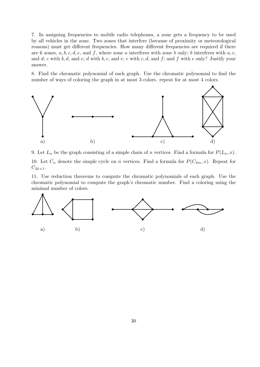7. In assigning frequencies to mobile radio telephones, a zone gets a frequency to be used by all vehicles in the zone. Two zones that interfere (because of proximity or meteorological reasons) must get different frequencies. How many different frequencies are required if there are 6 zones, *a, b, c, d, e*, and *f*, where zone *a* interferes with zone *b* only; *b* interferes with *a, c,* and *d*; *c* with *b, d,* and *e*; *d* with *b, c,* and *e*; *e* with *c, d,* and *f*; and *f* with *e* only? Justify your answer.

8. Find the chromatic polynomial of each graph. Use the chromatic polynomial to find the number of ways of coloring the graph in at most 3 colors. repeat for at most 4 colors.



9. Let  $L_n$  be the graph consisting of a simple chain of *n* vertices. Find a formula for  $P(L_n, x)$ .

10. Let  $C_n$  denote the simple cycle on *n* vertices. Find a formula for  $P(C_{2m}, x)$ . Repeat for  $C_{2k+1}$ .

11. Use reduction theorems to compute the chromatic polynomials of each graph. Use the chromatic polynomial to compute the graph's chromatic number. Find a coloring using the minimal number of colors.

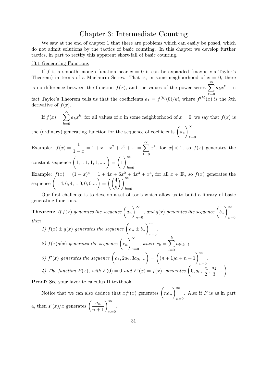### Chapter 3: Intermediate Counting

We saw at the end of chapter 1 that there are problems which can easily be posed, which do not admit solutions by the tactics of basic counting. In this chapter we develop further tactics, in part to rectify this apparent short-fall of basic counting.

#### *§*3.1 Generating Functions

If f is a smooth enough function near  $x = 0$  it can be expanded (maybe via Taylor's Theorem) in terms of a Maclaurin Series. That is, in some neighborhood of  $x = 0$ , there is no difference between the function  $f(x)$ , and the values of the power series  $\sum_{n=1}^{\infty}$  $k=0$  $a_k x^k$ . In fact Taylor's Theorem tells us that the coefficients  $a_k = f^{(k)}(0)/k!$ , where  $f^{(k)}(x)$  is the kth derivative of  $f(x)$ .

If 
$$
f(x) = \sum_{k=0}^{\infty} a_k x^k
$$
, for all values of x in some neighborhood of  $x = 0$ , we say that  $f(x)$  is

the (ordinary) <u>generating function</u> for the sequence of coefficients  $\int a_k$ )*<sup>∞</sup> k*=0 .

Example:  $f(x) = \frac{1}{1}$  $\frac{1}{1-x} = 1 + x + x^2 + x^3 + ... = \sum_{k=0}^{\infty}$ *k*=0  $x^k$ , for  $|x| < 1$ , so  $f(x)$  generates the  $\text{constant sequence } (1, 1, 1, 1, 1, \ldots) =$  $\sqrt{ }$ 1 )*<sup>∞</sup> k*=0 .

Example:  $f(x) = (1+x)^4 = 1 + 4x + 6x^2 + 4x^3 + x^4$ , for all  $x \in \mathbb{R}$ , so  $f(x)$  generates the sequence  $(1, 4, 6, 4, 1, 0, 0, 0, ...) = ((4, 4, 4, 6, 4, 1, 0, 0, 0, ...)$ *k* ))*<sup>∞</sup> k*=0 .

Our first challenge is to develop a set of tools which allow us to build a library of basic generating functions.

**Theorem:** If 
$$
f(x)
$$
 generates the sequence  $\left(a_n\right)_{n=0}^{\infty}$ , and  $g(x)$  generates the sequence  $\left(b_n\right)_{n=0}^{\infty}$   
then  
1)  $f(x) \pm g(x)$  generates the sequence  $\left(a_n \pm b_n\right)_{n=0}^{\infty}$ .  
2)  $f(x)g(x)$  generates the sequence  $\left(c_n\right)_{n=0}^{\infty}$ , where  $c_k = \sum_{l=0}^{k} a_l b_{k-l}$ .  
3)  $f'(x)$  generates the sequence  $\left(a_1, 2a_2, 3a_3, ...\right) = \left((n+1)a + n+1\right)_{n=0}^{\infty}$ .  
4) The function  $F(x)$ , with  $F(0) = 0$  and  $F'(x) = f(x)$ , generates  $\left(0, a_0, \frac{a_1}{2}, \frac{a_2}{3}, ...\right)$ .

**Proof:** See your favorite calculus II textbook.

Notice that we can also deduce that  $xf'(x)$  generates  $\left( na_n \right)$ )*<sup>∞</sup> n*=0 . Also if *F* is as in part 4, then  $F(x)/x$  generates  $\left(\frac{a_n}{n+1}\right)_{n=0}^{\infty}$ .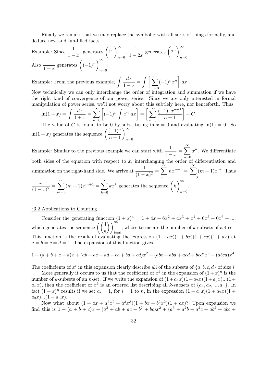Finally we remark that we may replace the symbol *x* with all sorts of things formally, and deduce new and fun-filled facts.

Example: Since 
$$
\frac{1}{1-x}
$$
, generates  $\left(1^n\right)_{n=0}^{\infty}$ ,  $\frac{1}{1-2x}$  generates  $\left(2^n\right)_{n=0}^{\infty}$ .  
Also  $\frac{1}{1+x}$  generates  $\left((-1)^n\right)_{n=0}^{\infty}$ .

Example: From the previous example,  $\int \frac{dx}{1+x^2}$  $\frac{dx}{1+x} = \int \left[ \sum_{n=0}^{\infty} \right]$ *n*=0  $(-1)^n x^n$ *dx*

Now technically we can only interchange the order of integration and summation if we have the right kind of convergence of our power series. Since we are only interested in formal manipulation of power series, we'll not worry about this subtlely here, nor henceforth. Thus

$$
\ln(1+x) = \int \frac{dx}{1+x} = \sum_{n=0}^{\infty} \left[ (-1)^n \int x^n dx \right] = \left[ \sum_{n=0}^{\infty} \frac{(-1)^n x^{n+1}}{n+1} \right] + C
$$
  
The value of C is found to be 0 by substituting in  $x = 0$  and evaluate

The value of *C* is found to be 0 by substituting in  $x = 0$  and evaluating  $ln(1) = 0$ . So ln(1 + *x*) generates the sequence  $\left(\frac{(-1)^n}{n+1}\right)_{n=0}^{\infty}$ .

Example: Similar to the previous example we can start with  $\frac{1}{1}$  $\frac{1}{1-x} = \sum_{n=0}^{\infty}$ *n*=0  $x^n$ . We differentiate both sides of the equation with respect to  $x$ , interchanging the order of differentiation and summation on the right-hand side. We arrive at  $\frac{1}{11}$  $\frac{1}{(1-x)^2} = \sum_{n=1}^{\infty}$ *n*=1  $nx^{n-1} = \sum_{n=0}^{\infty}$  $m=0$  $(m+1)x^m$ . Thus *x*  $\frac{x}{(1-x)^2} = \sum_{m=0}^{\infty}$ *m*=0  $(m+1)x^{m+1} = \sum_{n=0}^{\infty}$ *k*=0  $kx^k$  generates the sequence  $\left(kx\right)$ )*<sup>∞</sup> k*=0 .

#### *§*3.2 Applications to Counting

Consider the generating function  $(1+x)^4 = 1 + 4x + 6x^2 + 4x^3 + x^4 + 0x^5 + 0x^6 + \dots$ which generates the sequence  $\left(\begin{pmatrix} 4 \\ k \end{pmatrix}\right)$ ))*<sup>∞</sup> k*=0 , whose terms are the number of *k*-subsets of a 4-set. This function is the result of evaluating the expression  $(1 + ax)(1 + bx)(1 + cx)(1 + dx)$  at  $a = b = c = d = 1$ . The expansion of this function gives

$$
1 + (a+b+c+d)x + (ab+ac+ad+bc+bd+cd)x^{2} + (abc+abd+acd+bcd)x^{3} + (abcd)x^{4}.
$$

The coefficients of  $x^i$  in this expansion clearly describe all of the subsets of  $\{a, b, c, d\}$  of size *i*.

More generally it occurs to us that the coefficient of  $x^k$  in the expansion of  $(1+x)^n$  is the number of *k*-subsets of an *n*-set. If we write the expansion of  $(1 + a_1x)(1 + a_2x)(1 + a_3x)...(1 + a_4x)$  $a_n x$ , then the coefficient of  $x^k$  is an ordered list describing all *k*-subsets of  $\{a_1, a_2, ..., a_n\}$ . In fact  $(1+x)^n$  results if we set  $a_i = 1$ , for  $i = 1$  to *n*, in the expression  $(1 + a_1x)(1 + a_2x)(1 + a_3x)$  $a_3x)$ ... $(1 + a_nx)$ .

Now what about  $(1 + ax + a^2x^2 + a^3x^3)(1 + bx + b^2x^2)(1 + cx)$ ? Upon expansion we find this is  $1 + (a + b + c)x + (a^2 + ab + ac + b^2 + bc)x^2 + (a^3 + a^2b + a^2c + ab^2 + abc + c^2c + ab^2)$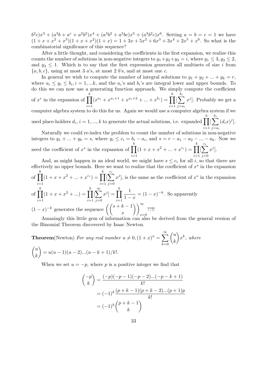$b^2c)x^3 + (a^3b + a^c + a^2b^2)x^4 + (a^3b^2 + a^3bc)x^5 + (a^3b^2c)x^6$ . Setting  $a = b = c = 1$  we have  $(1 + x + x<sup>2</sup> + x<sup>3</sup>)(1 + x + x<sup>2</sup>)(1 + x) = 1 + 3x + 5x<sup>2</sup> + 6x<sup>3</sup> + 3x<sup>4</sup> + 2x<sup>5</sup> + x<sup>6</sup>$ . So what is the combinatorial significance of this sequence?

After a little thought, and considering the coefficients in the first expansion, we realize this counts the number of solutions in non-negative integers to  $y_1 + y_2 + y_3 = i$ , where  $y_1 \leq 3, y_2 \leq 2$ , and  $y_3 \leq 1$ . Which is to say that the first expression generates all multisets of size *i* from *{a, b, c}*, using at most 3 *a*'s, at most 2 *b*'s, and at most one *c*.

In general we wish to compute the number of integral solutions to  $y_1 + y_2 + ... + y_k = r$ , where  $a_i \leq y_i \leq b_i, i = 1, \dots k$ , and the  $a_i$ 's and  $b_i$ 's are integral lower and upper bounds. To do this we can now use a generating function approach. We simply compute the coefficient of  $x^r$  in the expansion of  $\prod^k$ *i*=1  $(x^{a_i} + x^{a_i+1} + x^{a_i+2} + \dots + x^{b_i}) = \prod^k$ *i*=1  $\left[\sum_{i=1}^{b_i}\right]$ *j*=*a<sup>i</sup>*  $x^j$ . Probably we get a computer algebra system to do this for us. Again we would use a computer algebra system if we used place-holders  $d_i$ ,  $i = 1, ..., k$  to generate the actual solutions, i.e. expanded  $\prod_{k=1}^{k}$ *i*=1  $\left[\sum_{i=1}^{b_i}\right]$ *j*=*a<sup>i</sup>*  $(d_ix)^j$ . Naturally we could re-index the problem to count the number of solutions in non-negative integers to  $y_1 + ... + y_k = s$ , where  $y_i \le c_i = b_i - a_i$ , and  $s = r - a_1 - a_2 - ... - a_k$ . Now we *k k*

need the coefficient of  $x^s$  in the expansion of  $\prod$ *i*=1  $(1 + x + x^2 + \dots + x^{c_i}) = \prod$ *i*=1  $\left[\sum^{c_i}\right]$ *j*=0 *x j* ].

And, as might happen in an ideal world, we might have  $s \leq c_i$  for all *i*, so that there are effectively no upper bounds. Here we want to realize that the coefficient of  $x^s$  in the expansion of ∏ *k i*=1  $(1 + x + x^2 + \dots + x^{c_i}) = \prod^k$ *i*=1  $\left[\sum_{i=1}^{c_i}\right]$ *j*=0  $x^j$ , is the same as the coefficient of  $x^s$  in the expansion of ∏ *k i*=1  $(1 + x + x^2 + ...) = \prod^k$ *i*=1 [ ∑*<sup>∞</sup> j*=0  $[x^j] = \prod^k$ *i*=1 1  $\frac{1}{1-x} = (1-x)^{-k}$ . So apparently (1 − *x*)<sup> $−k$ </sup> generates the sequence  $\left(\binom{s+k-1}{s} \right)$ ))*<sup>∞</sup> s*=0 ??!!

Amazingly this little gem of information can also be derived from the general version of the Binomial Theorem discovered by Isaac Newton.

**Theorem**(Newton) *For any real number*  $u \neq 0$ ,  $(1+x)^u = \sum_{n=0}^{\infty}$ *k*=0 ( *u k* ) *x k , where* ( *u k*  $\lambda$  $= u(u-1)(u-2)...(u-k+1)/k!$ .

When we set  $u = -p$ , where p is a positive integer we find that

$$
\binom{-p}{k} = \frac{(-p)(-p-1)(-p-2)\dots(-p-k+1)}{k!}
$$

$$
= (-1)^k \frac{(p+k-1)(p+k-2)\dots(p+1)p}{k!}
$$

$$
= (-1)^k \binom{p+k-1}{k}
$$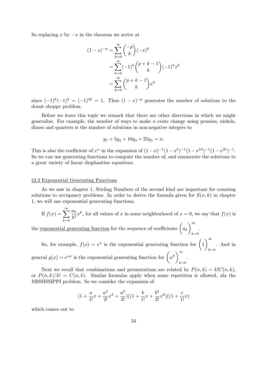So replacing *x* by *−x* in the theorem we arrive at

$$
(1-x)^{-p} = \sum_{k=0}^{\infty} {\binom{-p}{k}} (-x)^k
$$
  
= 
$$
\sum_{k=0}^{\infty} (-1)^k {\binom{p+k-1}{k}} (-1)^k x^k
$$
  
= 
$$
\sum_{k=0}^{\infty} {\binom{p+k-1}{k}} x^k
$$

since  $(-1)^k(-1)^k = (-1)^{2k} = 1$ . Thus  $(1-x)^{-p}$  generates the number of solutions to the donut shoppe problem.

Before we leave this topic we remark that there are other directions in which we might generalize. For example, the number of ways to make *n* cents change using pennies, nickels, dimes and quarters is the number of solutions in non-negative integers to

$$
y_1 + 5y_2 + 10y_3 + 25y_4 = n.
$$

This is also the coefficient of  $x^n$  in the expansion of  $(1-x)^{-1}(1-x^5)^{-1}(1-x^{10})^{-1}(1-x^{25})^{-1}$ . So we can use generating functions to compute the number of, and enumerate the solutions to a great variety of linear diophantine equations.

#### *§*3.3 Exponential Generating Functions

As we saw in chapter 1, Stirling Numbers of the second kind are important for counting solutions to occupancy problems. In order to derive the formula given for  $S(n, k)$  in chapter 1, we will use exponential generating functions.

If 
$$
f(x) = \sum_{k=0}^{\infty} \frac{a_k}{k!} x^k
$$
, for all values of x in some neighborhood of  $x = 0$ , we say that  $f(x)$  is

.

the <u>exponential generating function</u> for the sequence of coefficients  $\begin{pmatrix} a_k \end{pmatrix}$ )*<sup>∞</sup> k*=0

So, for example,  $f(x) = e^x$  is the exponential generating function for  $\left(1\right)$ )*<sup>∞</sup>*  $k=0$ . And in general  $g(x) = e^{\alpha x}$  is the exponential generating function for  $\left(\alpha^k\right)^{\infty}$ *k*=0 .

Next we recall that combinations and permutations are related by  $P(n, k) = k! C(n, k)$ , or  $P(n,k)/k! = C(n,k)$ . Similar formulas apply when some repetition is allowed, ala the MISSISSIPPI problem. So we consider the expansion of

$$
(1+\frac{a}{1!}x+\frac{a^2}{2!}x^2+\frac{a^3}{3!})((1+\frac{b}{1!}x+\frac{b^2}{2!}x^2)((1+\frac{c}{1!}x)
$$

which comes out to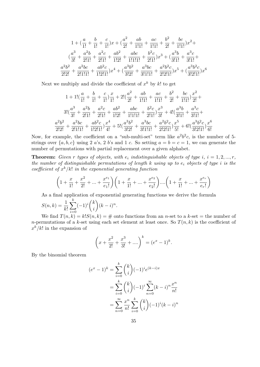$$
1 + (\frac{a}{1!} + \frac{b}{1!} + \frac{c}{1!})x + (\frac{a^2}{2!} + \frac{ab}{1!1!} + \frac{ac}{1!1!} + \frac{b^2}{2!} + \frac{bc}{1!1!})x^2 +
$$
  

$$
(\frac{a^3}{3!} + \frac{a^2b}{2!1!} + \frac{a^2c}{2!1!} + \frac{ab^2}{1!2!} + \frac{abc}{1!1!1!} + \frac{b^2c}{2!1!})x^3 + (\frac{a^3b}{3!1!} + \frac{a^3c}{3!1!} + \frac{a^2b^2}{3!1!} + \frac{a^2bc}{2!2!} + \frac{a^2bc}{2!1!1!} + \frac{ab^2c}{1!2!1!})x^4 + (\frac{a^3b^2}{3!2!} + \frac{a^3bc}{3!1!1!} + \frac{a^2b^2c}{2!2!1!})x^5 + (\frac{a^3b^2c}{3!2!1!})x^6
$$

Next we multiply and divide the coefficient of  $x^k$  by  $k!$  to get

$$
1 + 1! \left(\frac{a}{1!} + \frac{b}{1!} + \frac{c}{1!}\right) \frac{x}{1!} + 2! \left(\frac{a^2}{2!} + \frac{ab}{1!1!} + \frac{ac}{1!1!} + \frac{b^2}{2!} + \frac{bc}{1!1!}\right) \frac{x^2}{2!} +
$$
  

$$
3! \left(\frac{a^3}{3!} + \frac{a^2b}{2!1!} + \frac{a^2c}{2!1!} + \frac{ab^2}{1!2!} + \frac{abc}{1!1!1!} + \frac{b^2c}{2!1!}\right) \frac{x^3}{3!} + 4! \left(\frac{a^3b}{3!1!} + \frac{a^3c}{3!1!} + \frac{a^2b^2}{3!1!} + \frac{a^2bc}{2!2!1} + \frac{a^2bc}{2!1!1!} + \frac{ab^2c}{1!2!1!} \right) \frac{x^4}{4!} + 5! \left(\frac{a^3b^2}{3!2!} + \frac{a^3bc}{3!1!1!} + \frac{a^2b^2c}{2!2!1!}\right) \frac{x^5}{5!} + 6! \left(\frac{a^3b^2c}{3!2!1!}\right) \frac{x^6}{6!}
$$

Now, for example, the coefficient on a "sub-multi-set" term like  $a^2b^2c$ , is the number of 5strings over  $\{a, b, c\}$  using 2 *a*'s, 2 *b*'s and 1 *c*. So setting  $a = b = c = 1$ , we can generate the number of permutations with partial replacement over a given alphabet.

**Theorem:** Given r types of objects, with  $e_i$  indistinguishable objects of type  $i, i = 1, 2, ..., r$ , *the number of distinguishable permutations of length k using up to e<sup>i</sup> objects of type i is the coefficient of*  $x^k/k!$  *in the exponential generating function* 

$$
\left(1 + \frac{x}{1!} + \frac{x^2}{2!} + \dots + \frac{x^{e_1}}{e_1!}\right)\left(1 + \frac{x}{1!} + \dots + \frac{x^{e_2}}{e_2!}\right)\dots\left(1 + \frac{x}{1!} + \dots + \frac{x^{e_r}}{e_r!}\right)
$$

As a final application of exponential generating functions we derive the formula

.

$$
S(n,k) = \frac{1}{k!} \sum_{i=0}^{k} (-1)^{i} {k \choose i} (k-i)^{n}
$$

We find  $T(n, k) = k!S(n, k) = #$  onto functions from an *n*-set to a k-set = the number of *n*-permutations of a *k*-set using each set element at least once. So  $T(n, k)$  is the coefficient of  $x^k/k!$  in the expansion of

$$
\left(x + \frac{x^2}{2!} + \frac{x^3}{3!} + \dots\right)^k = (e^x - 1)^k.
$$

By the binomial theorem

$$
(e^x - 1)^k = \sum_{i=0}^k {k \choose i} (-1)^i e^{(k-i)x}
$$
  
= 
$$
\sum_{i=0}^k {k \choose i} (-1)^i \sum_{n=0}^\infty (k-i)^n \frac{x^n}{n!}
$$
  
= 
$$
\sum_{n=0}^\infty \frac{x^n}{n!} \sum_{i=0}^k {k \choose i} (-1)^i (k-i)^n
$$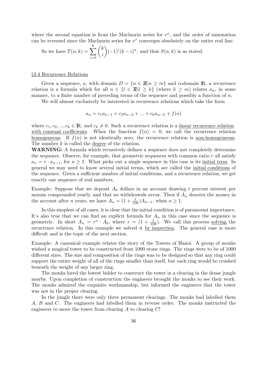where the second equation is from the Maclaurin series for  $e^x$ , and the order of summation can be reversed since the Maclaurin series for  $e^x$  converges absolutely on the entire real line.

So we have 
$$
T(n,k) = \sum_{i=0}^{k} {k \choose i} (-1)^{i} (k-i)^{n}
$$
, and thus  $S(n,k)$  is as stated.

## *§*3.4 Recurrence Relations

Given a sequence, *a*, with domain  $D = \{n \in \mathbb{Z} | n \geq m\}$  and codomain **R**, a recurrence relation is a formula which for all  $n \in \{l \in \mathbb{Z} | l \geq k\}$  (where  $k \geq m$ ) relates  $a_n$ , in some manner, to a finite number of preceding terms of the sequence and possibly a function of *n*.

We will almost exclusively be interested in recurrence relations which take the form

$$
a_n = c_1 a_{n-1} + c_2 a_{n-2} + \dots + c_k a_{n-k} + f(n)
$$

where  $c_1, c_2, ..., c_k \in \mathbb{R}$ , and  $c_k \neq 0$ . Such a recurrence relation is a linear recurrence relation with constant coefficients. When the function  $f(n) = 0$ , we call the recurrence relation homogeneous. If  $f(n)$  is not identically zero, the recurrence relation is non-homogeneous. The number *k* is called the degree of the relation.

**WARNING:** A formula which recursively defines a sequence does not completely determine the sequence. Observe, for example, that geometric sequences with common ratio *r* all satisfy  $a_n = r \cdot a_{n-1}$ , for  $n \geq 1$ . What picks out a single sequence in this case is its initial term. In general we may need to know several initial terms, which are called the initial conditions of the sequence. Given a sufficient number of initial conditions, and a recurrence relation, we get exactly one sequence of real numbers.

Example: Suppose that we deposit  $A_0$  dollars in an account drawing t percent interest per annum compounded yearly, and that no withdrawals occur. Then if *A<sup>n</sup>* denotes the money in the account after *n* years, we have  $A_n = (1 + \frac{t}{100})A_{n-1}$ , when  $n \geq 1$ .

In this simplest of all cases, it is clear that the initial condition is of paramount importance. It's also true that we can find an explicit formula for  $A_n$  in this case since the sequence is geometric. In short  $A_n = r^n \cdot A_0$ , where  $r = (1 + \frac{t}{100})$ . We call this process solving the recurrence relation. In this example we solved it by inspection. The general case is more difficult and is the topic of the next section.

Example: A canonical example relates the story of the Towers of Hanoi. A group of monks wished a magical tower to be constructed from 1000 stone rings. The rings were to be of 1000 different sizes. The size and composition of the rings was to be designed so that any ring could support the entire weight of all of the rings smaller than itself, but each ring would be crushed beneath the weight of any larger ring.

The monks hired the lowest bidder to construct the tower in a clearing in the dense jungle nearby. Upon completion of construction the engineers brought the monks to see their work. The monks admired the exquisite workmanship, but informed the engineers that the tower was not in the proper clearing.

In the jungle there were only three permanent clearings. The monks had labelled them *A*, *B* and *C*. The engineers had labelled them in reverse order. The monks instructed the engineers to move the tower from clearing *A* to clearing *C*!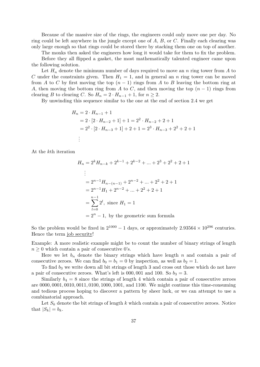Because of the massive size of the rings, the engineers could only move one per day. No ring could be left anywhere in the jungle except one of *A*, *B*, or *C*. Finally each clearing was only large enough so that rings could be stored there by stacking them one on top of another.

The monks then asked the engineers how long it would take for them to fix the problem.

Before they all flipped a gasket, the most mathematically talented engineer came upon the following solution.

Let *H<sup>n</sup>* denote the minimum number of days required to move an *n* ring tower from *A* to *C* under the constraints given. Then  $H_1 = 1$ , and in general an *n* ring tower can be moved from *A* to *C* by first moving the top  $(n-1)$  rings from *A* to *B* leaving the bottom ring at *A*, then moving the bottom ring from *A* to *C*, and then moving the top  $(n-1)$  rings from clearing *B* to clearing *C*. So  $H_n = 2 \cdot H_{n-1} + 1$ , for  $n \geq 2$ .

By unwinding this sequence similar to the one at the end of section 2.4 we get

$$
H_n = 2 \cdot H_{n-1} + 1
$$
  
= 2 \cdot [2 \cdot H\_{n-2} + 1] + 1 = 2<sup>2</sup> \cdot H\_{n-2} + 2 + 1  
= 2<sup>2</sup> \cdot [2 \cdot H\_{n-3} + 1] + 2 + 1 = 2<sup>3</sup> \cdot H\_{n-3} + 2<sup>2</sup> + 2 + 1  
:

At the *k*th iteration

$$
H_n = 2^k H_{n-k} + 2^{k-1} + 2^{k-2} + \dots + 2^3 + 2^2 + 2 + 1
$$
  
\n
$$
\vdots
$$
  
\n
$$
= 2^{n-1} H_{n-(n-1)} + 2^{n-2} + \dots + 2^2 + 2 + 1
$$
  
\n
$$
= 2^{n-1} H_1 + 2^{n-2} + \dots + 2^2 + 2 + 1
$$
  
\n
$$
= \sum_{l=0}^{n-1} 2^l, \text{ since } H_1 = 1
$$
  
\n
$$
= 2^n - 1, \text{ by the geometric sum formula}
$$

So the problem would be fixed in  $2^{1000} - 1$  days, or approximately  $2.93564 \times 10^{296}$  centuries. Hence the term job security!

Example: A more realistic example might be to count the number of binary strings of length  $n \geq 0$  which contain a pair of consecutive 0's.

Here we let  $b_n$  denote the binary strings which have length  $n$  and contain a pair of consecutive zeroes. We can find  $b_0 = b_1 = 0$  by inspection, as well as  $b_2 = 1$ .

To find  $b_3$  we write down all bit strings of length 3 and cross out those which do not have a pair of consecutive zeroes. What's left is  $000, 001$  and  $100$ . So  $b_3 = 3$ .

Similarly  $b_4 = 8$  since the strings of length 4 which contain a pair of consecutive zeroes are 0000*,* 0001*,* 0010*,* 0011*,* 0100*,* 1000*,* 1001*,* and 1100. We might continue this time-consuming and tedious process hoping to discover a pattern by sheer luck, or we can attempt to use a combinatorial approach.

Let  $S_k$  denote the bit strings of length  $k$  which contain a pair of consecutive zeroes. Notice that  $|S_k| = b_k$ .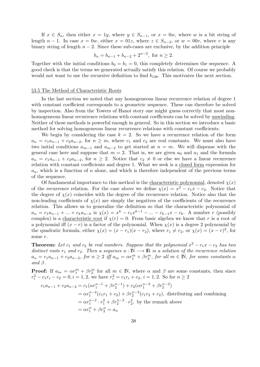If  $x \in S_n$ , then either  $x = 1y$ , where  $y \in S_{n-1}$ , or  $x = 0w$ , where w is a bit string of length  $n-1$ . In case  $x = 0w$ , either  $x = 01z$ , where  $z \in S_{n-2}$ , or  $w = 00v$ , where v is any binary string of length  $n-2$ . Since these sub-cases are exclusive, by the addition principle

$$
b_n = b_{n-1} + b_{n-2} + 2^{n-2}, \text{ for } n \ge 2.
$$

Together with the initial conditions  $b_0 = b_1 = 0$ , this completely determines the sequence. A good check is that the terms we generated actually satisfy this relation. Of course we probably would not want to use the recursive definition to find  $b_{128}$ . This motivates the next section.

### *§*3.5 The Method of Characteristic Roots

In the last section we noted that any homogeneous linear recurrence relation of degree 1 with constant coefficient corresponds to a geometric sequence. These can therefore be solved by inspection. Also from the Towers of Hanoi story one might guess correctly that most nonhomogeneous linear recurrence relations with constant coefficients can be solved by unwinding. Neither of these methods is powerful enough in general. So in this section we introduce a basic method for solving homogeneous linear recurrence relations with constant coefficients.

We begin by considering the case  $k = 2$ . So we have a recurrence relation of the form  $a_n = c_1 a_{n-1} + c_2 a_{n-2}$ , for  $n \geq m$ , where  $c_1$  and  $c_2$  are real constants. We must also have two initial conditions  $a_{m-1}$  and  $a_{m-2}$  to get started at  $n = m$ . We will dispense with the general case here and suppose that  $m = 2$ . That is, we are given  $a_0$  and  $a_1$  and the formula  $a_n = c_1 a_{n-1} + c_2 a_{n-2}$ , for  $n \geq 2$ . Notice that  $c_2 \neq 0$  or else we have a linear recurrence relation with constant coefficients and degree 1. What we seek is a closed form expression for  $a_n$ , which is a function of *n* alone, and which is therefore independent of the previous terms of the sequence.

Of fundamental importance to this method is the characteristic polynomial, denoted  $\chi(x)$ of the recurrence relation. For the case above we define  $\chi(x) = x^2 - c_1x - c_2$ . Notice that the degree of  $\chi(x)$  coincides with the degree of the recurrence relation. Notice also that the non-leading coefficients of  $\chi(x)$  are simply the negatives of the coefficients of the recurrence relation. This allows us to generalize the definition so that the characteristic polynomial of  $a_n = c_1 a_{n-1} + ... + c_k a_{n-k}$  is  $\chi(x) = x^k - c_1 x^{k-1} - ... - c_{k-1} x - c_k$ . A number r (possibly complex) is a <u>characteristic root</u> if  $\chi(r) = 0$ . From basic algebra we know that *r* is a root of a polynomial iff  $(x - r)$  is a factor of the polynomial. When  $\chi(x)$  is a degree 2 polynomial by the quadratic formula, either  $\chi(x) = (x - r_1)(x - r_2)$ , where  $r_1 \neq r_2$ , or  $\chi(x) = (x - r)^2$ , for some *r*.

**Theorem:** Let  $c_1$  and  $c_2$  be real numbers. Suppose that the polynomial  $x^2 - c_1x - c_2$  has two *distinct roots*  $r_1$  *and*  $r_2$ *. Then a sequence*  $a : \mathbb{N} \longrightarrow \mathbb{R}$  *is a solution of the recurrence relation*  $a_n = c_1 a_{n-1} + c_2 a_{n-2}$ , for  $n \ge 2$  iff  $a_m = \alpha r_1^m + \beta r_2^m$ , for all  $m \in \mathbb{N}$ , for some constants  $\alpha$ *and β.*

**Proof:** If  $a_m = \alpha r_1^m + \beta r_2^m$  for all  $m \in \mathbb{N}$ , where  $\alpha$  and  $\beta$  are some constants, then since  $r_i^2 - c_1 r_i - c_2 = 0, i = 1, 2$ , we have  $r_i^2 = c_1 r_i + c_2, i = 1, 2$ . So for  $n \ge 2$ 

$$
c_1 a_{n-1} + c_2 a_{n-2} = c_1 (\alpha r_1^{n-1} + \beta r_2^{n-1}) + c_2 (\alpha r_1^{n-2} + \beta r_2^{n-2})
$$
  
=  $\alpha r_1^{n-2} (c_1 r_1 + c_2) + \beta r_2^{n-2} (c_1 r_2 + c_2)$ , distributing and combining  
=  $\alpha r_1^{n-2} \cdot r_1^2 + \beta r_2^{n-2} \cdot r_2^2$ , by the remark above  
=  $\alpha r_1^n + \beta r_2^n = a_n$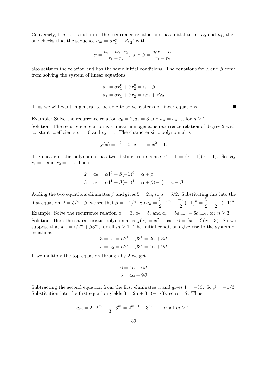Conversely, if  $a$  is a solution of the recurrence relation and has initial terms  $a_0$  and  $a_1$ , then one checks that the sequence  $a_m = \alpha r_1^m + \beta r_2^m$  with

$$
\alpha = \frac{a_1 - a_0 \cdot r_2}{r_1 - r_2}
$$
, and  $\beta = \frac{a_0 r_1 - a_1}{r_1 - r_2}$ 

also satisfies the relation and has the same initial conditions. The equations for  $\alpha$  and  $\beta$  come from solving the system of linear equations

$$
a_0 = \alpha r_1^0 + \beta r_2^0 = \alpha + \beta
$$
  

$$
a_1 = \alpha r_1^1 + \beta r_2^1 = \alpha r_1 + \beta r_2
$$

 $\blacksquare$ 

Thus we will want in general to be able to solve systems of linear equations.

Example: Solve the recurrence relation  $a_0 = 2, a_1 = 3$  and  $a_n = a_{n-2}$ , for  $n \geq 2$ .

Solution: The recurrence relation is a linear homogeneous recurrence relation of degree 2 with constant coefficients  $c_1 = 0$  and  $c_2 = 1$ . The characterisitic polynomial is

$$
\chi(x) = x^2 - 0 \cdot x - 1 = x^2 - 1.
$$

The characteristic polynomial has two distinct roots since  $x^2 - 1 = (x - 1)(x + 1)$ . So say  $r_1 = 1$  and  $r_2 = -1$ . Then

$$
2 = a_0 = \alpha 1^0 + \beta(-1)^0 = \alpha + \beta
$$
  
3 = a<sub>1</sub> =  $\alpha 1^1 + \beta(-1)^1 = \alpha + \beta(-1) = \alpha - \beta$ 

Adding the two equations eliminates  $\beta$  and gives  $5 = 2\alpha$ , so  $\alpha = 5/2$ . Substituting this into the first equation,  $2 = 5/2 + \beta$ , we see that  $\beta = -1/2$ . So  $a_n = \frac{5}{2}$  $\frac{5}{2} \cdot 1^n + \frac{-1}{2}$  $\frac{-1}{2}(-1)^n = \frac{5}{2}$  $\frac{5}{2}$  – 1  $\frac{1}{2} \cdot (-1)^n$ . Example: Solve the recurrence relation  $a_1 = 3$ ,  $a_2 = 5$ , and  $a_n = 5a_{n-1} - 6a_{n-2}$ , for  $n \ge 3$ . Solution: Here the characteristic polynomial is  $\chi(x) = x^2 - 5x + 6 = (x - 2)(x - 3)$ . So we suppose that  $a_m = \alpha 2^m + \beta 3^m$ , for all  $m \ge 1$ . The initial conditions give rise to the system of equations

$$
3 = a_1 = \alpha 2^1 + \beta 3^1 = 2\alpha + 3\beta
$$
  

$$
5 = a_2 = \alpha 2^2 + \beta 3^2 = 4\alpha + 9\beta
$$

If we multiply the top equation through by 2 we get

$$
6 = 4\alpha + 6\beta
$$

$$
5 = 4\alpha + 9\beta
$$

Subtracting the second equation from the first eliminates  $\alpha$  and gives  $1 = -3\beta$ . So  $\beta = -1/3$ . Substitution into the first equation yields  $3 = 2\alpha + 3 \cdot (-1/3)$ , so  $\alpha = 2$ . Thus

$$
a_m = 2 \cdot 2^m - \frac{1}{3} \cdot 3^m = 2^{m+1} - 3^{m-1}
$$
, for all  $m \ge 1$ .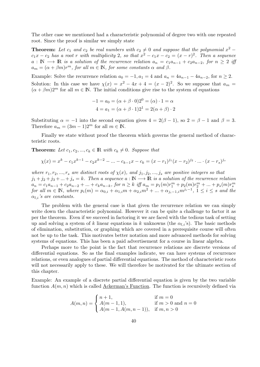The other case we mentioned had a characteristic polynomial of degree two with one repeated root. Since the proof is similar we simply state

**Theorem:** Let  $c_1$  and  $c_2$  be real numbers with  $c_2 \neq 0$  and suppose that the polynomial  $x^2$  $c_1x - c_2$  *has a root r with multiplicity* 2*, so that*  $x^2 - c_1x - c_2 = (x - r)^2$ . Then a sequence *a* : **N** → **R** *is a solution of the recurrence relation*  $a_n = c_1 a_{n-1} + c_2 a_{n-2}$ , for  $n \geq 2$  *iff*  $a_m = (\alpha + \beta m)r^m$ , for all  $m \in \mathbb{N}$ , for some constants  $\alpha$  and  $\beta$ .

Example: Solve the recurrence relation  $a_0 = -1, a_1 = 4$  and  $a_n = 4a_{n-1} - 4a_{n-2}$ , for  $n \ge 2$ . Solution: In this case we have  $\chi(x) = x^2 - 4x + 4 = (x - 2)^2$ . So we suppose that  $a_m =$  $(\alpha + \beta m)2^m$  for all  $m \in \mathbb{N}$ . The initial conditions give rise to the system of equations

$$
-1 = a_0 = (\alpha + \beta \cdot 0)2^0 = (\alpha) \cdot 1 = \alpha
$$
  

$$
4 = a_1 = (\alpha + \beta \cdot 1)2^1 = 2(\alpha + \beta) \cdot 2
$$

Substituting  $\alpha = -1$  into the second equation gives  $4 = 2(\beta - 1)$ , so  $2 = \beta - 1$  and  $\beta = 3$ . Therefore  $a_m = (3m - 1)2^m$  for all  $m \in \mathbb{N}$ .

Finally we state without proof the theorem which governs the general method of characteristic roots.

**Theorem:** Let  $c_1, c_2, ..., c_k \in \mathbb{R}$  with  $c_k \neq 0$ . Suppose that

$$
\chi(x) = x^k - c_1 x^{k-1} - c_2 x^{k-2} - \dots - c_{k-1} x - c_k = (x - r_1)^{j_1} (x - r_2)^{j_2} \cdot \dots \cdot (x - r_s)^{j_s}
$$

*where*  $r_1, r_2, \ldots, r_s$  *are distinct roots of*  $\chi(x)$ *, and*  $j_1, j_2, \ldots, j_s$  *are positive integers so that*  $j_1 + j_2 + j_3 + ... + j_s = k$ . Then a sequence  $a : \mathbb{N} \longrightarrow \mathbb{R}$  is a solution of the recurrence relation  $a_n = c_1 a_{n-1} + c_2 a_{n-2} + \ldots + c_k a_{n-k}$ , for  $n \ge k$  iff  $a_m = p_1(m)r_1^m + p_2(m)r_2^m + \ldots + p_s(m)r_s^m$ <br>for all  $m \in \mathbb{N}$ , where  $p_i(m) = \alpha_{0,i} + \alpha_{1,i}m + \alpha_{2,i}m^2 + \ldots + \alpha_{j_i-1,i}m^{j_i-1}$ ,  $1 \le i \le s$  and the *αl,i's are constants.*

The problem with the general case is that given the recurrence relation we can simply write down the characteristic polynomial. However it can be quite a challenge to factor it as per the theorem. Even if we succeed in factoring it we are faced with the tedious task of setting up and solving a system of *k* linear equations in *k* unknowns (the  $\alpha_{l,i}$ 's). The basic methods of elimination, substitution, or graphing which are covered in a prerequisite course will often not be up to the task. This motivates better notation and more advanced methods for solving systems of equations. This has been a paid advertisement for a course in linear algebra.

Perhaps more to the point is the fact that recurrence relations are discrete versions of differential equations. So as the final examples indicate, we can have systems of recurrence relations, or even analogues of partial differential equations. The method of characteristic roots will not necessarily apply to these. We will therefore be motivated for the ultimate section of this chapter.

Example: An example of a discrete partial differential equation is given by the two variable function  $A(m, n)$  which is called Ackerman's Function. The function is recursively defined via

$$
A(m,n) = \begin{cases} n+1, & \text{if } m = 0\\ A(m-1,1), & \text{if } m > 0 \text{ and } n = 0\\ A(m-1, A(m,n-1)), & \text{if } m, n > 0 \end{cases}
$$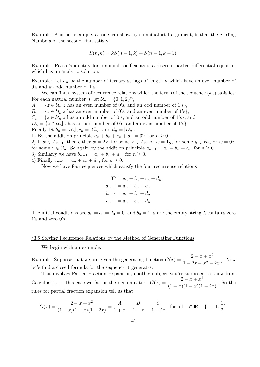Example: Another example, as one can show by combinatorial argument, is that the Stirling Numbers of the second kind satisfy

$$
S(n,k) = kS(n-1,k) + S(n-1,k-1).
$$

Example: Pascal's identity for binomial coefficients is a discrete partial differential equation which has an analytic solution.

Example: Let *a<sup>n</sup>* be the number of ternary strings of length *n* which have an even number of 0's and an odd number of 1's.

We can find a system of recurrence relations which the terms of the sequence  $(a_n)$  satisfies: For each natural number *n*, let  $\mathcal{U}_n = \{0, 1, 2\}^n$ ,

 $A_n = \{z \in \mathcal{U}_n | z \text{ has an even number of 0's, and an odd number of 1's}\},\$  $B_n = \{z \in \mathcal{U}_n | z \text{ has an even number of 0's, and an even number of 1's}\},\$  $C_n = \{z \in \mathcal{U}_n | z \text{ has an odd number of 0's, and an odd number of 1's}\},\$  $D_n = \{z \in \mathcal{U}_n | z \text{ has an odd number of 0's, and an even number of 1's}\}.$ Finally let  $b_n = |B_n|, c_n = |C_n|$ , and  $d_n = |D_n|$ .

1) By the addition principle  $a_n + b_n + c_n + d_n = 3^n$ , for  $n \ge 0$ .

2) If  $w \in A_{n+1}$ , then either  $w = 2x$ , for some  $x \in A_n$ , or  $w = 1y$ , for some  $y \in B_n$ , or  $w = 0z$ , for some  $z \in C_n$ . So again by the addition principle  $a_{n+1} = a_n + b_n + c_n$ , for  $n \ge 0$ . 3) Similarly we have  $b_{n+1} = a_n + b_n + d_n$ , for  $n \geq 0$ .

4) Finally  $c_{n+1} = a_n + c_n + d_n$ , for  $n \ge 0$ .

Now we have four sequences which satisfy the four recurrence relations

$$
3n = an + bn + cn + dn
$$

$$
an+1 = an + bn + cn
$$

$$
bn+1 = an + bn + dn
$$

$$
cn+1 = an + cn + dn
$$

The initial conditions are  $a_0 = c_0 = d_0 = 0$ , and  $b_0 = 1$ , since the empty string  $\lambda$  contains zero 1's and zero 0's

### *§*3.6 Solving Recurrence Relations by the Method of Generating Functions

We begin with an example.

Example: Suppose that we are given the generating function  $G(x) = \frac{2 - x + x^2}{2}$  $\frac{2}{1-2x-x^2+2x^3}$ . Now let's find a closed formula for the sequence it generates.

This involves Partial Fraction Expansion, another subject you're supposed to know from Calculus II. In this case we factor the denominator.  $G(x) = \frac{2-x+x^2}{(1-x)(1-x)(1-x)}$  $\frac{2}{(1+x)(1-x)(1-2x)}$ . So the rules for partial fraction expansion tell us that

$$
G(x) = \frac{2 - x + x^2}{(1 + x)(1 - x)(1 - 2x)} = \frac{A}{1 + x} + \frac{B}{1 - x} + \frac{C}{1 - 2x}, \text{ for all } x \in \mathbb{R} - \{-1, 1, \frac{1}{2}\}.
$$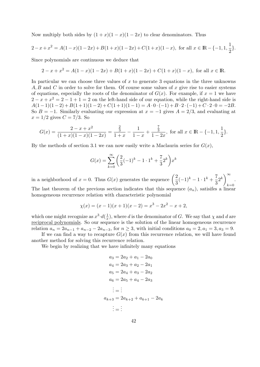Now multiply both sides by  $(1 + x)(1 - x)(1 - 2x)$  to clear denominators. Thus

$$
2 - x + x^{2} = A(1 - x)(1 - 2x) + B(1 + x)(1 - 2x) + C(1 + x)(1 - x), \text{ for all } x \in \mathbb{R} - \{-1, 1, \frac{1}{2}\}.
$$

Since polynomials are continuous we deduce that

$$
2 - x + x2 = A(1 - x)(1 - 2x) + B(1 + x)(1 - 2x) + C(1 + x)(1 - x), \text{ for all } x \in \mathbb{R}.
$$

In particular we can choose three values of *x* to generate 3 equations in the three unknowns *A, B* and *C* in order to solve for them. Of course some values of *x* give rise to easier systems of equations, especially the roots of the denominator of  $G(x)$ . For example, if  $x = 1$  we have  $2 - x + x^2 = 2 - 1 + 1 = 2$  on the left-hand side of our equation, while the right-hand side is  $A(1-1)(1-2) + B(1+1)(1-2) + C(1+1)(1-1) = A \cdot 0 \cdot (-1) + B \cdot 2 \cdot (-1) + C \cdot 2 \cdot 0 = -2B.$ So  $B = -1$ . Similarly evaluating our expression at  $x = -1$  gives  $A = 2/3$ , and evaluating at  $x = 1/2$  gives  $C = 7/3$ . So

$$
G(x) = \frac{2 - x + x^2}{(1 + x)(1 - x)(1 - 2x)} = \frac{\frac{2}{3}}{1 + x} - \frac{1}{1 - x} + \frac{\frac{7}{3}}{1 - 2x},
$$
 for all  $x \in \mathbb{R} - \{-1, 1, \frac{1}{2}\}.$ 

By the methods of section 3.1 we can now easily write a Maclaurin series for  $G(x)$ ,

$$
G(x) = \sum_{k=0}^{\infty} \left( \frac{2}{3} (-1)^k - 1 \cdot 1^k + \frac{7}{3} 2^k \right) x^k
$$

in a neighborhood of  $x = 0$ . Thus  $G(x)$  generates the sequence  $\left(\frac{2}{2}\right)$  $\frac{2}{3}(-1)^k - 1 \cdot 1^k + \frac{7}{3}$  $\left(\frac{7}{3}2^k\right)_{k=1}^{\infty}$  $k=0$ *.* The last theorem of the previous section indicates that this sequence  $(a_n)$ , satisfies a linear homogeneous recurrence relation with characteristic polynomial

$$
\chi(x) = (x - 1)(x + 1)(x - 2) = x^3 - 2x^2 - x + 2,
$$

which one might recognize as  $x^3 \cdot d(\frac{1}{x})$  $\frac{1}{x}$ , where *d* is the denominator of *G*. We say that *χ* and *d* are reciprocal polynomials. So our sequence is the solution of the linear homogeneous recurrence relation  $a_n = 2a_{n-1} + a_{n-2} - 2a_{n-3}$ , for  $n \ge 3$ , with initial conditions  $a_0 = 2, a_1 = 3, a_3 = 9$ .

If we can find a way to recapture  $G(x)$  from this recurrence relation, we will have found another method for solving this recurrence relation.

We begin by realizing that we have infinitely many equations

$$
a_3 = 2a_2 + a_1 - 2a_0
$$
  
\n
$$
a_4 = 2a_3 + a_2 - 2a_1
$$
  
\n
$$
a_5 = 2a_4 + a_3 - 2a_2
$$
  
\n
$$
a_6 = 2a_5 + a_4 - 2a_3
$$
  
\n
$$
\vdots = \vdots
$$
  
\n
$$
a_{k+3} = 2a_{k+2} + a_{k+1} - 2a_k
$$
  
\n
$$
\vdots = \vdots
$$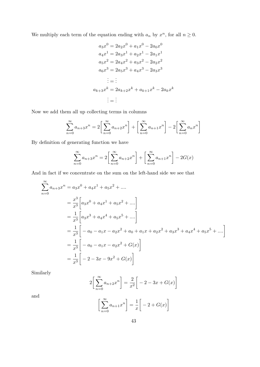We multiply each term of the equation ending with  $a_n$  by  $x^n$ , for all  $n \geq 0$ .

$$
a_3x^0 = 2a_2x^0 + a_1x^0 - 2a_0x^0
$$
  
\n
$$
a_4x^1 = 2a_3x^1 + a_2x^1 - 2a_1x^1
$$
  
\n
$$
a_5x^2 = 2a_4x^2 + a_3x^2 - 2a_2x^2
$$
  
\n
$$
a_6x^3 = 2a_5x^3 + a_4x^3 - 2a_3x^3
$$
  
\n
$$
\vdots = \vdots
$$
  
\n
$$
a_{k+3}x^k = 2a_{k+2}x^k + a_{k+1}x^k - 2a_kx^k
$$
  
\n
$$
\vdots = \vdots
$$

Now we add them all up collecting terms in columns

$$
\sum_{n=0}^{\infty} a_{n+3} x^n = 2 \left[ \sum_{n=0}^{\infty} a_{n+2} x^n \right] + \left[ \sum_{n=0}^{\infty} a_{n+1} x^n \right] - 2 \left[ \sum_{n=0}^{\infty} a_n x^n \right]
$$

By definition of generating function we have

$$
\sum_{n=0}^{\infty} a_{n+3} x^n = 2 \left[ \sum_{n=0}^{\infty} a_{n+2} x^n \right] + \left[ \sum_{n=0}^{\infty} a_{n+1} x^n \right] - 2G(x)
$$

And in fact if we concentrate on the sum on the left-hand side we see that

$$
\sum_{n=0}^{\infty} a_{n+3}x^n = a_3x^0 + a_4x^1 + a_5x^2 + \dots
$$
  
\n
$$
= \frac{x^3}{x^3} \left[ a_3x^0 + a_4x^1 + a_5x^2 + \dots \right]
$$
  
\n
$$
= \frac{1}{x^3} \left[ a_3x^3 + a_4x^4 + a_5x^5 + \dots \right]
$$
  
\n
$$
= \frac{1}{x^3} \left[ -a_0 - a_1x - a_2x^2 + a_0 + a_1x + a_2x^2 + a_3x^3 + a_4x^4 + a_5x^5 + \dots \right]
$$
  
\n
$$
= \frac{1}{x^3} \left[ -a_0 - a_1x - a_2x^2 + G(x) \right]
$$
  
\n
$$
= \frac{1}{x^3} \left[ -2 - 3x - 9x^2 + G(x) \right]
$$

Similarly

$$
2\left[\sum_{n=0}^{\infty} a_{n+2} x^n\right] = \frac{2}{x^2} \left[ -2 - 3x + G(x) \right]
$$

and

$$
\left[\sum_{n=0}^{\infty} a_{n+1} x^n\right] = \frac{1}{x} \left[-2 + G(x)\right]
$$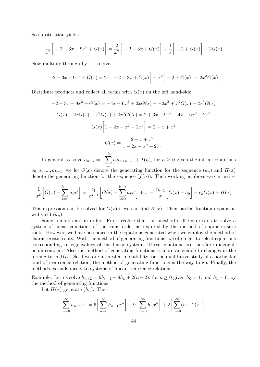So substitution yields

$$
\frac{1}{x^3} \bigg[ -2 - 3x - 9x^2 + G(x) \bigg] = \frac{2}{x^2} \bigg[ -2 - 3x + G(x) \bigg] + \frac{1}{x} \bigg[ -2 + G(x) \bigg] - 2G(x)
$$

Now multiply through by  $x^3$  to give

$$
-2 - 3x - 9x^2 + G(x) = 2x \left[ -2 - 3x + G(x) \right] + x^2 \left[ -2 + G(x) \right] - 2x^3 G(x)
$$

Distribute products and collect all terms with  $G(x)$  on the left hand-side

$$
-2 - 3x - 9x^{2} + G(x) = -4x - 6x^{2} + 2xG(x) + -2x^{2} + x^{2}G(x) - 2x^{3}G(x)
$$

$$
G(x) - 2xG(x) - x^{2}G(x) + 2x^{3}G(x) = 2 + 3x + 9x^{2} - 4x - 6x^{2} - 2x^{2}
$$

$$
G(x)\left[1 - 2x - x^{2} + 2x^{3}\right] = 2 - x + x^{2}
$$

$$
G(x) = \frac{2 - x + x^{2}}{1 - 2x - x^{2} + 2x^{3}}
$$

In general to solve  $a_{n+k} = \left[\sum_{k=1}^{k} a_k\right]$ *i*=1 *cian*+*k−<sup>i</sup>* ]  $f(n)$ , for  $n \geq 0$  given the initial conditions

 $a_0, a_1, \ldots, a_{k-1}$ , we let  $G(x)$  denote the generating function for the sequence  $(a_n)$  and  $H(x)$ denote the generating function for the sequence  $(f(n))$ . Then working as above we can write

$$
\frac{1}{x^k} \left[ G(x) - \sum_{i=0}^{k-1} a_i x^i \right] = \frac{c_1}{x^{k-1}} \left[ G(x) - \sum_{i=0}^{k-2} a_i x^i \right] + \dots + \frac{c_{k-1}}{x} \left[ G(x) - a_0 \right] + c_k G(x) + H(x)
$$

This expression can be solved for  $G(x)$  if we can find  $H(x)$ . Then partial fraction expansion will yield  $(a_n)$ .

Some remarks are in order. First, realize that this method still requires us to solve a system of linear equations of the same order as required by the method of characterisitic roots. However, we have no choice in the equations generated when we employ the method of characteristic roots. With the method of generating functions, we often get to select equations corresponding to eigenvalues of the linear system. These equations are therefore diagonal, or un-coupled. Also the method of generating functions is more amenable to changes in the forcing term  $f(n)$ . So if we are interested in stabililty, or the qualitative study of a particular kind of recurrence relation, the method of generating functions is the way to go. Finally, the methods extends nicely to systems of linear recurrence relations.

Example: Let us solve  $h_{n+2} = 6h_{n+1} - 9h_n + 2(n+2)$ , for  $n \ge 0$  given  $h_0 = 1$ , and  $h_1 = 0$ , by the method of generating functions.

Let  $H(x)$  generate  $(h_n)$ . Then

$$
\sum_{n=0}^{\infty} h_{n+2} x^n = 6 \left[ \sum_{n=0}^{\infty} h_{n+1} x^n \right] - 9 \left[ \sum_{n=0}^{\infty} h_n x^n \right] + 2 \left[ \sum_{n=0}^{\infty} (n+2) x^n \right]
$$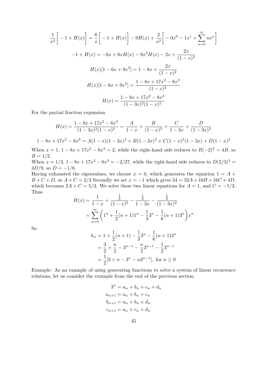$$
\frac{1}{x^2} \left[ -1 + H(x) \right] = \frac{6}{x} \left[ -1 + H(x) \right] - 9H(x) + \frac{2}{x^2} \left[ -0x^0 - 1x^1 + \sum_{n=0}^{\infty} nx^n \right]
$$

$$
-1 + H(x) = -6x + 6xH(x) - 9x^2H(x) - 2x + \frac{2x}{(1-x)^2}
$$

$$
H(x)[1 - 6x + 9x^2] = 1 - 8x + \frac{2x}{(1-x)^2}
$$

$$
H(x)[1 - 6x + 9x^2] = \frac{1 - 8x + 17x^2 - 8x^3}{(1-x)^2}
$$

$$
H(x) = \frac{1 - 8x + 17x^2 - 8x^3}{(1 - 3x)^2(1 - x)^2}
$$

For the partial fraction expansion

$$
H(x) = \frac{1 - 8x + 17x^2 - 8x^3}{(1 - 3x)^2(1 - x)^2} = \frac{A}{1 - x} + \frac{B}{(1 - x)^2} + \frac{C}{1 - 3x} + \frac{D}{(1 - 3x)^2}
$$

$$
1 - 8x + 17x^2 - 8x^3 = A(1 - x)(1 - 3x)^2 + B(1 - 3x)^2 + C(1 - x)^2(1 - 3x) + D(1 - x)^2
$$

When  $x = 1$ ,  $1 - 8x + 17x^2 - 8x^3 = 2$ , while the right-hand side reduces to  $B(-2)^2 = 4B$ , so  $B = 1/2$ .

When  $x = 1/3$ ,  $1 - 8x + 17x^2 - 8x^3 = -2/27$ , while the right-hand side reduces to  $D(2/3)^2 =$  $4D/9$ , so  $D = -1/6$ .

Having exhausted the eigenvalues, we choose  $x = 0$ , which generates the equation  $1 = A +$  $B + C + D$ , so  $A + C = 2/3$  Secondly we set  $x = -1$  which gives  $34 = 32A + 16B + 16C + 4D$ , which becomes  $2A + C = 5/3$ . We solve these two linear equations for  $A = 1$ , and  $C = -1/3$ . Thus

$$
H(x) = \frac{1}{1-x} + \frac{\frac{1}{2}}{(1-x)^2} - \frac{\frac{1}{3}}{1-3x} - \frac{\frac{1}{6}}{(1-3x)^2}
$$
  
= 
$$
\sum_{n=0}^{\infty} \left(1^n + \frac{1}{2}(n+1)1^n - \frac{1}{3}3^n - \frac{1}{6}(n+1)3^n\right) x^n
$$

So

$$
h_n = 1 + \frac{1}{2}(n+1) - \frac{1}{3}3^n - \frac{1}{6}(n+1)3^n
$$
  
=  $\frac{3}{2} + \frac{n}{2} - 3^{n-1} - \frac{n}{2}3^{n-1} - \frac{1}{2}3^{n-1}$   
=  $\frac{1}{2}[3 + n - 3^n - n3^{n-1}],$  for  $n \ge 0$ 

Example: As an example of using generating functions to solve a system of linear recurrence relations, let us consider the example from the end of the previous section.

> $3^n = a_n + b_n + c_n + d_n$  $a_{n+1} = a_n + b_n + c_n$  $b_{n+1} = a_n + b_n + d_n$  $c_{n+1} = a_n + c_n + d_n$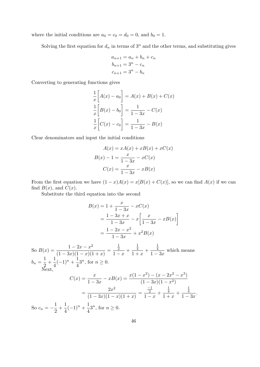where the initial conditions are  $a_0 = c_0 = d_0 = 0$ , and  $b_0 = 1$ .

Solving the first equation for  $d_n$  in terms of  $3^n$  and the other terms, and substituting gives

$$
a_{n+1} = a_n + b_n + c_n
$$
  
\n
$$
b_{n+1} = 3^n - c_n
$$
  
\n
$$
c_{n+1} = 3^n - b_n
$$

Converting to generating functions gives

$$
\frac{1}{x}\left[A(x) - a_0\right] = A(x) + B(x) + C(x)
$$

$$
\frac{1}{x}\left[B(x) - b_0\right] = \frac{1}{1 - 3x} - C(x)
$$

$$
\frac{1}{x}\left[C(x) - c_0\right] = \frac{1}{1 - 3x} - B(x)
$$

Clear denominators and input the initial conditions

$$
A(x) = xA(x) + xB(x) + xC(x)
$$

$$
B(x) - 1 = \frac{x}{1 - 3x} - xC(x)
$$

$$
C(x) = \frac{x}{1 - 3x} - xB(x)
$$

From the first equation we have  $(1 - x)A(x) = x[B(x) + C(x)]$ , so we can find  $A(x)$  if we can find  $B(x)$ , and  $C(x)$ .

Substitute the third equation into the second

$$
B(x) = 1 + \frac{x}{1 - 3x} - xC(x)
$$
  
\n
$$
= \frac{1 - 3x + x}{1 - 3x} - x\left[\frac{x}{1 - 3x} - xB(x)\right]
$$
  
\n
$$
= \frac{1 - 2x - x^2}{1 - 3x} + x^2B(x)
$$
  
\nSo  $B(x) = \frac{1 - 2x - x^2}{(1 - 3x)(1 - x)(1 + x)} = \frac{\frac{1}{2}}{1 - x} + \frac{\frac{1}{4}}{1 + x} + \frac{\frac{1}{4}}{1 - 3x}$  which means  
\n
$$
b_n = \frac{1}{2} + \frac{1}{4}(-1)^n + \frac{1}{4}3^n, \text{ for } n \ge 0.
$$
  
\nNext,  
\n
$$
C(x) = \frac{x}{1 - 3x} - xB(x) = \frac{x(1 - x^2) - (x - 2x^2 - x^3)}{(1 - 3x)(1 - x^2)}
$$
  
\n
$$
= \frac{2x^2}{(1 - 3x)(1 - x)(1 + x)} = \frac{\frac{-1}{2}}{1 - x} + \frac{\frac{1}{4}}{1 + x} + \frac{\frac{1}{4}}{1 - 3x}.
$$
  
\nSo  $c_n = -\frac{1}{2} + \frac{1}{4}(-1)^n + \frac{1}{4}3^n$ , for  $n \ge 0$ .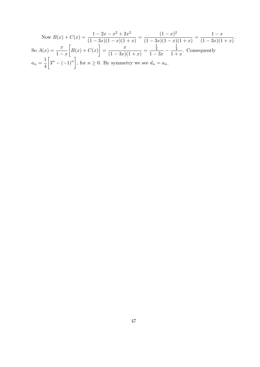Now 
$$
B(x) + C(x) = \frac{1 - 2x - x^2 + 2x^2}{(1 - 3x)(1 - x)(1 + x)} = \frac{(1 - x)^2}{(1 - 3x)(1 - x)(1 + x)} = \frac{1 - x}{(1 - 3x)(1 + x)}
$$
.  
So  $A(x) = \frac{x}{1 - x} \left[ B(x) + C(x) \right] = \frac{x}{(1 - 3x)(1 + x)} = \frac{\frac{1}{4}}{1 - 3x} - \frac{\frac{1}{4}}{1 + x}$ . Consequently  

$$
a_n = \frac{1}{4} \left[ 3^n - (-1)^n \right]
$$
, for  $n \ge 0$ . By symmetry we see  $d_n = a_n$ .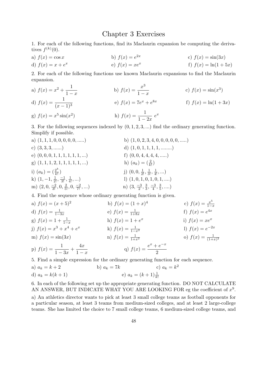## Chapter 3 Exercises

1. For each of the following functions, find its Maclaurin expansion be computing the derivatives  $f^{(k)}(0)$ .

a) 
$$
f(x) = \cos x
$$
  
b)  $f(x) = e^{2x}$   
c)  $f(x) = \sin(3x)$ 

d) 
$$
f(x) = x + e^x
$$
 e)  $f(x) = xe^x$  f)  $f(x) = \ln(1 + 5x)$ 

2. For each of the following functions use known Maclaurin expansions to find the Maclaurin expansion.

a)  $f(x) = x^2 + \frac{1}{1}$ 1 *− x* b)  $f(x) = \frac{x^3}{1}$ 1 *− x* c)  $f(x) = \sin(x^3)$ d)  $f(x) = \frac{1}{x}$  $(x - 1)^3$ e)  $f(x) = 7e^x + e^{8x}$ f)  $f(x) = \ln(1+3x)$ g)  $f(x) = x^5 \sin(x^2)$ ) h)  $f(x) = \frac{1}{1}$  $\frac{1}{1-2x}e^x$ 

3. For the following sequences indexed by (0*,* 1*,* 2*,* 3*, ...*) find the ordinary generating function. Simplify if possible.

a) (1*,* 1*,* 1*,* 0*,* 0*,* 0*,* 0*,* 0*, .....*) b) (1*,* 0*,* 2*,* 3*,* 4*,* 0*,* 0*,* 0*,* 0*,* 0*, .....*) c) (3*,* 3*,* 3*, ......*) d) (1*,* 0*,* 1*,* 1*,* 1*,* 1*, ........*) e) (0*,* 0*,* 0*,* 1*,* 1*,* 1*,* 1*,* 1*,* 1*, ...*) f) (0*,* 0*,* 4*,* 4*,* 4*,* 4*, .....*)  $(g)$   $(1, 1, 1, 2, 1, 1, 1, 1, 1, \ldots)$  $\frac{2}{k!}$ i)  $(a_k) = (\frac{2^k}{k!}$ *k*! )  $(0, 0, \frac{1}{2!}, \frac{1}{3!}, \frac{1}{4!}, \ldots)$ k)  $(1, -1, \frac{1}{2!}, \frac{-1}{3!}, \frac{1}{4!})$ 4! *, ...*) l) (1*,* 0*,* 1*,* 0*,* 1*,* 0*,* 1*, ....*) m)  $(2, 0, \frac{-2}{3!}, 0, \frac{2}{5!}, 0, \frac{-2}{7!})$  $\frac{-2}{7!}, \ldots$ ) n)  $(3, \frac{-3}{2}, \frac{3}{3})$  $\frac{3}{3}, \frac{-3}{4}, \frac{3}{5}$  $\frac{3}{5},...$ 

4. Find the sequence whose ordinary generating function is given.

a) 
$$
f(x) = (x + 5)^2
$$
  
\nb)  $f(x) = (1 + x)^4$   
\nc)  $f(x) = \frac{x^5}{1 - x}$   
\nd)  $f(x) = \frac{1}{1 - 3x}$   
\ne)  $f(x) = \frac{1}{1 + 8x}$   
\nf)  $f(x) = e^{4x}$   
\ng)  $f(x) = 1 + \frac{1}{1 - x}$   
\nh)  $f(x) = 1 + e^x$   
\ni)  $f(x) = xe^x$   
\nj)  $f(x) = x^3 + x^4 + e^x$   
\nk)  $f(x) = \frac{1}{1 - x^2}$   
\nl)  $f(x) = e^{-2x}$   
\nm)  $f(x) = \sin(3x)$   
\nn)  $f(x) = \frac{1}{1 + x^2}$   
\no)  $f(x) = \frac{1}{(1 + x)^2}$   
\np)  $f(x) = \frac{1}{1 - 3x} + \frac{4x}{1 - x}$   
\nq)  $f(x) = \frac{e^x + e^{-x}}{2}$ 

5. Find a simple expression for the ordinary generating function for each sequence.

a)  $a_k = k + 2$  b)  $a_k = 7k$  c)  $a_k = k$ c)  $a_k = k^2$ d)  $a_k = k(k+1)$  e)  $a_k = (k+1)\frac{1}{k!}$ 

6. In each of the following set up the appropriate generating function. DO NOT CALCULATE AN ANSWER, BUT INDICATE WHAT YOU ARE LOOKING FOR eg the coefficient of  $x^9$ .

a) An athletics director wants to pick at least 3 small college teams as football opponents for a particular season, at least 3 teams from medium-sized colleges, and at least 2 large-college teams. She has limited the choice to 7 small college teams, 6 medium-sized college teams, and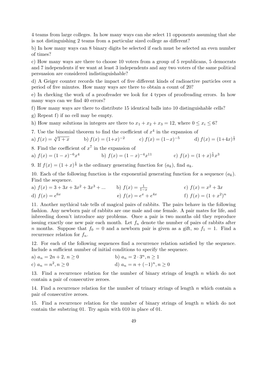4 teams from large colleges. In how many ways can she select 11 opponents assuming that she is not distinguishing 2 teams from a particular sized college as different?

b) In how many ways can 8 binary digits be selected if each must be selected an even number of times?

c) How many ways are there to choose 10 voters from a group of 5 republicans, 5 democrats and 7 independents if we want at least 3 independents and any two voters of the same political persuasion are considered indistinguishable?

d) A Geiger counter records the impact of five different kinds of radioactive particles over a period of five minutes. How many ways are there to obtain a count of 20?

e) In checking the work of a proofreader we look for 4 types of proofreading errors. In how many ways can we find 40 errors?

f) How many ways are there to distribute 15 identical balls into 10 distinguishable cells?

g) Repeat f) if no cell may be empty.

h) How many solutions in integers are there to  $x_1 + x_2 + x_3 = 12$ , where  $0 \le x_i \le 6$ ?

7. Use the binomial theorem to find the coefficient of  $x<sup>4</sup>$  in the expansion of

a) 
$$
f(x) = \sqrt[3]{1+x}
$$
 b)  $f(x) = (1+x)^{-2}$  c)  $f(x) = (1-x)^{-5}$  d)  $f(x) = (1+4x)^{\frac{1}{2}}$ 

8. Find the coefficient of  $x^7$  in the expansion of

a) 
$$
f(x) = (1-x)^{-6}x^4
$$
 b)  $f(x) = (1-x)^{-4}x^{11}$  c)  $f(x) = (1+x)^{\frac{1}{2}}x^3$ 

9. If  $f(x) = (1+x)^{\frac{1}{3}}$  is the ordinary generating function for  $(a_k)$ , find  $a_k$ .

10. Each of the following function is the exponential generating function for a sequence  $(a_k)$ . Find the sequence.

a) 
$$
f(x) = 3 + 3x + 3x^2 + 3x^3 + ...
$$
  
b)  $f(x) = \frac{1}{1-x}$   
c)  $f(x) = x^2 + 3x$   
d)  $f(x) = e^{6x}$   
e)  $f(x) = e^x + e^{4x}$   
f)  $f(x) = (1 + x^2)^n$ 

11. Another mythical tale tells of magical pairs of rabbits. The pairs behave in the following fashion. Any newborn pair of rabbits are one male and one female. A pair mates for life, and inbreeding doesn't introduce any problems. Once a pair is two months old they reproduce issuing exactly one new pair each month. Let  $f_n$  denote the number of pairs of rabbits after *n* months. Suppose that  $f_0 = 0$  and a newborn pair is given as a gift, so  $f_1 = 1$ . Find a recurrence relation for *fn*.

12. For each of the following sequences find a recurrence relation satisfied by the sequence. Include a sufficient number of initial conditions to specify the sequence.

a) 
$$
a_n = 2n + 2, n \ge 0
$$
  
b)  $a_n = 2 \cdot 3^n, n \ge 1$   
c)  $a_n = n^2, n \ge 0$   
d)  $a_n = n + (-1)^n, n \ge 0$ 

13. Find a recurrence relation for the number of binary strings of length *n* which do not contain a pair of consecutive zeroes.

14. Find a recurrence relation for the number of trinary strings of length *n* which contain a pair of consecutive zeroes.

15. Find a recurrence relation for the number of binary strings of length *n* which do not contain the substring 01. Try again with 010 in place of 01.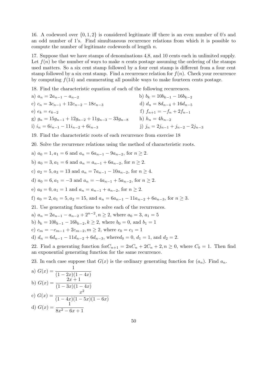16. A codeword over *{*0*,* 1*,* 2*}* is considered legitimate iff there is an even number of 0's and an odd number of 1's. Find simultaneous recurrence relations from which it is possible to compute the number of legitimate codewords of length *n*.

17. Suppose that we have stamps of denominations 4,8, and 10 cents each in unlimited supply. Let  $f(n)$  be the number of ways to make *n* cents postage assuming the ordering of the stamps used matters. So a six cent stamp followed by a four cent stamp is different from a four cent stamp followed by a six cent stamp. Find a recurrence relation for  $f(n)$ . Check your recurrence by computing *f*(14) and enumerating all possible ways to make fourteen cents postage.

18. Find the characteristic equation of each of the following recurrences.

a) 
$$
a_n = 2a_{n-1} - a_{n-2}
$$
  
\nb)  $b_k = 10b_{k-1} - 16b_{k-2}$   
\nc)  $c_n = 3c_{n-1} + 12c_{n-2} - 18c_{n-3}$   
\nd)  $d_n = 8d_{n-4} + 16d_{n-5}$   
\ne)  $e_k = e_{k-2}$   
\nf)  $f_{n+1} = -f_n + 2f_{n-1}$   
\ng)  $g_n = 15g_{n-1} + 12g_{n-2} + 11g_{n-3} - 33g_{n-8}$   
\nh)  $h_n = 4h_{n-2}$   
\ni)  $i_n = 6i_{n-1} - 11i_{n-2} + 6i_{n-3}$   
\nj)  $j_n = 2j_{n-1} + j_{n-2} - 2j_{n-3}$ 

19. Find the characteristic roots of each recurrence from exercise 18

20. Solve the recurrence relations using the method of characteristic roots.

a) 
$$
a_0 = 1, a_1 = 6
$$
 and  $a_n = 6a_{n-1} - 9a_{n-2}$ , for  $n \ge 2$ .

b) 
$$
a_0 = 3
$$
,  $a_1 = 6$  and  $a_n = a_{n-1} + 6a_{n-2}$ , for  $n \ge 2$ .

c)  $a_2 = 5, a_3 = 13$  and  $a_n = 7a_{n-1} - 10a_{n-2}$ , for  $n \ge 4$ .

d) 
$$
a_0 = 6, a_1 = -3
$$
 and  $a_n = -4a_{n-1} + 5a_{n-2}$ , for  $n \ge 2$ .

e)  $a_0 = 0, a_1 = 1$  and  $a_n = a_{n-1} + a_{n-2}$ , for  $n \ge 2$ .

f)  $a_0 = 2, a_1 = 5, a_2 = 15$ , and  $a_n = 6a_{n-1} - 11a_{n-2} + 6a_{n-3}$ , for  $n \ge 3$ .

21. Use generating functions to solve each of the recurrences.

a)  $a_n = 2a_{n-1} - a_{n-2} + 2^{n-2}, n \ge 2$ , where  $a_0 = 3, a_1 = 5$ 

*b*)  $b_k = 10b_{k-1} - 16b_{k-2}, k ≥ 2$ , where  $b_0 = 0$ , and  $b_1 = 1$ 

c)  $c_m = -c_{m-1} + 2c_{m-2}, m \geq 2$ , where  $c_0 = c_1 = 1$ 

d) 
$$
d_n = 6d_{n-1} - 11d_{n-2} + 6d_{n-3}
$$
, where  $d_0 = 0$ ,  $d_1 = 1$ , and  $d_2 = 2$ .

22. Find a generating function for  $C_{n+1} = 2nC_n + 2C_n + 2$ ,  $n \ge 0$ , where  $C_0 = 1$ . Then find an exponential generating function for the same recurrence.

23. In each case suppose that  $G(x)$  is the ordinary generating function for  $(a_n)$ . Find  $a_n$ .

a) 
$$
G(x) = \frac{1}{(1 - 2x)(1 - 4x)}
$$
  
\nb)  $G(x) = \frac{2x + 1}{(1 - 3x)(1 - 4x)}$   
\nc)  $G(x) = \frac{x^2}{(1 - 4x)(1 - 5x)(1 - 6x)}$   
\nd)  $G(x) = \frac{1}{8x^2 - 6x + 1}$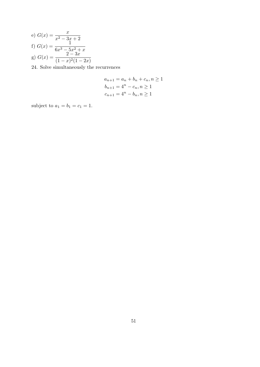e) 
$$
G(x) = \frac{x}{x^2 - 3x + 2}
$$
  
f)  $G(x) = \frac{1}{6x^3 - 5x^2 + x}$   
g)  $G(x) = \frac{2 - 3x}{(1 - x)^2(1 - 2x)}$ 

24. Solve simultaneously the recurrences

$$
a_{n+1} = a_n + b_n + c_n, n \ge 1
$$
  
\n
$$
b_{n+1} = 4^n - c_n, n \ge 1
$$
  
\n
$$
c_{n+1} = 4^n - b_n, n \ge 1
$$

subject to  $a_1 = b_1 = c_1 = 1$ .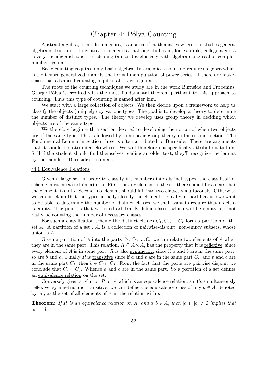# Chapter 4: Pólya Counting

Abstract algebra, or modern algebra, is an area of mathematics where one studies general algebraic structures. In contrast the algebra that one studies in, for example, college algebra is very specific and concrete - dealing (almost) exclusively with algebra using real or complex number systems.

Basic counting requires only basic algebra. Intermediate counting requires algebra which is a bit more generalized, namely the formal manipulation of power series. It therefore makes sense that advanced counting requires abstract algebra.

The roots of the counting techniques we study are in the work Burnside and Frobenius. George Pólya is credited with the most fundamental theorem pertinent to this approach to counting. Thus this type of counting is named after him.

We start with a large collection of objects. We then decide upon a framework to help us classify the objects (uniquely) by various types. The goal is to develop a theory to determine the number of distinct types. The theory we develop uses group theory in deciding which objects are of the same type.

We therefore begin with a section devoted to developing the notion of when two objects are of the same type. This is followed by some basic group theory in the second section. The Fundamental Lemma in section three is often attributed to Burnside. There are arguments that it should be attributed elsewhere. We will therefore not specifically attribute it to him. Still if the student should find themselves reading an older text, they'll recognize the lemma by the moniker "Burnside's Lemma".

## *§*4.1 Equivalence Relations

Given a large set, in order to classify it's members into distinct types, the classification scheme must meet certain criteria. First, for any element of the set there should be a class that the element fits into. Second, no element should fall into two classes simultaeously. Otherwise we cannot claim that the types actually classify the elements. Finally, in part because we want to be able to determine the number of distinct classes, we shall want to require that no class is empty. The point is that we could arbitrarily define classes which will be empty and not really be counting the number of necessary classes.

For such a classification scheme the distinct classes  $C_1, C_2, ..., C_r$  form a partition of the set *A*. A partition of a set , *A*, is a collection of pairwise-disjoint, non-empty subsets, whose union is *A*.

Given a partition of *A* into the parts  $C_1, C_2, ..., C_r$  we can relate two elements of *A* when they are in the same part. This relation,  $R \subseteq A \times A$ , has the property that it is reflexive, since every element of *A* is in some part. *R* is also symmetric, since if *a* and *b* are in the same part, so are *b* and *a*. Finally *R* is <u>transitive</u> since if *a* and *b* are in the same part  $C_i$ , and *b* and *c* are in the same part  $C_j$ , then  $b \in C_i \cap C_j$ . From the fact that the parts are pairwise disjoint we conclude that  $C_i = C_j$ . Whence *a* and *c* are in the same part. So a partition of a set defines an equivalence relation on the set.

Conversely given a relation *R* on *A* which is an equivalence relation, so it's simultaneously reflexive, symmetric and transitive, we can define the equivalence class of any  $a \in A$ , denoted by [*a*], as the set of all elements of *A* in the relation with *a*.

**Theorem:** If R is an equivalence relation on A, and  $a, b \in A$ , then  $[a] \cap [b] \neq \emptyset$  implies that  $[a] = [b]$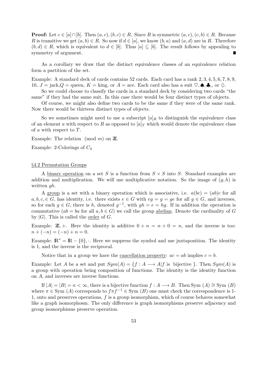**Proof:** Let  $c \in [a] \cap [b]$ . Then  $(a, c), (b, c) \in R$ . Since R is symmetric  $(a, c), (c, b) \in R$ . Because *R* is transitive we get  $(a, b) \in R$ . So now if  $d \in [a]$ , we know  $(b, a)$  and  $(a, d)$  are in *R*. Therefore  $(b, d) \in R$ , which is equivalent to  $d \in [b]$ . Thus  $[a] \subseteq [b]$ . The result follows by appealing to symmetry of argument.

As a corollary we draw that the distinct equivalence classes of an equivalence relation form a partition of the set.

Example: A standard deck of cards contains 52 cards. Each card has a rank 2*,* 3*,* 4*,* 5*,* 6*,* 7*,* 8*,* 9*,* 10,  $J = \text{jack}, Q = \text{green}, K = \text{king}, \text{or } A = \text{ace}.$  Each card also has a suit  $\heartsuit, \spadesuit, \clubsuit, \text{or } \diamondsuit$ .

So we could choose to classify the cards in a standard deck by considering two cards "the same" if they had the same suit. In this case there would be four distinct types of objects.

Of course, we might also define two cards to be the same if they were of the same rank. Now there would be thirteen distinct types of objects.

So we sometimes might need to use a subscript  $[a]_R$  to distinguish the equivalence class of an element *a* with respect to *R* as opposed to  $[a]_T$  which would denote the equivalence class of *a* with respect to *T*.

Example: The relation (mod *m*) on **Z**.

Example: 2-Colorings of *C*<sup>4</sup>

### *§*4.2 Permutation Groups

A binary operation on a set *S* is a function from *S × S* into *S*. Standard examples are addition and multiplication. We will use multiplicative notation. So the image of  $(g, h)$  is written *gh*.

A group is a set with a binary operation which is associative, i.e.  $a(bc) = (ab)c$  for all  $a, b, c, \in G$ , has identity, i.e. there exists  $e \in G$  with  $eq = q = qe$  for all  $q \in G$ , and inverses, so for each  $g \in G$ , there is  $h$ , denoted  $g^{-1}$ , with  $gh = e = hg$ . If in addition the operation is commutative  $(ab = ba$  for all  $a, b \in G$ ) we call the group abelian. Denote the cardinality of *G* by  $|G|$ . This is called the order of  $G$ .

Example:  $\mathbb{Z}$ , +. Here the identity is additive  $0 + n = n + 0 = n$ , and the inverse is too:  $n + (-n) = (-n) + n = 0.$ 

Example:  $\mathbb{R}^* = \mathbb{R} - \{0\}$ ,  $\therefore$  Here we suppress the symbol and use juxtaposition. The identity is 1, and the inverse is the reciprocal.

Notice that in a group we have the cancellation property:  $ac = ab$  implies  $c = b$ .

Example: Let *A* be a set and put  $Sym(A) = \{f : A \longrightarrow A | f$  is bijective  $\}$ . Then  $Sym(A)$  is a group with operation being composition of functions. The identity is the identity function on *A*, and inverses are inverse functions.

If  $|A| = |B| = n < \infty$ , there is a bijective function  $f : A \longrightarrow B$ . Then Sym  $(A) \cong$  Sym  $(B)$ where  $\pi \in \text{Sym}(A)$  corresponds to  $f\pi f^{-1} \in \text{Sym}(B)$  one must check the correspondence is 1-1, onto and preserves operations, *f* is a group isomorphism, which of course behaves somewhat like a graph isomorphosm. The only difference is graph isomorphisms preserve adjacency and group isomorphisms preserve operation.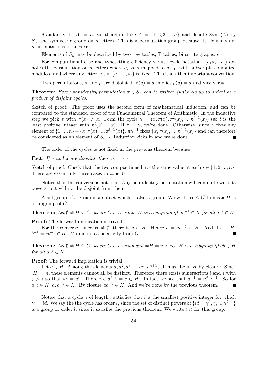Standardly, if  $|A| = n$ , we therefore take  $A = \{1, 2, 3, ..., n\}$  and denote Sym  $(A)$  by  $S_n$ , the symmetric group on *n* letters. This is a permutation group because its elements are *n*-permutations of an *n*-set.

Elements of  $S_n$  may be described by two-row tables, T-tables, bipartite graphs, etc.

For computational ease and typesetting efficiency we use cycle notation.  $(a_1a_2...a_l)$  denotes the permutation on *n* letters where  $a_i$  gets mapped to  $a_{i+1}$ , with subscripts computed modulo *l*, and where any letter not in  $\{a_1, ..., a_l\}$  is fixed. This is a rather important convention.

Two permutations,  $\pi$  and  $\rho$  are disjoint, if  $\pi(a) \neq a$  implies  $\rho(a) = a$  and vice versa.

**Theorem:** *Every nonidentity permutation*  $\pi \in S_n$  *can be written (uniquely up to order) as a product of disjoint cycles.*

Sketch of proof: The proof uses the second form of mathematical induction, and can be compared to the standard proof of the Fundamental Theorem of Arithmetic. In the inductive step we pick *x* with  $\pi(x) \neq x$ . Form the cycle  $\gamma = (x, \pi(x), \pi^2(x), ..., \pi^{l-1}(x))$  (so *l* is the least positive integer with  $\pi^{l}(x) = x$ . If  $\pi = \gamma$ , we're done. Otherwise, since  $\gamma$  fixes any element of  $\{1, ..., n\} - \{x, \pi(x), ..., \pi^{l-1}(x)\}, \pi\gamma^{-1}$  fixes  $\{x, \pi(x), ..., \pi^{l-1}(x)\}\$  and can therefore be considered as an element of *S<sup>n</sup>−<sup>l</sup>* . Induction kicks in and we're done.  $\blacksquare$ 

The order of the cycles is not fixed in the previous theorem because

**Fact:** *If*  $\gamma$  *and*  $\pi$  *are disjoint, then*  $\gamma \pi = \pi \gamma$ *.* 

Sketch of proof: Check that the two compositions have the same value at each  $i \in \{1, 2, ..., n\}$ . There are essentially three cases to consider.

Notice that the converse is not true. Any non-identity permutation will commute with its powers, but will not be disjoint from them.

A subgroup of a group is a subset which is also a group. We write  $H \leq G$  to mean *H* is a subgroup of *G*.

**Theorem:** Let  $\emptyset \neq H \subseteq G$ , where G is a group. H is a subgroup iff  $ab^{-1} \in H$  for all  $a, b \in H$ .

**Proof:** The forward implication is trivial.

For the converse, since  $H \neq \emptyset$ , there is  $a \in H$ . Hence  $e = aa^{-1} \in H$ . And if  $b \in H$ ,  $b^{-1} = eb^{-1} \in H$ . *H* inherits associativity from *G*.

**Theorem:** Let  $\emptyset \neq H \subseteq G$ , where G is a group and  $\#H = n < \infty$ . H is a subgroup iff ab  $\in H$ *for all*  $a, b \in H$ *.* 

**Proof:** The forward implication is trivial.

Let  $a \in H$ . Among the elements  $a, a^2, a^3, ..., a^n, a^{n+1}$ , all must be in *H* by closure. Since  $|H| = n$ , these elements cannot all be distinct. Therefore there exists superscripts *i* and *j* with  $j > i$  so that  $a^j = a^i$ . Therefore  $a^{j-i} = e \in H$ . In fact we see that  $a^{-1} = a^{j-i-1}$ . So for *a, b* ∈ *H*, *a, b*<sup>−1</sup> ∈ *H*. By closure  $ab^{-1}$  ∈ *H*. And we're done by the previous theorem.

Notice that a cycle  $\gamma$  of length *l* satisifies that *l* is the smallest positive integer for which  $\gamma^l = id$ . We say the the cycle has order *l*, since the set of distinct powers of  $\{id = \gamma^0, \gamma, ..., \gamma^{l-1}\}$ is a group or order *l*, since it satisfies the previous theorem. We write  $\langle \gamma \rangle$  for this group.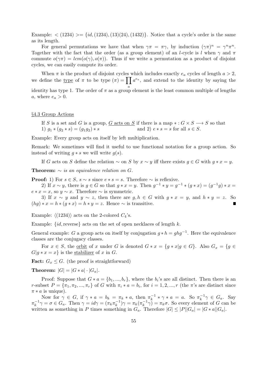Example:  $\langle (1234) \rangle = \{id, (1234), (13)(24), (1432)\}\.$  Notice that a cycle's order is the same as its length.

For general permutations we have that when  $\gamma \pi = \pi \gamma$ , by induction  $(\gamma \pi)^n = \gamma^n \pi^n$ . Together with the fact that the order (as a group element) of an *l*-cycle is *l* when  $\gamma$  and  $\pi$ commute  $o(\gamma \pi) = lcm(o(\gamma), o(\pi))$ . Thus if we write a permutation as a product of disjoint cycles, we can easily compute its order.

When  $\pi$  is the product of disjoint cycles which includes exactly  $e_a$  cycles of length  $a > 2$ , we define the <u>type</u> of  $\pi$  to be type  $(\pi) = \prod a^{e_a}$ , and extend to the identity by saying the identity has type 1. The order of  $\pi$  as a group element is the least common multiple of lengths *a*, where  $e_a > 0$ .

## *§*4.3 Group Actions

If *S* is a set and *G* is a group, *G* acts on *S* if there is a map  $* : G \times S \longrightarrow S$  so that 1)  $g_1 * (g_2 * s) = (g_1 g_2) * s$  and 2)  $e * s = s$  for all  $s \in S$ .

Example: Every group acts on itself by left multiplication.

Remark: We sometimes will find it useful to use functional notation for a group action. So instead of writing  $q * s$  we will write  $q(s)$ .

If *G* acts on *S* define the relation  $\sim$  on *S* by  $x \sim y$  iff there exists  $g \in G$  with  $g * x = y$ .

**Theorem:**  $\sim$  *is an equivalence relation on G*.

**Proof:** 1) For  $s \in S$ ,  $s \sim s$  since  $e * s = s$ . Therefore  $\sim$  is reflexive.

2) If  $x \sim y$ , there is  $g \in G$  so that  $g * x = y$ . Then  $g^{-1} * y = g^{-1} * (g * x) = (g^{-1}g) * x =$  $e * x = x$ , so  $y \sim x$ . Therefore  $\sim$  is symmetric.

3) If  $x \sim y$  and  $y \sim z$ , then there are  $g, h \in G$  with  $g * x = y$ , and  $h * y = z$ . So  $(hg) * x = h * (g * x) = h * y = z$ . Hence  $\sim$  is transitive.

Example:  $\langle (1234) \rangle$  acts on the 2-colored  $C_4$ 's.

Example: *{id,*reverse*}* acts on the set of open necklaces of length *k*.

General example: *G* a group acts on itself by conjugation  $g * h = ghg^{-1}$ . Here the equivalence classes are the conjugacy classes.

For  $x \in S$ , the <u>orbit</u> of x under G is denoted  $G * x = \{g * x | g \in G\}$ . Also  $G_x = \{g \in G\}$  $G|g * x = x$  is the stabilizer of *x* in *G*.

**Fact:**  $G_x \leq G$ . (the proof is straightforward)

**Theorem:**  $|G| = |G * a| \cdot |G_a|$ .

Proof: Suppose that  $G * a = \{b_1, ..., b_r\}$ , where the  $b_i$ 's are all distinct. Then there is an r-subset  $P = {\pi_1, \pi_2, ..., \pi_r}$  of G with  $\pi_i * a = b_i$ , for  $i = 1, 2, ..., r$  (the  $\pi$ 's are distinct since  $\pi * a$  is unique).

Now for  $\gamma \in G$ , if  $\gamma * a = b_k = \pi_k * a$ , then  $\pi_k^{-1} * \gamma * a = a$ . So  $\pi_k^{-1} \gamma \in G_a$ . Say  $\pi_k^{-1}\gamma = \sigma \in G_a$ . Then  $\gamma = id\gamma = (\pi_k \pi_k^{-1})\gamma = \pi_k (\pi_k^{-1} \gamma) = \pi_k \sigma$ . So every element of G can be written as something in *P* times something in  $G_a$ . Therefore  $|G| \leq |P||G_a| = |G * a||G_a|$ .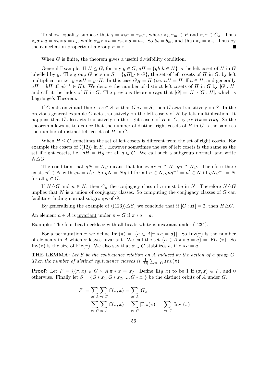To show equality suppose that  $\gamma = \pi_k \sigma = \pi_m \tau$ , where  $\pi_k, \pi_m \in P$  and  $\sigma, \tau \in G_a$ . Thus  $\pi_k \sigma * a = \pi_k * a = b_k$ , while  $\pi_m \tau * a = \pi_m * a = b_m$ . So  $b_k = b_m$ , and thus  $\pi_k = \pi_m$ . Thus by the cancellation property of a group  $\sigma = \tau$ .

When *G* is finite, the theorem gives a useful divisibility condition.

General Example: If  $H \leq G$ , for any  $g \in G$ ,  $gH = \{gh | h \in H\}$  is the left coset of *H* in *G* labelled by *g*. The group *G* acts on  $S = \{gH | g \in G\}$ , the set of left cosets of *H* in *G*, by left multiplication i.e.  $g * xH = gxH$ . In this case  $G_H = H$  (i.e.  $aH = H$  iff  $a \in H$ , and generally  $aH = bH$  iff  $ab^{-1} \in H$ ). We denote the number of distinct left cosets of *H* in *G* by [*G* : *H*] and call it the index of *H* in *G*. The previous theorem says that  $|G| = |H| \cdot |G:H|$ , which is Lagrange's Theorem.

If *G* acts on *S* and there is  $s \in S$  so that  $G * s = S$ , then *G* acts transitively on *S*. In the previous general example *G* acts transitively on the left cosets of *H* by left multiplication. It happens that *G* also acts transitively on the right cosets of *H* in *G*, by  $g * Hk = Hkg$ . So the theorem allows us to deduce that the number of distinct right cosets of *H* in *G* is the same as the number of distinct left cosets of *H* in *G*.

When  $H \leq G$  sometimes the set of left cosets is different from the set of right cosets. For example the cosets of  $\langle (12) \rangle$  in  $S_3$ . However sometimes the set of left cosets is the same as the set if right cosets, i.e.  $gH = Hg$  for all  $g \in G$ . We call such a subgroup <u>normal</u>, and write  $N\triangle G$ .

The condition that  $gN = Ng$  means that for every  $n \in N$ ,  $gn \in Ng$ . Therefore there exists  $n' \in N$  with  $gn = n'g$ . So  $gN = Ng$  iff for all  $n \in N$ ,  $gng^{-1} = n' \in N$  iff  $gNg^{-1} = N$ for all  $g \in G$ .

If  $N \triangle G$  and  $n \in N$ , then  $C_n$  the conjugacy class of *n* must be in *N*. Therefore  $N \triangle G$ implies that *N* is a union of conjugacy classes. So computing the conjugacy classes of *G* can facilitate finding normal subgroups of *G*.

By generalizing the example of  $\langle (123) \rangle \Delta S_3$  we conclude that if  $[G : H] = 2$ , then  $H \Delta G$ .

An element  $a \in A$  is <u>invariant</u> under  $\pi \in G$  if  $\pi * a = a$ .

Example: The four bead necklace with all beads white is invariant under (1234).

For a permutation  $\pi$  we define  $\text{Inv}(\pi) = |\{a \in A | \pi * a = a\}|$ . So  $\text{Inv}(\pi)$  is the number of elements in *A* which  $\pi$  leaves invariant. We call the set  $\{a \in A | \pi * a = a\} =$  Fix  $(\pi)$ . So Inv( $\pi$ ) is the size of Fix( $\pi$ ). We also say that  $\pi \in G$  stabilizes *a*, if  $\pi * a = a$ .

**THE LEMMA:** *Let S be the equivalence relation on A induced by the action of a group G. Then the number of distinct equivalence classes is*  $\frac{1}{|G|} \sum_{\pi \in G} Inv(\pi)$ .

**Proof:** Let  $F = \{ (\pi, x) \in G \times A | \pi * x = x \}.$  Define II $(g, x)$  to be 1 if  $(\pi, x) \in F$ , and 0 otherwise. Finally let  $S = \{G * x_1, G * x_2, ..., G * x_r\}$  be the distinct orbits of *A* under *G*.

$$
|F| = \sum_{x \in A} \sum_{\pi \in G} \mathbb{I}(\pi, x) = \sum_{x \in A} |G_x|
$$
  
= 
$$
\sum_{\pi \in G} \sum_{x \in A} \mathbb{I}(\pi, x) = \sum_{\pi \in G} |\text{Fix}(\pi)| = \sum_{\pi \in G} \text{Inv}(\pi)
$$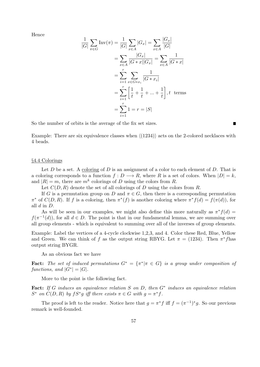Hence

$$
\frac{1}{|G|} \sum_{\pi \in G} \text{Inv}(\pi) = \frac{1}{|G|} \sum_{x \in A} |G_x| = \sum_{x \in A} \frac{|G_x|}{|G|}
$$

$$
= \sum_{x \in A} \frac{|G_x|}{|G * x||G_x|} = \sum_{x \in A} \frac{1}{|G * x|}
$$

$$
= \sum_{i=1}^r \sum_{x \in G * x_i} \frac{1}{|G * x_i|}
$$

$$
= \sum_{i=1}^r \left[\frac{1}{t} + \frac{1}{t} + \dots + \frac{1}{t}\right], t \text{ terms}
$$

$$
= \sum_{i=1}^r 1 = r = |S|
$$

So the number of orbits is the average of the fix set sizes.

Example: There are six equivalence classes when  $\langle (1234) \rangle$  acts on the 2-colored necklaces with 4 beads.

## *§*4.4 Colorings

Let *D* be a set. A coloring of *D* is an assignment of a color to each element of *D*. That is a coloring corresponds to a function  $f: D \longrightarrow R$ , where R is a set of colors. When  $|D| = k$ , and  $|R| = m$ , there are  $m<sup>k</sup>$  colorings of *D* using the colors from *R*.

Let  $C(D, R)$  denote the set of all colorings of *D* using the colors from *R*.

If *G* is a permutation group on *D* and  $\pi \in G$ , then there is a corresponding permutation  $\pi^*$  of  $C(D, R)$ . If *f* is a coloring, then  $\pi^*(f)$  is another coloring where  $\pi^* f(d) = f(\pi(d))$ , for all *d* in *D*.

As will be seen in our examples, we might also define this more naturally as  $\pi^* f(d)$  $f(\pi^{-1}(d))$ , for all  $d \in D$ . The point is that in our fundamental lemma, we are summing over all group elements - which is equivalent to summing over all of the inverses of group elements.

Example: Label the vertices of a 4-cycle clockwise 1,2,3, and 4. Color these Red, Blue, Yellow and Green. We can think of *f* as the output string RBYG. Let  $\pi = (1234)$ . Then  $\pi^* f$  has output string BYGR.

As an obvious fact we have

**Fact:** The set of induced permutations  $G^* = {\pi^* | \pi \in G}$  is a group under composition of *functions, and*  $|G^*| = |G|$ *.* 

More to the point is the following fact.

**Fact:** *If G induces an equivalence relation S on D, then G<sup>∗</sup> induces an equivalence relation S*<sup>\*</sup> on  $C(D, R)$  by  $fS^*g$  iff there exists  $\pi \in G$  with  $g = \pi^*f$ .

The proof is left to the reader. Notice here that  $g = \pi^* f$  iff  $f = (\pi^{-1})^* g$ . So our previous remark is well-founded.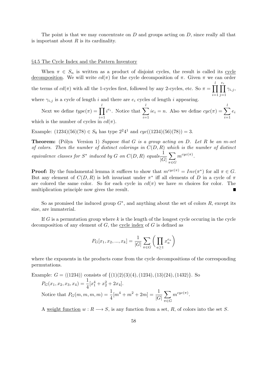The point is that we may concentrate on *D* and groups acting on *D*, since really all that is important about *R* is its cardinality.

#### *§*4.5 The Cycle Index and the Pattern Inventory

When  $\pi \in S_n$  is written as a product of disjoint cycles, the result is called its cycle decomposition. We will write  $cd(\pi)$  for the cycle decomposition of  $\pi$ . Given  $\pi$  we can order the terms of  $cd(\pi)$  with all the 1-cycles first, followed by any 2-cycles, etc. So  $\pi = \prod_{i=1}^{l}$ *i*=1  $\prod_{i=1}^{e}$ *j*=1 *γi,j* , where  $\gamma_{i,j}$  is a cycle of length *i* and there are  $e_i$  cycles of length *i* appearing.

Next we define  $type(\pi) = \prod^l$ *i*=1  $i^{e_i}$ . Notice that  $\sum_{i=1}^{l}$ *i*=1  $ie_i = n$ . Also we define  $cyc(\pi) = \sum_{i=1}^{l}$ *i*=1 *ei* which is the number of cycles in  $cd(\pi)$ .

Example:  $(1234)(56)(78) \in S_8$  has type  $2^24^1$  and  $cyc((1234)(56)(78)) = 3$ .

**Theorem:** (Pólya Version 1) *Suppose that G is a group acting on D.* Let R be an m-set *of colors. Then the number of distinct colorings in C*(*D, R*) *which is the number of distinct equivalence classes for*  $S^*$  *induced by*  $G$  *on*  $C(D, R)$  *equals*  $\frac{1}{C}$ *|G|* ∑ *π∈G*  $m^{cyc(\pi)}$ .

**Proof:** By the fundamental lemma it suffices to show that  $m^{cyc(\pi)} = Inv(\pi^*)$  for all  $\pi \in G$ . But any element of  $C(D, R)$  is left invariant under  $\pi^*$  iff all elements of *D* in a cycle of  $\pi$ are colored the same color. So for each cycle in  $cd(\pi)$  we have *m* choices for color. The multiplication principle now gives the result.

So as promised the induced group *G<sup>∗</sup>* , and anything about the set of colors *R*, except its size, are immaterial.

If *G* is a permutation group where *k* is the length of the longest cycle occuring in the cycle decomposition of any element of  $G$ , the cycle index of  $G$  is defined as

$$
P_G[x_1, x_2, ..., x_k] = \frac{1}{|G|} \sum_{\pi \in G} \left( \prod_{a \ge 1} x_a^{e_a} \right)
$$

where the exponents in the products come from the cycle decompositions of the corresponding permutations.

Example: 
$$
G = \langle (1234) \rangle
$$
 consists of  $\{(1)(2)(3)(4), (1234), (13)(24), (1432)\}$ . So  
\n
$$
P_G(x_1, x_2, x_3, x_4) = \frac{1}{4} [x_1^4 + x_2^2 + 2x_4].
$$
\nNotice that  $P_G(m, m, m, m) = \frac{1}{4} [m^4 + m^2 + 2m] = \frac{1}{|G|} \sum_{\pi \in G} m^{cyc(\pi)}$ .

A weight function  $w: R \longrightarrow S$ , is any function from a set, R, of colors into the set *S*.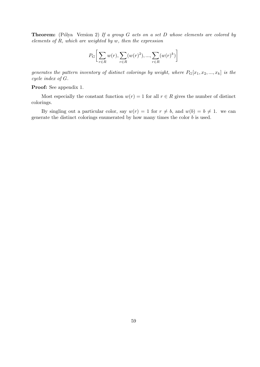**Theorem:** (Pólya Version 2) If a group *G* acts on a set *D* whose elements are colored by *elements of R, which are weighted by w, then the expression*

$$
P_G\bigg[\sum_{r\in R} w(r), \sum_{r\in R} (w(r)^2), ..., \sum_{r\in R} (w(r)^k)\bigg]
$$

*generates the pattern inventory of distinct colorings by weight, where*  $P_G[x_1, x_2, ..., x_k]$  *is the cycle index of G.*

## **Proof:** See appendix 1.

Most especially the constant function  $w(r) = 1$  for all  $r \in R$  gives the number of distinct colorings.

By singling out a particular color, say  $w(r) = 1$  for  $r \neq b$ , and  $w(b) = b \neq 1$ . we can generate the distinct colorings enumerated by how many times the color *b* is used.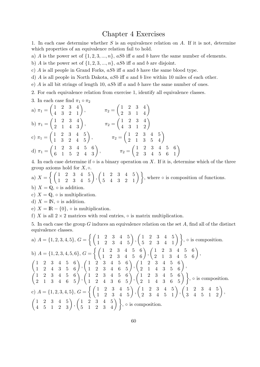## Chapter 4 Exercises

1. In each case determine whether *S* is an equivalence relation on *A*. If it is not, determine which properties of an equivalence relation fail to hold.

a) *A* is the power set of  $\{1, 2, 3, \ldots, n\}$ , *aSb* iff *a* and *b* have the same number of elements.

b) *A* is the power set of  $\{1, 2, 3, \ldots, n\}$ , *aSb* iff *a* and *b* are disjoint.

c) *A* is all people in Grand Forks, *aSb* iff *a* and *b* have the same blood type.

- d) *A* is all people in North Dakota, *aSb* iff *a* and *b* live within 10 miles of each other.
- e) *A* is all bit strings of length 10, *aSb* iff *a* and *b* have the same number of ones.
- 2. For each equivalence relation from exercise 1, identify all equivalence classes.
- 3. In each case find  $\pi_1 \circ \pi_2$

a) 
$$
\pi_1 = \begin{pmatrix} 1 & 2 & 3 & 4 \\ 4 & 3 & 2 & 1 \end{pmatrix}
$$
,  $\pi_2 = \begin{pmatrix} 1 & 2 & 3 & 4 \\ 2 & 3 & 1 & 4 \end{pmatrix}$   
\nb)  $\pi_1 = \begin{pmatrix} 1 & 2 & 3 & 4 \\ 2 & 1 & 4 & 3 \end{pmatrix}$ ,  $\pi_2 = \begin{pmatrix} 1 & 2 & 3 & 4 \\ 4 & 3 & 1 & 2 \end{pmatrix}$   
\nc)  $\pi_1 = \begin{pmatrix} 1 & 2 & 3 & 4 & 5 \\ 1 & 3 & 2 & 4 & 5 \end{pmatrix}$ ,  $\pi_2 = \begin{pmatrix} 1 & 2 & 3 & 4 & 5 \\ 2 & 1 & 3 & 5 & 4 \end{pmatrix}$   
\nd)  $\pi_1 = \begin{pmatrix} 1 & 2 & 3 & 4 & 5 & 6 \\ 6 & 1 & 5 & 2 & 4 & 3 \end{pmatrix}$ ,  $\pi_2 = \begin{pmatrix} 1 & 2 & 3 & 4 & 5 & 6 \\ 2 & 3 & 4 & 5 & 6 & 1 \end{pmatrix}$ 

4. In each case determine if *◦* is a binary operation on *X*. If it is, determine which of the three group axioms hold for *X, ◦*.

a) 
$$
X = \left\{ \begin{pmatrix} 1 & 2 & 3 & 4 & 5 \\ 1 & 2 & 3 & 4 & 5 \end{pmatrix}, \begin{pmatrix} 1 & 2 & 3 & 4 & 5 \\ 5 & 4 & 3 & 2 & 1 \end{pmatrix} \right\}
$$
, where  $\circ$  is composition of functions.

b)  $X = \mathbb{Q}$ ,  $\circ$  is addition.

c)  $X = \mathbb{Q}$ ,  $\circ$  is multiplication.

- d)  $X = \mathbb{N}$ ,  $\circ$  is addition.
- e)  $X = \mathbb{R} \{0\}$ ,  $\circ$  is multiplication.

f) *X* is all  $2 \times 2$  matrices with real entries,  $\circ$  is matrix multiplication.

5. In each case the group *G* induces an equivalence relation on the set *A*, find all of the distinct equivalence classes.

a) 
$$
A = \{1, 2, 3, 4, 5\}, G = \left\{ \begin{pmatrix} 1 & 2 & 3 & 4 & 5 \\ 1 & 2 & 3 & 4 & 5 \end{pmatrix}, \begin{pmatrix} 1 & 2 & 3 & 4 & 5 \\ 5 & 2 & 3 & 4 & 1 \end{pmatrix} \right\}, \circ \text{ is composition.}
$$
  
\nb)  $A = \{1, 2, 3, 4, 5, 6\}, G = \left\{ \begin{pmatrix} 1 & 2 & 3 & 4 & 5 & 6 \\ 1 & 2 & 3 & 4 & 5 & 6 \end{pmatrix}, \begin{pmatrix} 1 & 2 & 3 & 4 & 5 & 6 \\ 2 & 1 & 3 & 4 & 5 & 6 \end{pmatrix}, \begin{pmatrix} 1 & 2 & 3 & 4 & 5 & 6 \\ 2 & 1 & 3 & 4 & 5 & 6 \end{pmatrix}, \begin{pmatrix} 1 & 2 & 3 & 4 & 5 & 6 \\ 2 & 1 & 3 & 4 & 5 & 6 \end{pmatrix}, \begin{pmatrix} 1 & 2 & 3 & 4 & 5 & 6 \\ 2 & 1 & 4 & 3 & 5 & 6 \end{pmatrix}, \begin{pmatrix} 1 & 2 & 3 & 4 & 5 & 6 \\ 2 & 1 & 4 & 3 & 5 & 6 \end{pmatrix}, \begin{pmatrix} 1 & 2 & 3 & 4 & 5 & 6 \\ 2 & 1 & 4 & 3 & 6 & 5 \end{pmatrix}, \begin{pmatrix} 1 & 2 & 3 & 4 & 5 & 6 \\ 2 & 1 & 4 & 3 & 6 & 5 \end{pmatrix}, \begin{pmatrix} 1 & 2 & 3 & 4 & 5 & 6 \\ 2 & 1 & 4 & 3 & 6 & 5 \end{pmatrix} \right\}, \circ \text{ is composition.}$   
\nc)  $A = \{1, 2, 3, 4, 5\}, G = \left\{ \begin{pmatrix} 1 & 2 & 3 & 4 & 5 \\ 1 & 2 & 3 & 4 & 5 \\ 1 & 2 & 3 & 4 & 5 \end{pmatrix}, \begin{pmatrix} 1 & 2 & 3 & 4 & 5 \\ 2 & 3 & 4 & 5 & 1 \end{pmatrix}, \begin{pmatrix} 1 & 2 & 3 & 4 & 5 \\ 3 & 4 & 5 & 1 & 2 \end{pm$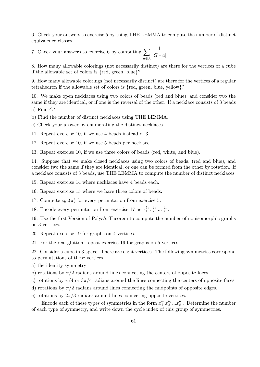6. Check your answers to exercise 5 by using THE LEMMA to compute the number of distinct equivalence classes.

7. Check your answers to exercise 6 by computing  $\sum$ *a∈A* 1  $\frac{1}{|G * a|}$ .

8. How many allowable colorings (not necessarily distinct) are there for the vertices of a cube if the allowable set of colors is *{*red, green, blue*}*?

9. How many allowable colorings (not necessarily distinct) are there for the vertices of a regular tetrahedron if the allowable set of colors is *{*red, green, blue, yellow*}*?

10. We make open necklaces using two colors of beads (red and blue), and consider two the same if they are identical, or if one is the reversal of the other. If a necklace consists of 3 beads

a) Find *G<sup>∗</sup>*

b) Find the number of distinct necklaces using THE LEMMA.

c) Check your answer by enumerating the distinct necklaces.

11. Repeat exercise 10, if we use 4 beads instead of 3.

12. Repeat exercise 10, if we use 5 beads per necklace.

13. Repeat exercise 10, if we use three colors of beads (red, white, and blue).

14. Suppose that we make closed necklaces using two colors of beads, (red and blue), and consider two the same if they are identical, or one can be formed from the other by rotation. If a necklace consists of 3 beads, use THE LEMMA to compute the number of distinct necklaces.

15. Repeat exercise 14 where necklaces have 4 beads each.

16. Repeat exercise 15 where we have three colors of beads.

17. Compute  $cyc(\pi)$  for every permutation from exercise 5.

18. Encode every permutation from exercise 17 as  $x_1^{b_1} x_2^{b_2} ... x_k^{b_k}$ .

19. Use the first Version of Polya's Theorem to compute the number of nonisomorphic graphs on 3 vertices.

20. Repeat exercise 19 for graphs on 4 vertices.

21. For the real glutton, repeat exercise 19 for graphs on 5 vertices.

22. Consider a cube in 3-space. There are eight vertices. The following symmetries correspond to permutations of these vertices.

a) the identity symmetry

b) rotations by  $\pi/2$  radians around lines connecting the centers of opposite faces.

c) rotations by  $\pi/4$  or  $3\pi/4$  radians around the lines connecting the centers of opposite faces.

d) rotations by *π/*2 radians around lines connecting the midpoints of opposite edges.

e) rotations by  $2\pi/3$  radians around lines connecting opposite vertices.

Encode each of these types of symmetries in the form  $x_1^{b_1}x_2^{b_2}...x_8^{b_8}$ . Determine the number of each type of symmetry, and write down the cycle index of this group of symmetries.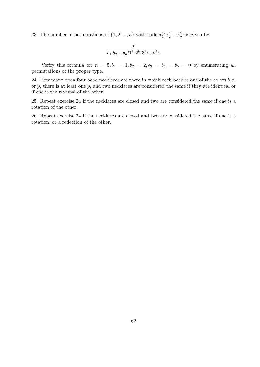23. The number of permutations of  $\{1, 2, ..., n\}$  with code  $x_1^{b_1} x_2^{b_2} ... x_n^{b_n}$  is given by

$$
\frac{n!}{b_1!b_2!...b_n!1^{b_1}2^{b_2}3^{b_3}...n^{b_n}}
$$

Verify this formula for  $n = 5, b_1 = 1, b_2 = 2, b_3 = b_4 = b_5 = 0$  by enumerating all permutations of the proper type.

24. How many open four bead necklaces are there in which each bead is one of the colors  $b, r$ , or *p*, there is at least one *p*, and two necklaces are considered the same if they are identical or if one is the reversal of the other.

25. Repeat exercise 24 if the necklaces are closed and two are considered the same if one is a rotation of the other.

26. Repeat exercise 24 if the necklaces are closed and two are considered the same if one is a rotation, or a reflection of the other.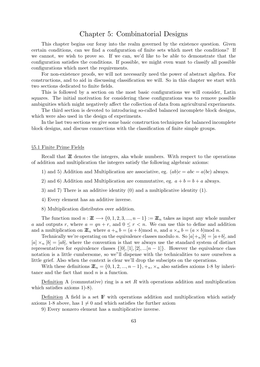# Chapter 5: Combinatorial Designs

This chapter begins our foray into the realm governed by the existence question. Given certain conditions, can we find a configuration of finite sets which meet the conditions? If we cannot, we wish to prove so. If we can, we'd like to be able to demonstrate that the configuration satisfies the conditions. If possible, we might even want to classify all possible configurations which meet the requirements.

For non-existence proofs, we will not necessarily need the power of abstract algebra. For constructions, and to aid in discussing classification we will. So in this chapter we start with two sections dedicated to finite fields.

This is followed by a section on the most basic configurations we will consider, Latin squares. The initial motivation for considering these configurations was to remove possible ambiguities which might negatively affect the collection of data from agricultural experiments.

The third section is devoted to introducing so-called balanced incomplete block designs, which were also used in the design of experiments.

In the last two sections we give some basic construction techniques for balanced incomplete block designs, and discuss connections with the classification of finite simple groups.

## *§*5.1 Finite Prime Fields

Recall that  $Z$  denotes the integers, aka whole numbers. With respect to the operations of addition and multiplication the integers satisfy the following algebraic axioms:

- 1) and 5) Addition and Multiplication are associative, eg.  $(ab)c = abc = a(bc)$  always.
- 2) and 6) Addition and Multiplication are commutative, eg.  $a + b = b + a$  always.
- 3) and 7) There is an additive identity (0) and a multiplicative identity (1).
- 4) Every element has an additive inverse.
- 8) Multiplication distributes over addition.

The function mod  $n : \mathbb{Z} \longrightarrow \{0, 1, 2, 3, ..., n-1\} := \mathbb{Z}_n$  takes as input any whole number *a* and outputs *r*, where  $a = qn + r$ , and  $0 \leq r < n$ . We can use this to define and addition and a multiplication on  $\mathbb{Z}_n$  where  $a +_n b = (a + b) \text{mod } n$ , and  $a \times_n b = (a \times b) \text{mod } n$ .

Technically we're operating on the equivalence classes modulo *n*. So  $[a] +_n[b] = [a+b]$ , and  $[a] \times_{n} [b] = [ab]$ , where the convention is that we always use the standard system of distinct representatives for equivalence classes  $\{[0], [1], [2], ... [n-1]\}$ . However the equivalence class notation is a little cumbersome, so we"ll dispense with the technicalities to save ourselves a little grief. Also when the context is clear we'll drop the subscipts on the operations.

With these definitions  $\mathbb{Z}_n = \{0, 1, 2, ..., n-1\}, +_n, \times_n$  also satisfies axioms 1-8 by inheritance and the fact that mod *n* is a function.

Definition A (commutative) ring is a set *R* with operations addition and multiplication which satisfies axioms 1)-8).

Definition A field is a set  $\mathbb F$  with operations addition and multiplication which satisfy axioms 1-8 above, has  $1 \neq 0$  and which satisfies the further axiom

9) Every nonzero element has a multiplicative inverse.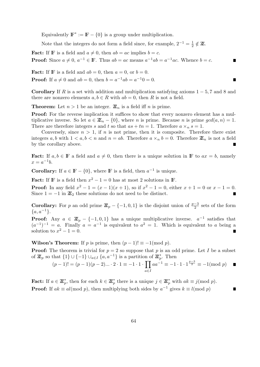Equivalently  $\mathbb{F}^* := \mathbb{F} - \{0\}$  is a group under multiplication.

Note that the integers do not form a field since, for example,  $2^{-1} = \frac{1}{2}$  $\frac{1}{2} \notin \mathbb{Z}$ .

**Fact:** If **F** is a field and  $a \neq 0$ , then  $ab = ac$  implies  $b = c$ . **Proof:** Since  $a \neq 0$ ,  $a^{-1} \in \mathbb{F}$ . Thus  $ab = ac$  means  $a^{-1}ab = a^{-1}ac$ . Whence  $b = c$ .

**Fact:** If **F** is a field and  $ab = 0$ , then  $a = 0$ , or  $b = 0$ . **Proof:** If  $a \neq 0$  and  $ab = 0$ , then  $b = a^{-1}ab = a^{-1}0 = 0$ .

**Corollary** If *R* is a set with addition and multiplication satisfying axioms  $1 - 5$ , 7 and 8 and there are nonzero elements  $a, b \in R$  with  $ab = 0$ , then R is not a field.

**Theorem:** Let  $n > 1$  be an integer.  $\mathbb{Z}_n$  is a field iff *n* is prime.

**Proof:** For the reverse implication it suffices to show that every nonzero element has a multiplicative inverse. So let  $a \in \mathbb{Z}_n - \{0\}$ , where *n* is prime. Because *n* is prime  $gcd(a, n) = 1$ . There are therefore integers *s* and *t* so that  $as + tn = 1$ . Therefore  $a \times_n s = 1$ .

Conversely, since  $n > 1$ , if *n* is not prime, then it is composite. Therefore there exist integers a, b with  $1 < a, b < n$  and  $n = ab$ . Therefore  $a \times_n b = 0$ . Therefore  $\mathbb{Z}_n$  is not a field by the corollary above.

**Fact:** If  $a, b \in \mathbb{F}$  a field and  $a \neq 0$ , then there is a unique solution in  $\mathbb{F}$  to  $ax = b$ , namely  $x = a^{-1}b$ .

**Corollary:** If  $a \in \mathbb{F} - \{0\}$ , where **F** is a field, then  $a^{-1}$  is unique.

**Fact:** If **F** is a field then  $x^2 - 1 = 0$  has at most 2 solutions in **F**. **Proof:** In any field  $x^2 - 1 = (x - 1)(x + 1)$ , so if  $x^2 - 1 = 0$ , either  $x + 1 = 0$  or  $x - 1 = 0$ . Since  $1 = -1$  in  $\mathbb{Z}_2$  these solutions do not need to be distinct.

**Corollary:** For *p* an odd prime  $\mathbb{Z}_p - \{-1,0,1\}$  is the disjoint union of  $\frac{p-3}{2}$  sets of the form *{a, a−*<sup>1</sup> *}*.

**Proof:** Any  $a \in \mathbb{Z}_p - \{-1,0,1\}$  has a unique multiplicative inverse.  $a^{-1}$  satisfies that  $(a^{-1})^{-1} = a$ . Finally  $a = a^{-1}$  is equivalent to  $a^2 = 1$ . Which is equivalent to *a* being a solution to  $x^2 - 1 = 0$ . Г

**Wilson's Theorem:** If *p* is prime, then  $(p-1)! \equiv -1 \pmod{p}$ .

**Proof:** The theorem is trivial for  $p = 2$  so suppose that p is an odd prime. Let I be a subset of  $\mathbb{Z}_p$  so that  $\{1\} \cup \{-1\} \cup_{a \in I} \{a, a^{-1}\}\$ is a partition of  $\mathbb{Z}_p^*$ . Then

$$
(p-1)! = (p-1)(p-2)\dots \cdot 2 \cdot 1 \equiv -1 \cdot 1 \cdot \prod_{a \in I} aa^{-1} \equiv -1 \cdot 1 \cdot 1^{\frac{p-3}{2}} \equiv -1 \pmod{p} \quad \blacksquare
$$

**Fact:** If  $a \in \mathbb{Z}_p^*$ , then for each  $k \in \mathbb{Z}_p^*$  there is a unique  $j \in \mathbb{Z}_p^*$  with  $ak \equiv j(\text{mod } p)$ . **Proof:** If  $ak \equiv al \pmod{p}$ , then multiplying both sides by  $a^{-1}$  gives  $k \equiv l \pmod{p}$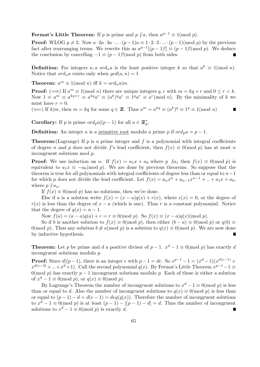**Fermat's Little Theorem:** If *p* is prime and  $p \nmid a$ , then  $a^{p-1} \equiv 1 \pmod{p}$ .

**Proof:** WLOG  $p \neq 2$ . Now  $a \cdot 2a \cdot 3a \cdot ... \cdot (p-1)a \equiv 1 \cdot 2 \cdot 3 \cdot ... \cdot (p-1) \pmod{p}$  by the previous fact after rearranging terms. We rewrite this as  $a^{p-1}[(p-1)!] \equiv (p-1)!(\text{mod } p)$ . We deduce the conclusion by cancelling  $-1 \equiv (p-1)! \pmod{p}$  from both sides.

**Definition:** For integers *n, a ord<sub>n</sub>a* is the least positive integer *k* so that  $a^k \equiv 1 \pmod{n}$ . Notice that  $\text{ord}_n a$  exists only when  $\text{gcd}(a, n) = 1$ 

**Theorem:**  $a^m \equiv 1 \pmod{n}$  iff  $k = ord_n a | m$ .

**Proof:**  $(\implies)$  If  $a^m \equiv 1 \pmod{n}$  there are unique integers  $q, r$  with  $m = kq + r$  and  $0 \le r < k$ . Now  $1 \equiv a^m \equiv a^{kq+r} \equiv a^{kq}a^r \equiv (a^k)^q a^r \equiv 1^q a^r \equiv a^r \pmod{n}$ . By the minimality of k we must have  $r = 0$ .

 $(\Leftarrow)$  If  $k|m$ , then  $m = kq$  for some  $q \in \mathbb{Z}$ . Thus  $a^m = a^{kq} \equiv (a^k)^q \equiv 1^q \equiv 1 \pmod{n}$ 

**Corollary:** If *p* is prime  $\text{ord}_p a|(p-1)$  for all  $a \in \mathbb{Z}_p^*$ .

**Definition:** An integer *a* is a primitive root modulo a prime *p* if  $ord_n a = p - 1$ .

**Theorem:**(Lagrange) If *p* is a prime integer and *f* is a polynomial with integral coefficients of degree *n* and *p* does not divide *f*'s lead coefficient, then  $f(x) \equiv 0 \pmod{p}$  has at most *n* incongruent solutions mod *p*.

**Proof:** We use induction on *n*. If  $f(x) = a_1x + a_0$  where  $p \nvert a_1$  then  $f(x) \equiv 0 \pmod{p}$  is equivalent to  $a_1x \equiv -a_0 \pmod{p}$ . We are done by previous theorems. So suppose that the theorem is true for all polynomials with integral coefficients of degree less than or equal to *n−*1 for which *p* does not divide the lead coefficient. Let  $f(x) = a_n x^n + a_{n-1} x^{n-1} + \ldots + a_1 x + a_0$ , where  $p \nmid a_n$ .

If  $f(x) \equiv 0 \pmod{p}$  has no solutions, then we're done.

Else if *a* is a solution write  $f(x) = (x - a)q(x) + r(x)$ , where  $r(x) = 0$ , or the degree of  $r(x)$  is less than the degree of  $x - a$  (which is one). Thus *r* is a constant polynomial. Notice that the degree of  $q(x) = n - 1$ .

Now  $f(a) = (a - a)q(a) + r = r \equiv 0 \pmod{p}$ . So  $f(x) \equiv (x - a)q(x) \pmod{p}$ .

So if *b* is another solution to  $f(x) \equiv 0 \pmod{p}$ , then either  $(b - a) \equiv 0 \pmod{p}$  or  $q(b) \equiv 0$ 0(mod *p*). Thus any solution  $b \neq a \pmod{p}$  is a solution to  $q(x) \equiv 0 \pmod{p}$ . We are now done by inductive hypothesis.  $\blacksquare$ 

**Theorem:** Let *p* be prime and *d* a positive divisor of  $p-1$ .  $x^d-1 \equiv 0 \pmod{p}$  has exactly *d* incongruent solutions modulo *p*.

**Proof:** Since  $d|(p-1)$ , there is an integer e with  $p-1 = de$ . So  $x^{p-1} - 1 = (x^d - 1)(x^{d(e-1)} +$  $x^{d(e-2)} + ... + x^d + 1$ ). Call the second polynomial *q*(*x*). By Fermat's Little Theorem  $x^{p-1} - 1 \equiv$ 0(mod *p*) has exactly  $p-1$  incongruent solutions modulo *p*. Each of these is either a solution of  $x^d - 1 \equiv 0 \pmod{p}$ , or  $q(x) \equiv 0 \pmod{p}$ .

By Lagrange's Theorem the number of incongruent solutions to  $x^d - 1 \equiv 0 \pmod{p}$  is less than or equal to *d*. Also the number of incongruent solutions to  $q(x) \equiv 0 \pmod{p}$  is less than or equal to  $(p-1) - d = d(e-1) = deg(q(x))$ . Therefore the number of incongruent solutions to  $x^d - 1 \equiv 0 \pmod{p}$  is at least  $(p-1) - [(p-1) - d] = d$ . Thus the number of incongruent solutions to  $x^d - 1 \equiv 0 \pmod{p}$  is exactly *d*. П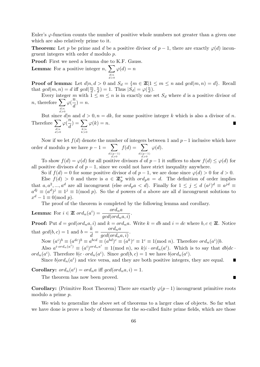Euler's *φ*-function counts the number of positive whole numbers not greater than a given one which are also relatively prime to it.

**Theorem:** Let *p* be prime and *d* be a positive divisor of *p* − 1, there are exactly  $\varphi(d)$  incongruent integers with order *d* modulo *p*.

**Proof:** First we need a lemma due to K.F. Gauss.

**Lemma:** For a positive integer  $n, \sum$ *d|n d>*0  $\varphi(d) = n$ 

**Proof of lemma:** Let  $d|n, d > 0$  and  $S_d = \{m \in \mathbb{Z} | 1 \le m \le n \text{ and } gcd(m, n) = d\}.$  Recall that  $gcd(m, n) = d$  iff  $gcd(\frac{m}{d})$  $\frac{m}{d}$ ,  $\frac{n}{d}$  $\left(\frac{n}{d}\right) = 1$ . Thus  $|S_d| = \varphi\left(\frac{n}{d}\right)$  $\frac{n}{d}$ ).

Every integer *m* with  $1 \leq m \leq n$  is in exactly one set  $S_d$  where *d* is a positive divisor of *n*, therefore  $\sum$  $\ddot{\varphi}$   $\frac{\dddot{n}}{2}$  $\frac{n}{d}$ ) = *n*.

*d|n d>*0

But since  $d|n$  and  $d > 0, n = dk$ , for some positive integer k which is also a divisor of *n*. Therefore ∑ *d|n d>*0 *φ*( *n*  $\frac{n}{d}) = \sum_{b \mid n}$ *k|n k>*0  $\varphi(k) = n.$ 

Now if we let *f*(*d*) denote the number of integers between 1 and *p−*1 inclusive which have order *d* modulo *p* we have  $p - 1 = \sum$ *d|*(*p−*1) *d>*0  $f(d) = \sum$ *d|*(*p−*1) *d>*0 *φ*(*d*).

To show  $f(d) = \varphi(d)$  for all positive divisors *d* of  $p-1$  it suffices to show  $f(d) \leq \varphi(d)$  for all positive divisors *d* of  $p-1$ , since we could not have strict inequality anywhere.

So if  $f(d) = 0$  for some positive divisor *d* of  $p-1$ , we are done since  $\varphi(d) > 0$  for  $d > 0$ . Else  $f(d) > 0$  and there is  $a \in \mathbb{Z}_p^*$  with  $\text{ord}_p a = d$ . The definition of order implies that  $a, a^2, \ldots, a^d$  are all incongruent (else *ord<sub>p</sub>a* < *d*). Finally for  $1 \leq j \leq d$   $(a^j)^d \equiv a^{jd} \equiv$  $a^{dj} \equiv (a^d)^j \equiv 1^j \equiv 1 \pmod{p}$ . So the *d* powers of *a* above are all *d* incongruent solutions to  $x^d - 1 \equiv 0 \pmod{p}$ .

The proof of the theorem is completed by the following lemma and corollary.

**Lemma:** For  $i \in \mathbb{Z}$  *ord*<sub>n</sub> $(a^i) = \frac{ord_n a}{\sigma^2}$  $\frac{\sigma \cdot a_n a}{gcd(ord_n a, i)}$ .

**Proof:** Put  $d = \gcd(\text{ord}_n a, i)$  and  $k = \text{ord}_n a$ . Write  $k = db$  and  $i = dc$  where  $b, c \in \mathbb{Z}$ . Notice that  $gcd(b, c) = 1$  and  $b = \frac{k}{d}$  $\frac{k}{d} = \frac{ord_n a}{gcd(ord_n a)}$  $\frac{\partial}{\partial} \frac{c}{\partial x} \cdot d(n \cdot a, i)$ .

Now  $(a^i)^b \equiv (a^{dc})^b \equiv a^{bcd} \equiv (a^{bd})^c \equiv (a^k)^c \equiv 1^c \equiv 1 \pmod{n}$ . Therefore  $ord_n(a^i)|b$ .

Also  $a^{i \cdot ord_n(a^i)} \equiv (a^i)^{ord_n a^i} \equiv 1 \pmod{n}$ , so  $k|i \cdot ord_n(a^i)$ . Which is to say that  $db|dc \cdot$  $\int$ *ord<sub>n</sub>*( $a^i$ ). Therefore  $b|c \cdot \int a^i$ , Since  $\int$  $gcd(b, c) = 1$  we have  $b| \int a^i$ .

Since  $b|ord_n(a^i)$  and vice versa, and they are both positive integers, they are equal.

**Corollary:**  $ord_n(a^i) = ord_n a$  iff  $gcd(ord_n a, i) = 1$ .

The theorem has now been proved.

**Corollary:** (Primitive Root Theorem) There are exactly  $\varphi(p-1)$  incongruent primitive roots modulo a prime *p*.

We wish to generalize the above set of theorems to a larger class of objects. So far what we have done is prove a body of theorems for the so-called finite prime fields, which are those

■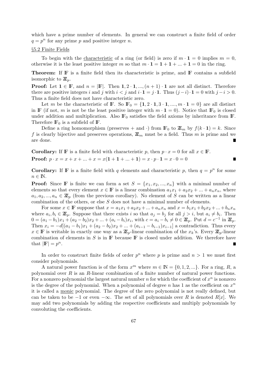which have a prime number of elements. In general we can construct a finite field of order  $q = p^n$  for any prime *p* and positive integer *n*.

## *§*5.2 Finite Fields

To begin with the characteristic of a ring (or field) is zero if  $m \cdot \mathbf{1} = 0$  implies  $m = 0$ , otherwise it is the least positive integer *m* so that  $m \cdot \mathbf{1} = \mathbf{1} + \mathbf{1} + ... + \mathbf{1} = 0$  in the ring.

**Theorem:** If **F** is a finite field then its characteristic is prime, and **F** contains a subfield isomorphic to  $\mathbb{Z}_p$ .

**Proof:** Let  $\mathbf{1} \in \mathbb{F}$ , and  $n = |\mathbb{F}|$ . Then  $\mathbf{1}, 2 \cdot \mathbf{1}, \dots, (n+1) \cdot \mathbf{1}$  are not all distinct. Therefore there are positive integers *i* and *j* with  $i < j$  and  $i \cdot \mathbf{1} = j \cdot \mathbf{1}$ . Thus  $(j - i) \cdot \mathbf{1} = 0$  with  $j - i > 0$ . Thus a finite field does not have characteristic zero.

Let *m* be the characteristic of **F**. So  $\mathbf{F}_0 = \{1, 2 \cdot 1, 3 \cdot 1, \dots, m \cdot 1 = 0\}$  are all distinct in IF (if not, *m* is not be the least positive integer with  $m \cdot \mathbf{1} = 0$ ). Notice that IF<sub>0</sub> is closed under addition and multiplication. Also  $\mathbb{F}_0$  satisfies the field axioms by inheritance from  $\mathbb{F}$ . Therefore  $\mathbb{F}_0$  is a subfield of  $\mathbb{F}$ .

Define a ring homomorphism (preserves + and ·) from  $\mathbb{F}_0$  to  $\mathbb{Z}_m$  by  $f(k \cdot \mathbf{1}) = k$ . Since f is clearly bijective and preserves operations,  $\mathbb{Z}_m$  must be a field. Thus m is prime and we are done.

**Corollary:** If **F** is a finite field with characteristic *p*, then  $p \cdot x = 0$  for all  $x \in \mathbb{F}$ . **Proof:**  $p \cdot x = x + x + ... + x = x(1 + 1 + ... + 1) = x \cdot p \cdot 1 = x \cdot 0 = 0$ 

**Corollary:** If **F** is a finite field with *q* elements and characteristic *p*, then  $q = p^n$  for some  $n \in \mathbb{N}$ .

**Proof:** Since **F** is finite we can form a set  $S = \{x_1, x_2, ..., x_n\}$  with a minimal number of elements so that every element  $x \in \mathbb{F}$  is a linear combination  $a_1x_1 + a_2x_2 + ... + a_nx_n$ , where  $a_1, a_2, ..., a_n \in \mathbb{Z}_p$  (from the previous corollary). No element of *S* can be written as a linear combination of the others, or else *S* does not have a minimal number of elements.

For some  $x \in \mathbb{F}$  suppose that  $x = a_1x_1 + a_2x_2 + ... + a_nx_n$  and  $x = b_1x_1 + b_2x_2 + ... + b_nx_n$ where  $a_i, b_i \in \mathbb{Z}_p$ . Suppose that there exists *i* so that  $a_j = b_j$  for all  $j > i$ , but  $a_i \neq b_i$ . Then  $0 = (a_1 - b_1)x_1 + (a_2 - b_2)x_2 + ... + (a_i - b_i)x_i$ , with  $c = a_i - b_i \neq 0 \in \mathbb{Z}_p$ . Put  $d = c^{-1}$  in  $\mathbb{Z}_p$ . Then  $x_i = -d[(a_1 - b_1)x_1 + (a_2 - b_2)x_2 + ... + (a_{i-1} - b_{i-1})x_{i-1}]$  a contradiction. Thus every  $x \in \mathbb{F}$  is writable in exactly one way as a  $\mathbb{Z}_p$ -linear combination of the  $x_k$ 's. Every  $\mathbb{Z}_p$ -linear combination of elements in *S* is in IF because IF is closed under addition. We therefore have that  $|\mathbf{F}| = p^n$ . г

In order to construct finite fields of order  $p^n$  where p is prime and  $n > 1$  we must first consider polynomials.

A natural power function is of the form  $x^m$  where  $m \in \mathbb{N} = \{0, 1, 2, ...\}$ . For a ring, *R*, a polynomial over *R* is an *R*-linear combination of a finite number of natural power functions. For a nonzero polynomial the largest natural number  $n$  for which the coefficient of  $x^n$  is nonzero is the degree of the polynomial. When a polynomial of degree  $n$  has 1 as the coefficient on  $x^n$ it is called a monic polynomial. The degree of the zero polynomial is not really defined, but can be taken to be  $-1$  or even  $-\infty$ . The set of all polynomials over R is denoted R[x]. We may add two polynomials by adding the respective coefficients and multiply polynomials by convoluting the coefficients.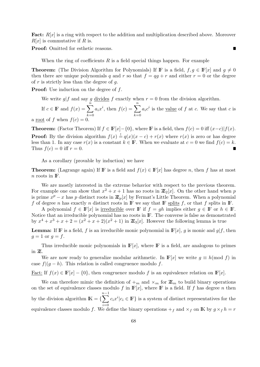**Fact:**  $R[x]$  is a ring with respect to the addition and multiplication described above. Moreover *R*[*x*] is commutative if *R* is.

■

**Proof:** Omitted for esthetic reasons.

When the ring of coefficients *R* is a field special things happen. For example

**Theorem:** (The Division Algorithm for Polynomials) If **F** is a field,  $f, g \in \mathbb{F}[x]$  and  $g \neq 0$ then there are unique polynomials *q* and *r* so that  $f = qg + r$  and either  $r = 0$  or the degree of *r* is strictly less than the degree of *g*.

**Proof:** Use induction on the degree of *f*.

We write  $g \mid f$  and say g divides f exactly when  $r = 0$  from the division algorithm.

If  $c \in \mathbb{F}$  and  $f(x) = \sum_{n=0}^{\infty}$ *k*=0  $a_i x^i$ , then  $f(c) = \sum_{i=1}^n$ *k*=0  $a_i c^i$  is the <u>value</u> of *f* at *c*. We say that *c* is a root of f when  $f(c) = 0$ .

**Theorem:** (Factor Theorem) If  $f \in \mathbb{F}[x] - \{0\}$ , where  $\mathbb{F}$  is a field, then  $f(c) = 0$  iff  $(x-c)|f(x)$ . **Proof:** By the division algorithm  $f(x) \stackrel{!}{=} q(x)(x-c) + r(x)$  where  $r(x)$  is zero or has degree less than 1. In any case  $r(x)$  is a constant  $k \in \mathbb{F}$ . When we evaluate at  $c = 0$  we find  $f(c) = k$ . Thus  $f(c) = 0$  iff  $r = 0$ .

As a corollary (provable by induction) we have

**Theorem:** (Lagrange again) If IF is a field and  $f(x) \in F[x]$  has degree *n*, then *f* has at most  $n$  roots in  $\mathbb{F}$ .

We are mostly interested in the extreme behavior with respect to the previous theorem. For example one can show that  $x^2 + x + 1$  has no roots in  $\mathbb{Z}_2[x]$ . On the other hand when *p* is prime  $x^p - x$  has p distinct roots in  $\mathbb{Z}_p[x]$  by Fermat's Little Theorem. When a polynomial *f* of degree *n* has exactly *n* distinct roots in  $\mathbb{F}$  we say that  $\mathbb{F}$  splits *f*, or that *f* splits in  $\mathbb{F}$ .

A polynomial  $f \in \mathbb{F}[x]$  is irreducible over  $\mathbb{F}$  if  $f = gh$  implies either  $g \in \mathbb{F}$  or  $h \in \mathbb{F}$ . Notice that an irreducible polynomial has no roots in IF. The converse is false as demonstrated by  $x^4 + x^3 + x + 2 = (x^2 + x + 2)(x^2 + 1)$  in  $\mathbb{Z}_3[x]$ . However the following lemma is true

**Lemma:** If **F** is a field, *f* is an irreducible monic polynomial in  $\mathbb{F}[x]$ , *g* is monic and *g*|*f*, then  $g = 1$  or  $g = f$ .

Thus irreducible monic polynomials in  $\mathbb{F}[x]$ , where  $\mathbb{F}$  is a field, are analogous to primes in ZZ.

We are now ready to generalize modular arithmetic. In  $\mathbb{F}[x]$  we write  $q \equiv h \pmod{f}$  in case  $f|(g-h)$ . This relation is called congruence modulo  $f$ .

<u>Fact:</u> If  $f(x) \in \mathbb{F}[x] - \{0\}$ , then congruence modulo f is an equivalence relation on  $\mathbb{F}[x]$ .

We can therefore mimic the definition of  $+_{m}$  and  $\times_{m}$  for  $\mathbb{Z}_{m}$  to build binary operations on the set of equivalence classes modulo  $f$  in  $\mathbb{F}[x]$ , where  $\mathbb{F}$  is a field. If  $f$  has degree  $n$  then by the division algorithm  $\mathbb{K} = \{ \sum_{n=1}^{n-1} \}$ *i*=0  $c_i x^i | c_i \in \mathbb{F}$  is a system of distinct representatives for the equivalence classes modulo *f*. We define the binary operations  $+$ <sup>*f*</sup> and  $\times$ <sup>*f*</sup> on **IK** by  $g \times f h = r$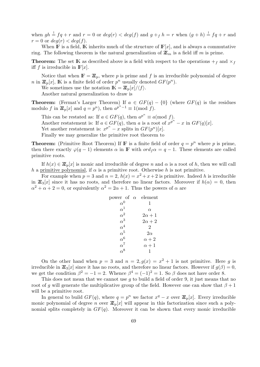when  $gh \stackrel{!}{=} fg + r$  and  $r = 0$  or  $deg(r) < deg(f)$  and  $g + f h = r$  when  $(g + h) \stackrel{!}{=} fg + r$  and  $r = 0$  or  $deg(r) < deg(f)$ .

When  $\mathbb F$  is a field,  $\mathbb K$  inherits much of the structure of  $\mathbb F[x]$ , and is always a commutative ring. The following theorem is the natural generalization of  $\mathbb{Z}_m$  is a field iff *m* is prime.

**Theorem:** The set IK as described above is a field with respect to the operations  $+$ <sup>f</sup> and  $\times$ <sup>*f*</sup> iff *f* is irreducible in  $\mathbb{F}[x]$ .

Notice that when  $\mathbb{F} = \mathbb{Z}_p$ , where p is prime and f is an irreducible polynomial of degree *n* in  $\mathbb{Z}_p[x]$ , **K** is a finite field of order  $p^n$  usually denoted  $GF(p^n)$ .

We sometimes use the notation  $\mathbb{K} = \mathbb{Z}_p[x]/\langle f \rangle$ .

Another natural generalization to draw is

**Theorem:** (Fermat's Larger Theorem) If  $a \in GF(q) - \{0\}$  (where  $GF(q)$  is the residues modulo *f* in  $\mathbb{Z}_p[x]$  and  $q = p^n$ ), then  $a^{p^n-1} \equiv 1 \pmod{f}$ .

This can be restated as: If  $a \in GF(q)$ , then  $a^{p^n} \equiv a \pmod{f}$ . Another restatement is: If  $a \in GF(q)$ , then *a* is a root of  $x^{p^n} - x$  in  $GF(q)[x]$ . Yet another restatement is:  $x^{p^n} - x$  splits in  $GF(p^n)[x]$ . Finally we may generalize the primitive root theorem to

**Theorem:** (Primitive Root Theorem) If **F** is a finite field of order  $q = p^n$  where p is prime, then there exactly  $\varphi(q-1)$  elements  $\alpha$  in **F** with  $\text{ord}_f\alpha = q-1$ . These elements are called primitive roots.

If  $h(x) \in \mathbb{Z}_p[x]$  is monic and irreducible of degree *n* and  $\alpha$  is a root of *h*, then we will call *h* a primitive polynomial, if  $\alpha$  is a primitive root. Otherwise *h* is not primitive.

For example when  $p = 3$  and  $n = 2$ ,  $h(x) = x^2 + x + 2$  is primitive. Indeed h is irreducible in  $\mathbb{Z}_3[x]$  since it has no roots, and therefore no linear factors. Moreover if  $h(\alpha) = 0$ , then  $\alpha^2 + \alpha + 2 = 0$ , or equivalently  $\alpha^2 = 2\alpha + 1$ . Thus the powers of  $\alpha$  are

| power of $\alpha$ element   |                |
|-----------------------------|----------------|
| $\alpha^0$                  | 1              |
| $\alpha^1$                  | $\alpha$       |
| $\alpha^2$                  | $2\alpha + 1$  |
| $\alpha^3$                  | $2\alpha + 2$  |
| $\alpha^4$                  | $\overline{2}$ |
| $\frac{\alpha^5}{\alpha^6}$ | $2\alpha$      |
|                             | $\alpha + 2$   |
| $\alpha^7$                  | $\alpha + 1$   |
| $\frac{1}{\alpha^8}$        | 1              |
|                             |                |

On the other hand when  $p = 3$  and  $n = 2$ ,  $g(x) = x^2 + 1$  is not primitive. Here g is irreducible in  $\mathbb{Z}_3[x]$  since it has no roots, and therefore no linear factors. However if  $g(\beta) = 0$ , we get the condition  $\beta^2 = -1 = 2$ . Whence  $\beta^4 = (-1)^2 = 1$ . So  $\beta$  does not have order 8.

This does not mean that we cannot use *g* to build a field of order 9, it just means that no root of *g* will generate the multiplicative group of the field. However one can show that  $\beta + 1$ will be a primitive root.

In general to build  $GF(q)$ , where  $q = p^n$  we factor  $x^q - x$  over  $\mathbb{Z}_p[x]$ . Every irreducible monic polynomial of degree *n* over  $\mathbb{Z}_p[x]$  will appear in this factorization since such a polynomial splits completely in  $GF(q)$ . Moreover it can be shown that every monic irreducible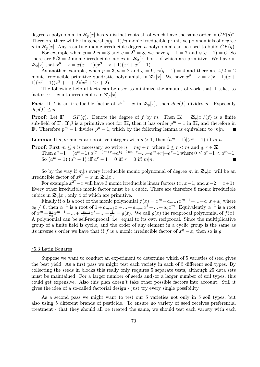degree *n* polynomial in  $\mathbb{Z}_p[x]$  has *n* distinct roots all of which have the same order in  $GF(q)^*$ . Therefore there will be in general  $\varphi(q-1)/n$  monic irreducible primitive polynomials of degree *n* in  $\mathbb{Z}_p[x]$ . Any resulting monic irreducible degree *n* polynomial can be used to build  $GF(q)$ .

For example when  $p = 2, n = 3$  and  $q = 2<sup>3</sup> = 8$ , we have  $q - 1 = 7$  and  $\varphi(q - 1) = 6$ . So there are  $6/3 = 2$  monic irreducible cubics in  $\mathbb{Z}_2[x]$  both of which are primitive. We have in  $\mathbb{Z}_2[x]$  that  $x^8 - x = x(x-1)(x^3 + x + 1)(x^3 + x^2 + 1)$ .

As another example, when  $p = 3, n = 2$  and  $q = 9, \varphi(q - 1) = 4$  and there are  $4/2 = 2$ monic irreducible primitive quadratic polynomials in  $\mathbb{Z}_3[x]$ . We have  $x^9 - x = x(x-1)(x+1)$  $1(x^2+1)(x^2+x+2)(x^2+2x+2)$ .

The following helpful facts can be used to minimize the amount of work that it takes to factor  $x^q - x$  into irreducibles in  $\mathbb{Z}_p[x]$ .

**Fact:** If *f* is an irreducible factor of  $x^{p^n} - x$  in  $\mathbb{Z}_p[x]$ , then  $deg(f)$  divides *n*. Especially  $deg(f) \leq n$ .

**Proof:** Let  $\mathbb{F} = GF(q)$ . Denote the degree of *f* by *m*. Then  $\mathbb{K} = \mathbb{Z}_p[x]/\langle f \rangle$  is a finite sub-field of **F**. If  $\beta$  is a primitive root for **K**, then it has order  $p^m - 1$  in **K**, and therefore in **F**. Therefore  $p^m - 1$  divides  $p^n - 1$ , which by the following lemma is equivalent to  $m|n$ .

**Lemma:** If *a, m* and *n* are positive integers with  $a > 1$ , then  $(a^m - 1)(a^n - 1)$  iff  $m|n$ .

**Proof:** First  $m \leq n$  is necessary, so write  $n = mq + r$ , where  $0 \leq r < m$  and  $q, r \in \mathbb{Z}$ . Then  $a^{n}-1 = (a^{m}-1)[a^{(q-1)m+r}+a^{(q-2)m+r}+...+a^{m}+r]+a^{r}-1$  where  $0 \leq a^{r}-1 < a^{m}-1$ . So  $(a^m - 1)(a^n - 1)$  iff  $a^r - 1 = 0$  iff  $r = 0$  iff  $m|n$ .

So by the way if  $m|n$  every irreducible monic polynomial of degree m in  $\mathbb{Z}_p[x]$  will be an irreducible factor of  $x^{p^n} - x$  in  $\mathbb{Z}_p[x]$ .

For example  $x^{27} - x$  will have 3 monic irreducible linear factors  $(x, x-1, x-2 = x+1)$ . Every other irreducible monic factor must be a cubic. There are therefore 8 monic irreducible cubics in  $\mathbb{Z}_3[x]$ , only 4 of which are primitive.

Finally if  $\alpha$  is a root of the monic polynomial  $f(x) = x^m + a_{m-1}x^{m-1} + ... + a_1x + a_0$  where  $a_0 \neq 0$ , then  $\alpha^{-1}$  is a root of  $1 + a_{m-1}x + \ldots + a_{m-i}x^{i} + \ldots + a_0x^{m}$ . Equivalently  $\alpha^{-1}$  is a root of  $x^m + \frac{a_1}{a_2}$  $\frac{a_1}{a_0}x^{m-1} + \ldots + \frac{a_{m-i}}{a_0}x^{i} + \ldots + \frac{1}{a_0}$  $\frac{1}{a_0} = g(x)$ . We call  $g(x)$  the reciprocal polynomial of  $f(x)$ . A polynomial can be self-reciprocal, i.e. equal to its own reciprocal. Since the multiplicative group of a finite field is cyclic, and the order of any element in a cyclic group is the same as its inverse's order we have that if *f* is a monic irreducible factor of  $x^q - x$ , then so is *g*.

### *§*5.3 Latin Squares

Suppose we want to conduct an experiment to determine which of 5 varieties of seed gives the best yield. As a first pass we might test each variety in each of 5 different soil types. By collecting the seeds in blocks this really only requires 5 separate tests, although 25 data sets must be maintained. For a larger number of seeds and/or a larger number of soil types, this could get expensive. Also this plan doesn't take other possible factors into account. Still it gives the idea of a so-called factorial design - just try every single possibility.

As a second pass we might want to test our 5 varieties not only in 5 soil types, but also using 5 different brands of pesticide. To ensure no variety of seed receives preferential treatment - that they should all be treated the same, we should test each variety with each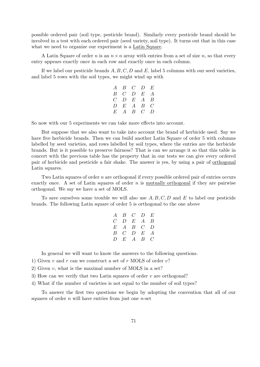possible ordered pair (soil type, pesticide brand). Similarly every pesticide brand should be involved in a test with each ordered pair (seed variety, soil type). It turns out that in this case what we need to organize our experiment is a Latin Square.

A Latin Square of order *n* is an *n×n* array with entries from a set of size *n*, so that every entry appears exactly once in each row and exactly once in each column.

If we label our pesticide brands *A, B, C, D* and *E*, label 5 columns with our seed varieties, and label 5 rows with the soil types, we might wind up with

|  | $A$ $B$ $C$ $D$ $E$ |  |
|--|---------------------|--|
|  | $B$ $C$ $D$ $E$ $A$ |  |
|  | $C$ $D$ $E$ $A$ $B$ |  |
|  | $D$ $E$ $A$ $B$ $C$ |  |
|  | $E$ A B C D         |  |

So now with our 5 experiments we can take more effects into account.

But suppose that we also want to take into account the brand of herbicide used. Say we have five herbicide brands. Then we can build another Latin Square of order 5 with columns labelled by seed varieties, and rows labelled by soil types, where the entries are the herbicide brands. But is it possible to preserve fairness? That is can we arrange it so that this table in concert with the previous table has the property that in our tests we can give every ordered pair of herbicide and pesticide a fair shake. The answer is yes, by using a pair of orthogonal Latin squares.

Two Latin squares of order *n* are orthogonal if every possible ordered pair of entries occurs exactly once. A set of Latin squares of order *n* is mutually orthogonal if they are pairwise orthogonal. We say we have a set of MOLS.

To save ourselves some trouble we will also use *A, B, C, D* and *E* to label our pesticide brands. The following Latin square of order 5 is orthogonal to the one above

|  | $A$ $B$ $C$ $D$ $E$<br>$C$ $D$ $E$ $A$ $B$<br>$E$ A B C D<br>$B$ $C$ $D$ $E$ $A$<br>$D$ $E$ $A$ $B$ $C$ |
|--|---------------------------------------------------------------------------------------------------------|

In general we will want to know the answers to the following questions.

- 1) Given *v* and *r* can we construct a set of *r* MOLS of order *v*?
- 2) Given *v*, what is the maximal number of MOLS in a set?
- 3) How can we verify that two Latin squares of order *v* are orthogonal?
- 4) What if the number of varieties is not equal to the number of soil types?

To answer the first two questions we begin by adopting the convention that all of our squares of order *n* will have entries from just one *n*-set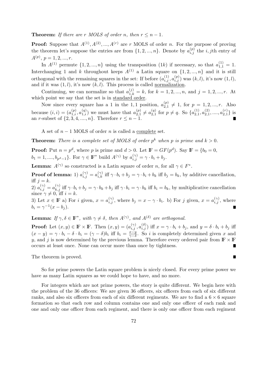**Theorem:** *If there are*  $r$  *MOLS of order*  $n$ *, then*  $r \leq n-1$ *.* 

**Proof:** Suppose that  $A^{(1)}, A^{(2)}, \ldots, A^{(r)}$  are *r* MOLS of order *n*. For the purpose of proving the theorem let's suppose the entries are from  $\{1, 2, ..., n\}$ . Denote by  $a_{i,j}^{(p)}$  the *i, j*th entry of  $A^{(p)}$ ,  $p = 1, 2, ..., r$ .

In  $A^{(1)}$  permute  $\{1, 2, ..., n\}$  using the transposition  $(1k)$  if necessary, so that  $a_{1,1}^{(1)} = 1$ . Interchanging 1 and *k* throughout keeps  $A^{(1)}$  a Latin square on  $\{1, 2, ..., n\}$  and it is still orthogonal with the remaining squares in the set: If before  $(a_{i,j}^{(1)}, a_{i,j}^{(p)})$  was  $(k, l)$ , it's now  $(1, l)$ , and if it was  $(1, l)$ , it's now  $(k, l)$ . This process is called <u>normalization</u>.

Continuing, we can normalize so that  $a_{1,k}^{(j)} = k$ , for  $k = 1, 2, ..., n$ , and  $j = 1, 2, ..., r$ . At which point we say that the set is in standard order.

Now since every square has a 1 in the 1,1 position,  $a_{2,1}^{(p)}$  $2_{2,1}^{(p)} \neq 1$ , for  $p = 1, 2, ..., r$ . Also because  $(i, i) = (a_{1,i}^{(p)}, a_{1,i}^{(q)})$  we must have that  $a_{2,1}^{(p)}$  $a_{2,1}^{(p)} \neq a_{2,1}^{(q)}$  $_{2,1}^{(q)}$  for  $p \neq q$ . So  $\{a_{2,1}^{(1)}\}$  $a_{2,1}^{(1)}, a_{2,1}^{(2)}$  $a_{2,1}^{(2)}, \ldots, a_{2,1}^{(r)}$  $x_{2,1}^{(r)}$ } is an *r*-subset of  $\{2, 3, 4, ..., n\}$ . Therefore  $r \leq n - 1$ .

A set of *n −* 1 MOLS of order *n* is called a complete set.

**Theorem:** There is a complete set of MOLS of order  $p^k$  when p is prime and  $k > 0$ .

**Proof:** Put  $n = p^d$ , where *p* is prime and  $d > 0$ . Let  $\mathbb{F} = GF(p^d)$ . Say  $\mathbb{F} = \{b_0 = 0,$  $b_1 = 1, \ldots, b_{p^d-1}$ }. For  $\gamma \in \mathbb{F}^*$  build  $A^{(\gamma)}$  by  $a_{i,j}^{(\gamma)} = \gamma \cdot b_i + b_j$ .

**Lemma:**  $A^{(\gamma)}$  so constructed is a Latin square of order *n*, for all  $\gamma \in F^*$ .

**Proof of lemma:** 1)  $a_{i,j}^{(\gamma)} = a_{i,k}^{(\gamma)}$  iff  $\gamma \cdot b_i + b_j = \gamma \cdot b_i + b_k$  iff  $b_j = b_k$ , by additive cancellation, iff  $j = k$ .

2)  $a_{i,j}^{(\gamma)} = a_{k,j}^{(\gamma)}$  iff  $\gamma \cdot b_i + b_j = \gamma \cdot b_k + b_j$  iff  $\gamma \cdot b_i = \gamma \cdot b_k$  iff  $b_i = b_k$ , by multiplicative cancellation since  $\gamma \neq 0$ , iff  $i = k$ .

3) Let  $x \in \mathbb{F}$  a) For *i* given,  $x = a_{i,j}^{(\gamma)}$ , where  $b_j = x - \gamma \cdot b_i$ . b) For *j* given,  $x = a_{i,j}^{(\gamma)}$ , where  $b_i = \gamma^{-1}(x - b_j).$ 

## **Lemma:** If  $\gamma, \delta \in \mathbb{F}^*$ , with  $\gamma \neq \delta$ , then  $A^{(\gamma)}$ , and  $A^{(\delta)}$  are orthogonal.

**Proof:** Let  $(x, y) \in \mathbb{F} \times \mathbb{F}$ . Then  $(x, y) = (a_{i,j}^{(\gamma)}, a_{i,j}^{(\delta)})$  iff  $x = \gamma \cdot b_i + b_j$ , and  $y = \delta \cdot b_i + b_j$  iff  $(x - y) = \gamma \cdot b_i - \delta \cdot b_i = (\gamma - \delta)b_i$  iff  $b_i = \frac{x - y}{\gamma - \delta}$  $\frac{x-y}{\gamma-\delta}$ . So *i* is completely determined given *x* and *y*, and *j* is now determined by the previous lemma. Therefore every ordered pair from  $\mathbb{F} \times \mathbb{F}$ occurs at least once. None can occur more than once by tightness.

The theorem is proved.

So for prime powers the Latin square problem is nicely closed. For every prime power we have as many Latin squares as we could hope to have, and no more.

For integers which are not prime powers, the story is quite different. We begin here with the problem of the 36 officers: We are given 36 officers, six officers from each of six different ranks, and also six officers from each of six different regiments. We are to find a  $6 \times 6$  square formation so that each row and column contains one and only one officer of each rank and one and only one officer from each regiment, and there is only one officer from each regiment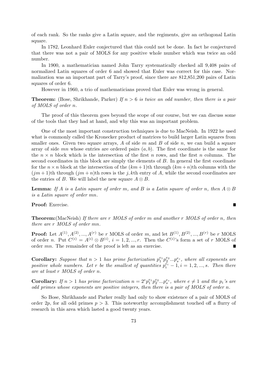of each rank. So the ranks give a Latin square, and the regiments, give an orthogonal Latin square.

In 1782, Leonhard Euler conjectured that this could not be done. In fact he conjectured that there was not a pair of MOLS for any positive whole number which was twice an odd number.

In 1900, a mathematician named John Tarry systematically checked all 9,408 pairs of normalized Latin squares of order 6 and showed that Euler was correct for this case. Normalization was an important part of Tarry's proof, since there are 812,851,200 pairs of Latin squares of order 6.

However in 1960, a trio of mathematicians proved that Euler was wrong in general.

**Theorem:** (Bose, Shrikhande, Parker) *If n >* 6 *is twice an odd number, then there is a pair of MOLS of order n.*

The proof of this theorem goes beyond the scope of our course, but we can discuss some of the tools that they had at hand, and why this was an important problem.

One of the most important construction techniques is due to MacNeish. In 1922 he used what is commonly called the Kronecker product of matrices to build larger Latin squares from smaller ones. Given two square arrays, *A* of side *m* and *B* of side *n*, we can build a square array of side *mn* whose entries are ordered pairs (*a, b*). The first coordinate is the same for the  $n \times n$  block which is the intersection of the first *n* rows, and the first *n* columns. The second coordinates in this block are simply the elements of *B*. In general the first coordinate for the  $n \times n$  block at the intersection of the  $(km+1)$ th through  $(km+n)$ th columns with the  $(jm+1)$ th through  $(jm+n)$ th rows is the *j*, kth entry of *A*, while the second coordinates are the entries of *B*. We will label the new square  $A \otimes B$ .

**Lemma:** If *A* is a Latin square of order *m*, and *B* is a Latin square of order *n*, then  $A \otimes B$ *is a Latin square of order mn.*

 $\blacksquare$ 

**Proof:** Exercise.

**Theorem:**(MacNeish) *If there are r MOLS of order m and another r MOLS of order n, then there are r MOLS of order mn.*

**Proof:** Let  $A^{(1)}, A^{(2)}, ..., A^{(r)}$  be *r* MOLS of order *m*, and let  $B^{(1)}, B^{(2)}, ..., B^{(r)}$  be *r* MOLS of order *n*. Put  $C^{(i)} = A^{(i)} \otimes B^{(i)}$ ,  $i = 1, 2, ..., r$ . Then the  $C^{(i)}$ 's form a set of *r* MOLS of order *mn*. The remainder of the proof is left as an exercise. Е

**Corollary:** Suppose that  $n > 1$  has prime factorization  $p_1^{e_1} p_2^{e_2} ... p_s^{e_s}$ , where all exponents are *positive whole numbers. Let r be the smallest of quantities*  $p_i^{\bar{e}_i} - 1, i = 1, 2, ..., s$ *. Then there are at least r MOLS of order n.*

**Corollary:** If  $n > 1$  has prime factorization  $n = 2^e p_1^{e_1} p_2^{e_2} ... p_s^{e_s}$ , where  $e \neq 1$  and the  $p_i$ 's are *odd primes whose exponents are positive integers, then there is a pair of MOLS of order n.*

So Bose, Shrikhande and Parker really had only to show existence of a pair of MOLS of order 2*p*, for all odd primes  $p > 3$ . This noteworthy accomplishment touched off a flurry of research in this area which lasted a good twenty years.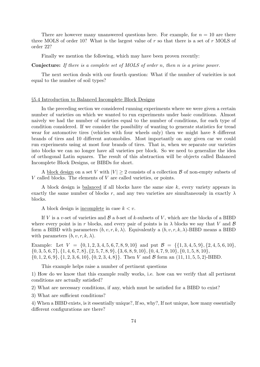There are however many unanswered questions here. For example, for  $n = 10$  are there three MOLS of order 10? What is the largest value of *r* so that there is a set of *r* MOLS of order 22?

Finally we mention the following, which may have been proven recently:

**Conjecture:** *If there is a complete set of MOLS of order n, then n is a prime power.*

The next section deals with our fourth question: What if the number of varieities is not equal to the number of soil types?

## *§*5.4 Introduction to Balanced Incomplete Block Designs

In the preceding section we considered running experiments where we were given a certain number of varieties on which we wanted to run experiments under basic conditions. Almost naively we had the number of varieties equal to the number of conditions, for each type of condition considered. If we consider the possibility of wanting to generate statistics for tread wear for automotive tires (vehicles with four wheels only) then we might have 8 different brands of tires and 10 different automobiles. Most importantly on any given car we could run experiments using at most four brands of tires. That is, when we separate our varieties into blocks we can no longer have all varieties per block. So we need to generalize the idea of orthogonal Latin squares. The result of this abstraction will be objects called Balanced Incomplete Block Designs, or BIBDs for short.

A block design on a set *V* with  $|V| > 2$  consists of a collection *B* of non-empty subsets of *V* called blocks. The elements of *V* are called varieties, or points.

A block design is balanced if all blocks have the same size *k*, every variety appears in exactly the same number of blocks r, and any two varieties are simultaneously in exactly  $\lambda$ blocks.

A block design is incomplete in case *k < v*.

If *V* is a *v*-set of varieties and *B* a *b*-set of *k*-subsets of *V* , which are the blocks of a BIBD where every point is in *r* blocks, and every pair of points is in  $\lambda$  blocks we say that *V* and  $\beta$ form a BIBD with parameters  $(b, v, r, k, \lambda)$ . Equivalently a  $(b, v, r, k, \lambda)$ -BIBD means a BIBD with parameters  $(b, v, r, k, \lambda)$ .

Example: Let  $V = \{0, 1, 2, 3, 4, 5, 6, 7, 8, 9, 10\}$  and put  $\mathcal{B} = \{\{1, 3, 4, 5, 9\}, \{2, 4, 5, 6, 10\},\}$  $\{0,3,5,6,7\},\{1,4,6,7,8\},\{2,5,7,8,9\},\{3,6,8,9,10\},\{0,4,7,9,10\},\{0,1,5,8,10\},$  $\{0, 1, 2, 6, 9\}, \{1, 2, 3, 6, 10\}, \{0, 2, 3, 4, 8\}\}.$  Then V and B form an  $(11, 11, 5, 5, 2)$ -BIBD.

This example helps raise a number of pertinent questions

1) How do we know that this example really works, i.e. how can we verify that all pertinent conditions are actually satisfied?

2) What are necessary conditions, if any, which must be satisfied for a BIBD to exist?

3) What are sufficient conditions?

4) When a BIBD exists, is it essentially unique?, If so, why?, If not unique, how many essentially different configurations are there?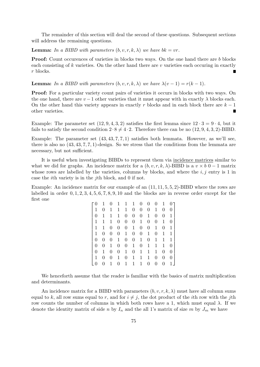The remainder of this section will deal the second of these questions. Subsequent sections will address the remaining questions.

**Lemma:** In a BIBD with parameters  $(b, v, r, k, \lambda)$  we have  $bk = vr$ .

**Proof:** Count occurences of varieties in blocks two ways. On the one hand there are *b* blocks each consisting of *k* varieties. On the other hand there are *v* varieties each occuring in exactly *r* blocks.

**Lemma:** In a BIBD with parameters  $(b, v, r, k, \lambda)$  we have  $\lambda(v-1) = r(k-1)$ .

**Proof:** For a particular variety count pairs of varieties it occurs in blocks with two ways. On the one hand, there are  $v-1$  other varieties that it must appear with in exactly  $\lambda$  blocks each. On the other hand this variety appears in exactly *r* blocks and in each block there are *k −* 1 other varieties.

Example: The parameter set  $(12, 9, 4, 3, 2)$  satisfies the first lemma since  $12 \cdot 3 = 9 \cdot 4$ , but it fails to satisfy the second condition  $2 \cdot 8 \neq 4 \cdot 2$ . Therefore there can be no  $(12, 9, 4, 3, 2)$ -BIBD.

Example: The parameter set  $(43, 43, 7, 7, 1)$  satisfies both lemmata. However, as we'll see, there is also no (43*,* 43*,* 7*,* 7*,* 1)-design. So we stress that the conditions from the lemmata are necessary, but not sufficient.

It is useful when investigating BIBDs to represent them via incidence matrices similar to what we did for graphs. An incidence matrix for a  $(b, v, r, k, \lambda)$ -BIBD is a  $v \times b$  0 − 1 matrix whose rows are labelled by the varieties, columns by blocks, and where the *i, j* entry is 1 in case the *i*th variety is in the *j*th block, and 0 if not.

Example: An incidence matrix for our example of an (11*,* 11*,* 5*,* 5*,* 2)-BIBD where the rows are labelled in order 0*,* 1*,* 2*,* 3*,* 4*,* 5*,* 6*,* 7*,* 8*,* 9*,* 10 and the blocks are in reverse order except for the first one

|                | 1              | $\overline{0}$ | $\mathbf{1}$     | $\mathbf{1}$     | $\mathbf{1}$     | $\boldsymbol{0}$ | $\boldsymbol{0}$ | 0                | 1              | $\overline{0}$ |
|----------------|----------------|----------------|------------------|------------------|------------------|------------------|------------------|------------------|----------------|----------------|
| 1              | 0              | 1              | 1                | 1                | $\overline{0}$   | $\overline{0}$   | $\boldsymbol{0}$ | 1                | 0              | $\overline{0}$ |
| $\overline{0}$ | 1              | 1              | 1                | 0                | $\overline{0}$   | $\overline{0}$   | 1                | 0                | $\overline{0}$ | 1              |
| 1              | 1              | 1              | $\boldsymbol{0}$ | $\boldsymbol{0}$ | $\overline{0}$   | 1                | $\overline{0}$   | $\boldsymbol{0}$ | 1              | $\overline{0}$ |
| 1              | 1              | 0              | $\boldsymbol{0}$ | $\boldsymbol{0}$ | $\mathbf 1$      | $\boldsymbol{0}$ | $\boldsymbol{0}$ | 1                | $\overline{0}$ | 1              |
| 1              | $\overline{0}$ | 0              | 0                | 1                | $\overline{0}$   | $\overline{0}$   | $\mathbf{1}$     | 0                | 1              | 1              |
| $\overline{0}$ | $\overline{0}$ | $\overline{0}$ | $\mathbf{1}$     | $\theta$         | $\boldsymbol{0}$ | $\mathbf{1}$     | 0                | 1                | 1              | $\mathbf{1}$   |
| $\overline{0}$ | 0              | 1              | $\boldsymbol{0}$ | $\overline{0}$   | $\mathbf{1}$     | $\overline{0}$   | 1                | 1                | 1              | $\overline{0}$ |
| $\overline{0}$ | 1              | 0              | 0                | $\mathbf{1}$     | $\overline{0}$   | $\mathbf{1}$     | 1                | 1                | $\overline{0}$ | $\overline{0}$ |
| 1              | $\overline{0}$ | 0              | 1                | $\theta$         | 1                | 1                | 1                | 0                | $\overline{0}$ | 0              |
| $\overline{0}$ | 0              | 1              | 0                | 1                | 1                | 1                | 0                | 0                | 0              | 1              |

We henceforth assume that the reader is familiar with the basics of matrix multiplication and determinants.

An incidence matrix for a BIBD with parameters  $(b, v, r, k, \lambda)$  must have all column sums equal to k, all row sums equal to r, and for  $i \neq j$ , the dot product of the *i*th row with the *j*th row counts the number of columns in which both rows have a 1, which must equal *λ*. If we denote the identity matrix of side *n* by  $I_n$  and the all 1's matrix of size *m* by  $J_m$  we have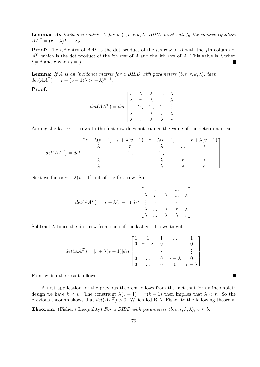**Lemma:** An incidence matrix A for a  $(b, v, r, k, \lambda)$ -BIBD must satisfy the matrix equation  $AA^T = (r - \lambda)I_v + \lambda J_v$ .

**Proof:** The *i, j* entry of *AA<sup>T</sup>* is the dot product of the *i*th row of *A* with the *j*th column of  $A<sup>T</sup>$ , which is the dot product of the *i*th row of *A* and the *j*th row of *A*. This value is  $\lambda$  when  $i \neq j$  and *r* when  $i = j$ .

**Lemma:** If A is an incidence matrix for a BIBD with parameters  $(b, v, r, k, \lambda)$ , then  $det(AA^T) = [r + (v - 1)\lambda](r - \lambda)^{v-1}.$ 

**Proof:**

$$
det(AAT) = det \begin{bmatrix} r & \lambda & \lambda & \dots & \lambda \\ \lambda & r & \lambda & \dots & \lambda \\ \vdots & \ddots & \ddots & \ddots & \vdots \\ \lambda & \dots & \lambda & r & \lambda \\ \lambda & \dots & \lambda & \lambda & r \end{bmatrix}
$$

Adding the last  $v-1$  rows to the first row does not change the value of the determinant so

$$
det(AA^{T}) = det \begin{bmatrix} r + \lambda(v-1) & r + \lambda(v-1) & r + \lambda(v-1) & \dots & r + \lambda(v-1) \\ \lambda & r & \lambda & \dots & \lambda \\ \vdots & \vdots & \ddots & \vdots & \vdots \\ \lambda & \dots & \lambda & r & \lambda \\ \lambda & \dots & \lambda & \lambda & r \end{bmatrix}
$$

Next we factor  $r + \lambda (v - 1)$  out of the first row. So

$$
det(AA^{T}) = [r + \lambda(v-1)]det\begin{bmatrix} 1 & 1 & 1 & \dots & 1 \\ \lambda & r & \lambda & \dots & \lambda \\ \vdots & \ddots & \ddots & \ddots & \vdots \\ \lambda & \dots & \lambda & r & \lambda \\ \lambda & \dots & \lambda & \lambda & r \end{bmatrix}
$$

Subtract  $\lambda$  times the first row from each of the last  $v-1$  rows to get

$$
det(AA^{T}) = [r + \lambda(v-1)]det\begin{bmatrix} 1 & 1 & 1 & \dots & 1 \\ 0 & r - \lambda & 0 & \dots & 0 \\ \vdots & \ddots & \ddots & \ddots & \vdots \\ 0 & \dots & 0 & r - \lambda & 0 \\ 0 & \dots & 0 & 0 & r - \lambda \end{bmatrix}
$$

From which the result follows.

A first application for the previous theorem follows from the fact that for an incomplete design we have  $k < v$ . The constraint  $\lambda(v-1) = r(k-1)$  then implies that  $\lambda < r$ . So the previous theorem shows that  $det(AA^T) > 0$ . Which led R.A. Fisher to the following theorem.

п

**Theorem:** (Fisher's Inequality) *For a BIBD with parameters*  $(b, v, r, k, \lambda)$ *,*  $v \leq b$ *.*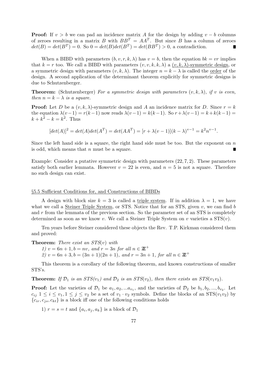**Proof:** If  $v > b$  we can pad an incidence matrix *A* for the design by adding  $v - b$  columns of zeroes resulting in a matrix *B* with  $BB^T = AA^T$ . But since *B* has a column of zeroes  $det(B) = det(B^T) = 0$ . So  $0 = det(B)det(B^T) = det(BB^T) > 0$ , a contradiction.

When a BIBD with parameters  $(b, v, r, k, \lambda)$  has  $v = b$ , then the equation  $bk = vr$  implies that  $k = r$  too. We call a BIBD with parameters  $(v, v, k, k, \lambda)$  a  $(v, k, \lambda)$ -symmetric design, or a symmetric design with parameters  $(v, k, \lambda)$ . The integer  $n = k - \lambda$  is called the order of the design. A second application of the determinant theorem explicitly for symmetric designs is due to Schutzenberger.

**Theorem:** (Schutzenberger) *For a symmetric design with parameters*  $(v, k, \lambda)$ *, if v is even, then*  $n = k - \lambda$  *is a square.* 

**Proof:** Let *D* be a  $(v, k, \lambda)$ -symmetric design and *A* an incidence matrix for *D*. Since  $r = k$ the equation  $\lambda(v-1) = r(k-1)$  now reads  $\lambda(v-1) = k(k-1)$ . So  $r + \lambda(v-1) = k + k(k-1)$  $k + k^2 - k = k^2$ . Thus

$$
[det(A)]^2 = det(A)det(A^T) = det(AA^T) = [r + \lambda(v-1)](k - \lambda)^{v-1} = k^2 n^{v-1}.
$$

Since the left hand side is a square, the right hand side must be too. But the exponent on *n* is odd, which means that *n* must be a square.

Example: Consider a putative symmetric design with parameters (22*,* 7*,* 2). These parameters satisfy both earlier lemmata. However  $v = 22$  is even, and  $n = 5$  is not a square. Therefore no such design can exist.

#### *§*5.5 Sufficient Conditions for, and Constructions of BIBDs

A design with block size  $k = 3$  is called a triple system. If in addition  $\lambda = 1$ , we have what we call a Steiner Triple System, or STS. Notice that for an STS, given *v*, we can find *b* and *r* from the lemmata of the previous section. So the parameter set of an STS is completely determined as soon as we know *v*. We call a Steiner Triple System on *v* varieties a STS(*v*).

Ten years before Steiner considered these objects the Rev. T.P. Kirkman considered them and proved:

**Theorem:** *There exist an STS*(*v*) *with*

*1)*  $v = 6n + 1, b = nv$ , and  $r = 3n$  for all  $n \in \mathbb{Z}^+$ 

*2)*  $v = 6n + 3, b = (3n + 1)(2n + 1),$  and  $r = 3n + 1$ , for all  $n \in \mathbb{Z}^+$ 

This theorem is a corollary of the following theorem, and known constructions of smaller STS's.

**Theorem:** If  $\mathcal{D}_1$  is an  $STS(v_1)$  and  $\mathcal{D}_2$  is an  $STS(v_2)$ , then there exists an  $STS(v_1v_2)$ .

**Proof:** Let the varieties of  $\mathcal{D}_1$  be  $a_1, a_2, \ldots, a_{v_1}$ , and the varieties of  $\mathcal{D}_2$  be  $b_1, b_2, \ldots, b_{v_2}$ . Let  $c_{ij}$   $1 \leq i \leq v_1, 1 \leq j \leq v_2$  be a set of  $v_1 \cdot v_2$  symbols. Define the blocks of an STS( $v_1v_2$ ) by  ${c_i, c_j, c_{kt}}$  is a block iff one of the following conditions holds

1)  $r = s = t$  and  $\{a_i, a_j, a_k\}$  is a block of  $\mathcal{D}_1$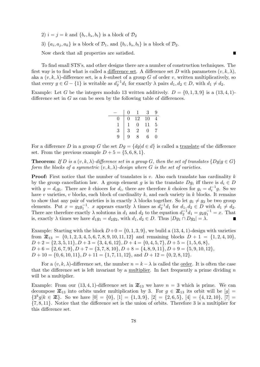2)  $i = j = k$  and  $\{b_r, b_s, b_t\}$  is a block of  $\mathcal{D}_2$ 3)  $\{a_i, a_j, a_k\}$  is a block of  $\mathcal{D}_1$ , and  $\{b_r, b_s, b_t\}$  is a block of  $\mathcal{D}_2$ . Now check that all properties are satisfied.

To find small STS's, and other designs there are a number of construction techniques. The first way is to find what is called a difference set. A difference set *D* with parameters  $(v, k, \lambda)$ , aka a  $(v, k, \lambda)$ -difference set, is a *k*-subset of a group *G* of order *v*, written multiplicatively, so that every  $g \in G - \{1\}$  is writable as  $d_2^{-1}d_1$  for exactly  $\lambda$  pairs  $d_1, d_2 \in D$ , with  $d_1 \neq d_2$ .

■

Example: Let *G* be the integers modulo 13 written additively.  $D = \{0, 1, 3, 9\}$  is a  $(13, 4, 1)$ difference set in *G* as can be seen by the following table of differences.

|   | $\mathbf{\Omega}$ |                   | 3  | Q |
|---|-------------------|-------------------|----|---|
|   | 0                 | 12                | 10 |   |
|   |                   | $\mathbf{\Omega}$ | 11 | 5 |
| 3 | 3                 | $\overline{2}$    | 0  |   |
| 9 | q                 |                   | 6  |   |

For a difference *D* in a group *G* the set  $Dg = \{dg | d \in d\}$  is called a translate of the difference set. From the previous example  $D+5 = \{5, 6, 8, 1\}$ .

**Theorem:** *If D is a*  $(v, k, \lambda)$ *-difference set in a group G*, then the set of translates  $\{Dg | g \in G\}$ *form the blocks of a symmetric*  $(v, k, \lambda)$ *-design where G is the set of varieties.* 

**Proof:** First notice that the number of translates is *v*. Also each translate has cardinality *k* by the group cancellation law. A group element *g* is in the translate  $Dg_i$  iff there is  $d_i \in D$ with  $g = d_i g_i$ . There are *k* chioces for  $d_i$ , there are therefore *k* choices for  $g_i = d_i^{-1} g$ . So we have *v* varieties, *v* blocks, each block of cardinality *k*, and each variety in *k* blocks. It remains to show that any pair of varieties is in exactly  $\lambda$  blocks together. So let  $g_1 \neq g_2$  be two group elements. Put  $x = g_2 g_1^{-1}$ , *x* appears exactly  $\lambda$  times as  $d_2^{-1} d_1$  for  $d_1, d_2 \in D$  with  $d_1 \neq d_2$ . There are therefore exactly  $\lambda$  solutions in  $d_1$  and  $d_2$  to the equation  $d_2^{-1}d_1 = g_2g_1^{-1} = x$ . That is, exactly  $\lambda$  times we have  $d_1g_1 = d_2g_2$ , with  $d_1, d_2 \in D$ . Thus  $|Dg_1 \cap Dg_2| = \lambda$ .

Example: Starting with the block  $D+0 = \{0, 1, 3, 9\}$ , we build a  $(13, 4, 1)$ -design with varieties from  $\mathbb{Z}_{13} = \{0, 1, 2, 3, 4, 5, 6, 7, 8, 9, 10, 11, 12\}$  and remaining blocks  $D + 1 = \{1, 2, 4, 10\}$ ,  $D+2 = \{2,3,5,11\}, D+3 = \{3,4,6,12\}, D+4 = \{0,4,5,7\}, D+5 = \{1,5,6,8\},$  $D+6 = \{2,6,7,9\}, D+7 = \{3,7,8,10\}, D+8 = \{4,8,9,11\}, D+9 = \{5,9,10,12\},$ *D* + 10 = *{*0*,* 6*,* 10*,* 11*}, D* + 11 = *{*1*,* 7*,* 11*,* 12*}*, and *D* + 12 = *{*0*,* 2*,* 8*,* 12*}*.

For a  $(v, k, \lambda)$ -difference set, the number  $n = k - \lambda$  is called the order. It is often the case that the difference set is left invariant by a multiplier. In fact frequently a prime dividing *n* will be a multiplier.

Example: From our  $(13, 4, 1)$ -difference set in  $\mathbb{Z}_{13}$  we have  $n = 3$  which is prime. We can decompose  $\mathbb{Z}_{13}$  into orbits under multiplication by 3. For  $g \in \mathbb{Z}_{13}$  its orbit will be  $[g] =$  ${3^k g | k \in \mathbb{Z}}$ . So we have  $[0] = {0}$ ,  $[1] = {1, 3, 9}$ ,  $[2] = {2, 6, 5}$ ,  $[4] = {4, 12, 10}$ ,  $[7] =$ *{*7*,* 8*,* 11*}*. Notice that the difference set is the union of orbits. Therefore 3 is a multiplier for this difference set.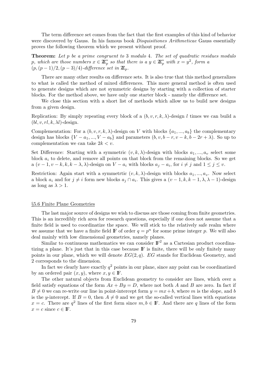The term difference set comes from the fact that the first examples of this kind of behavior were discovered by Gauss. In his famous book *Disquisitiones Arithmeticae* Gauss essentially proves the following theorem which we present without proof.

**Theorem:** *Let p be a prime congruent to* 3 *modulo* 4*. The set of quadratic residues modulo p*, which are those numbers  $x \in \mathbb{Z}_p^*$  so that there is a  $y \in \mathbb{Z}_p^*$  with  $x = y^2$ , form a  $(p, (p-1)/2, (p-3)/4)$ *-difference set in*  $\mathbb{Z}_p$ *.* 

There are many other results on difference sets. It is also true that this method generalizes to what is called the method of mixed differences. This more general method is often used to generate designs which are not symmetric designs by starting with a collection of starter blocks. For the method above, we have only one starter block - namely the difference set.

We close this section with a short list of methods which allow us to build new designs from a given design.

Replication: By simply repeating every block of a  $(b, v, r, k, \lambda)$ -design *l* times we can build a  $(bl, v, rl, k, \lambda l)$ -design.

Complementation: For a  $(b, v, r, k, \lambda)$ -design on *V* with blocks  $\{a_1, ..., a_b\}$  the complementary design has blocks  $\{V - a_1, ..., V - a_b\}$  and parameters  $(b, v, b - r, v - k, b - 2r + \lambda)$ . So up to complementation we can take 2*k < v*.

Set Difference: Starting with a symmetric  $(v, k, \lambda)$ -design with blocks  $a_1, ..., a_v$  select some block  $a_i$  to delete, and remove all points on that block from the remaining blocks. So we get a  $(v-1, v-k, k, k-\lambda, \lambda)$ -design on  $V - a_i$  with blocks  $a_j - a_i$ , for  $i \neq j$  and  $1 \leq j \leq v$ .

Restriction: Again start with a symmetric  $(v, k, \lambda)$ -design with blocks  $a_1, ..., a_v$ . Now select a block  $a_i$  and for  $j \neq i$  form new blocks  $a_j \cap a_i$ . This gives a  $(v-1, k, k-1, \lambda, \lambda-1)$ -design as long as  $\lambda > 1$ .

#### *§*5.6 Finite Plane Geometries

The last major source of designs we wish to discuss are those coming from finite geometries. This is an incredibly rich area for research questions, especially if one does not assume that a finite field is used to coordinatize the space. We will stick to the relatively safe realm where we assume that we have a finite field  $\mathbb{F}$  of order  $q = p^n$  for some prime integer p. We will also deal mainly with low dimensional geometries, namely planes.

Similar to continuous mathematics we can consider  $\mathbb{F}^2$  as a Cartesian product coordinatizing a plane. It's just that in this case because IF is finite, there will be only finitely many points in our plane, which we will denote  $EG(2, q)$ . *EG* stands for Euclidean Geometry, and 2 corresponds to the dimension.

In fact we clearly have exactly  $q^2$  points in our plane, since any point can be coordinatized by an ordered pair  $(x, y)$ , where  $x, y \in \mathbb{F}$ .

The other natural objects from Euclidean geometry to consider are lines, which over a field satisfy equations of the form  $Ax + By = D$ , where not both *A* and *B* are zero. In fact if  $B \neq 0$  we can re-write our line in point-intercept form  $y = mx + b$ , where *m* is the slope, and *b* is the *y*-intercept. If  $B = 0$ , then  $A \neq 0$  and we get the so-called vertical lines with equations  $x = c$ . There are  $q^2$  lines of the first form since  $m, b \in \mathbb{F}$ . And there are *q* lines of the form  $x = c$  since  $c \in \mathbb{F}$ .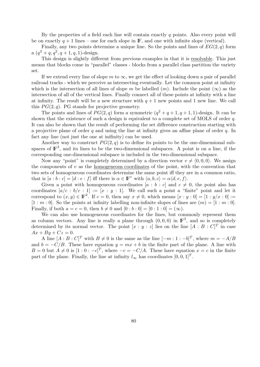By the properties of a field each line will contain exactly *q* points. Also every point will be on exactly  $q + 1$  lines – one for each slope in  $\mathbb{F}$ , and one with infinite slope (vertical).

Finally, any two points determine a unique line. So the points and lines of *EG*(2*, q*) form a  $(q^2 + q, q^2, q + 1, q, 1)$ -design.

This design is slightly different from previous examples in that it is resolvable. This just means that blocks come in "parallel" classes - blocks from a parallel class partition the variety set.

If we extend every line of slope *m* to  $\infty$ , we get the effect of looking down a pair of parallel railroad tracks - which we perceive as intersecting eventually. Let the common point at infinity which is the intersection of all lines of slope *m* be labelled  $(m)$ . Include the point  $(\infty)$  as the intersection of all of the vertical lines. Finally connect all of these points at infinity with a line at infinity. The result will be a new structure with  $q + 1$  new points and 1 new line. We call this  $PG(2, q)$ . PG stands for projective geometry.

The points and lines of  $PG(2, q)$  form a symmetric  $(q^2 + q + 1, q + 1, 1)$ -design. It can be shown that the existence of such a design is equivalent to a complete set of MOLS of order *q*. It can also be shown that the result of performing the set difference construction starting with a projective plane of order *q* and using the line at infinity gives an affine plane of order *q*. In fact any line (not just the one at inifinity) can be used.

Another way to construct  $PG(2, q)$  is to define its points to be the one-dimensional subspaces of  $\mathbb{F}^3$ , and its lines to be the two-dimensional subspaces. A point is on a line, if the corresponding one-dimensional subspace is included in the two-dimensional subspace.

Now any "point" is completely determined by a direction vector  $v \neq (0,0,0)$ . We assign the components of *v* as the homogeneous coordinates of the point, with the convention that two sets of homogeneous coordinates determine the same point iff they are in a common ratio, that is  $[a:b:c] = [d:e:f]$  iff there is  $\alpha \in \mathbb{F}^*$  with  $\langle a,b,c \rangle = \alpha \langle d,e,f \rangle$ .

Given a point with homogeneous coordinates  $[a : b : c]$  and  $c \neq 0$ , the point also has coordinates  $[a/c : b/c : 1] := [x : y : 1]$ . We call such a point a "finite" point and let it correspond to  $(x, y) \in \mathbb{F}^2$ . If  $c = 0$ , then say  $x \neq 0$ , which means  $[x : y : 0] = [1 : y/x : 0] :=$  $[1 : m : 0]$ . So the points at infinity labelling non-infinite slopes of lines are  $(m) = [1 : m : 0]$ . Finally, if both  $a = c = 0$ , then  $b \neq 0$  and  $[0:b:0] = [0:1:0] = (\infty)$ .

We can also use homogeneous coordinates for the lines, but commonly represent them as column vectors. Any line is really a plane through  $(0,0,0)$  in  $\mathbb{F}^3$ , and so is completely determined by its normal vector. The point  $[x : y : z]$  lies on the line  $[A : B : C]^T$  in case  $Ax + By + Cz = 0.$ 

A line  $[A : B : C]^T$  with  $B \neq 0$  is the same as the line  $[-m : 1 : -b]^T$ , where  $m = -A/B$ and  $b = -C/B$ . These have equation  $y = mx + b$  in the finite part of the plane. A line with *B* = 0 but  $A \neq 0$  is  $[1:0:-c]^T$ , where  $-c = -C/A$ . These have equation  $x = c$  in the finite part of the plane. Finally, the line at infinity  $l_{\infty}$  has coordinates  $[0, 0, 1]^T$ .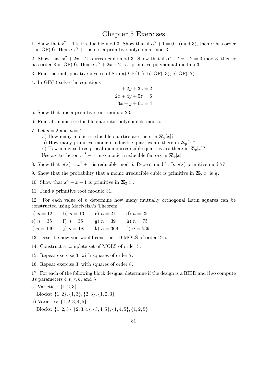## Chapter 5 Exercises

1. Show that  $x^2 + 1$  is irreducible mod 3. Show that if  $\alpha^2 + 1 = 0 \pmod{3}$ , then  $\alpha$  has order 4 in GF(9). Hence  $x^2 + 1$  is not a primitive polynomial mod 3.

2. Show that  $x^2 + 2x + 2$  is irreducible mod 3. Show that if  $\alpha^2 + 2\alpha + 2 = 0$  mod 3, then  $\alpha$ has order 8 in GF(9). Hence  $x^2 + 2x + 2$  is a primitive polynomial modulo 3.

- 3. Find the multiplicative inverse of 8 in a)  $GF(11)$ , b)  $GF(13)$ , c)  $GF(17)$ .
- 4. In GF(7) solve the equations

$$
x + 2y + 3z = 2
$$
  

$$
2x + 4y + 5z = 6
$$
  

$$
3x + y + 6z = 4
$$

5. Show that 5 is a primitive root modulo 23.

6. Find all monic irreducible quadratic polynomials mod 5.

- 7. Let  $p = 2$  and  $n = 4$ 
	- a) How many monic irreducible quartics are there in  $\mathbb{Z}_p[x]$ ?
	- b) How many primitive monic irreducible quartics are there in  $\mathbb{Z}_p[x]$ ?
	- c) How many self-reciprocal monic irreducible quartics are there in  $\mathbb{Z}_p[x]$ ?

Use a-c to factor  $x^{p^4} - x$  into monic irreducible factors in  $\mathbb{Z}_p[x]$ .

8. Show that  $q(x) = x^2 + 1$  is reducible mod 5. Repeat mod 7. Is  $q(x)$  primitive mod 7?

- 9. Show that the probability that a monic irreducible cubic is primitive in  $\mathbb{Z}_5[x]$  is  $\frac{1}{2}$ .
- 10. Show that  $x^4 + x + 1$  is primitive in  $\mathbb{Z}_2[x]$ .

11. Find a primitive root modulo 31.

12. For each value of *n* determine how many mutually orthogonal Latin squares can be constructed using MacNeish's Theorem.

| a) $n=12$    | b) $n = 13$ | c) $n = 21$                            | d) $n = 25$ |
|--------------|-------------|----------------------------------------|-------------|
| e) $n = 35$  | f) $n = 36$ | g) $n = 39$                            | h) $n = 75$ |
| i) $n = 140$ |             | j) $n = 185$ k) $n = 369$ l) $n = 539$ |             |

13. Describe how you would construct 10 MOLS of order 275.

14. Construct a complete set of MOLS of order 5.

15. Repeat exercise 3, with squares of order 7.

16. Repeat exercise 3, with squares of order 8.

17. For each of the following block designs, determine if the design is a BIBD and if so compute its parameters  $b, v, r, k$ , and  $\lambda$ .

a) Varieties: *{*1*,* 2*,* 3*}*

Blocks: *{*1*,* 2*}, {*1*,* 3*}, {*2*,* 3*}, {*1*,* 2*,* 3*}*

- b) Varieties: *{*1*,* 2*,* 3*,* 4*,* 5*}*
	- Blocks:  $\{1, 2, 3\}, \{2, 3, 4\}, \{3, 4, 5\}, \{1, 4, 5\}, \{1, 2, 5\}$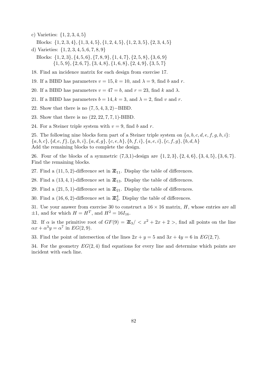- c) Varieties: *{*1*,* 2*,* 3*,* 4*,* 5*}* Blocks:  $\{1, 2, 3, 4\}, \{1, 3, 4, 5\}, \{1, 2, 4, 5\}, \{1, 2, 3, 5\}, \{2, 3, 4, 5\}$
- d) Varieties: *{*1*,* 2*,* 3*,* 4*,* 5*,* 6*,* 7*,* 8*,* 9*}* Blocks:  $\{1, 2, 3\}, \{4, 5, 6\}, \{7, 8, 9\}, \{1, 4, 7\}, \{2, 5, 8\}, \{3, 6, 9\}$  $\{1, 5, 9\}, \{2, 6, 7\}, \{3, 4, 8\}, \{1, 6, 8\}, \{2, 4, 9\}, \{3, 5, 7\}$
- 18. Find an incidence matrix for each design from exercise 17.
- 19. If a BIBD has parameters  $v = 15$ ,  $k = 10$ , and  $\lambda = 9$ , find *b* and *r*.
- 20. If a BIBD has parameters  $v = 47 = b$ , and  $r = 23$ , find k and  $\lambda$ .
- 21. If a BIBD has parameters  $b = 14$ ,  $k = 3$ , and  $\lambda = 2$ , find *v* and *r*.
- 22. Show that there is no (7*,* 5*,* 4*,* 3*,* 2)*−*BIBD.
- 23. Show that there is no (22*,* 22*,* 7*,* 7*,* 1)-BIBD.
- 24. For a Steiner triple system with  $v = 9$ , find *b* and *r*.

25. The following nine blocks form part of a Steiner triple system on *{a, b, c, d, e, f, g, h, i}*:  ${a, b, c}, {d, e, f}, {g, h, i}, {a, d, g}, {c, e, h}, {b, f, i}, {a, e, i}, {c, f, g}, {b, d, h}$ Add the remaining blocks to complete the design.

26. Four of the blocks of a symmetric  $(7,3,1)$ -design are  $\{1,2,3\}, \{2,4,6\}, \{3,4,5\}, \{3,6,7\}.$ Find the remaining blocks.

27. Find a  $(11, 5, 2)$ -difference set in  $\mathbb{Z}_{11}$ . Display the table of differences.

28. Find a  $(13, 4, 1)$ -difference set in  $\mathbb{Z}_{13}$ . Display the table of differences.

29. Find a  $(21, 5, 1)$ -difference set in  $\mathbb{Z}_{21}$ . Display the table of differences.

30. Find a  $(16, 6, 2)$ -difference set in  $\mathbb{Z}_2^4$ . Display the table of differences.

31. Use your answer from exercise 30 to construct a  $16 \times 16$  matrix, *H*, whose entries are all  $\pm 1$ , and for which  $H = H^T$ , and  $H^2 = 16I_{16}$ .

32. If  $\alpha$  is the primitive root of  $GF(9) = \mathbb{Z}_3 / \langle x^2 + 2x + 2 \rangle$ , find all points on the line  $\alpha x + \alpha^3 y = \alpha^7$  in *EG*(2*,* 9).

33. Find the point of intersection of the lines  $2x + y = 5$  and  $3x + 4y = 6$  in  $EG(2, 7)$ .

34. For the geometry *EG*(2*,* 4) find equations for every line and determine which points are incident with each line.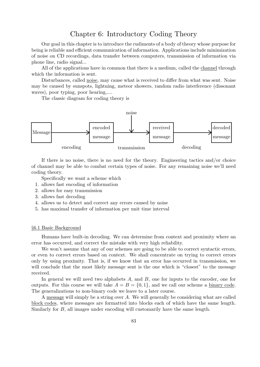## Chapter 6: Introductory Coding Theory

Our goal in this chapter is to introduce the rudiments of a body of theory whose purpose for being is reliable and efficient communication of information. Applications include minimization of noise on CD recordings, data transfer between computers, transmission of information via phone line, radio signal...

All of the applications have in common that there is a medium, called the channel through which the information is sent.

Disturbances, called noise, may cause what is received to differ from what was sent. Noise may be caused by sunspots, lightning, meteor showers, random radio interference (dissonant waves), poor typing, poor hearing,....

The classic diagram for coding theory is



If there is no noise, there is no need for the theory. Engineering tactics and/or choice of channel may be able to combat certain types of noise. For any remaining noise we'll need coding theory.

Specifically we want a scheme which

- 1. allows fast encoding of information
- 2. allows for easy transmission
- 3. allows fast decoding
- 4. allows us to detect and correct any errors caused by noise
- 5. has maximal transfer of information per unit time interval

#### *§*6.1 Basic Background

Humans have built-in decoding. We can determine from context and proximity where an error has occurred, and correct the mistake with very high reliability.

We won't assume that any of our schemes are going to be able to correct syntactic errors, or even to correct errors based on context. We shall concentrate on trying to correct errors only by using proximity. That is, if we know that an error has occurred in transmission, we will conclude that the most likely message sent is the one which is "closest" to the message received.

In general we will need two alphabets A, and B, one for inputs to the encoder, one for outputs. For this course we will take  $A = B = \{0, 1\}$ , and we call our scheme a binary code. The generalizations to non-binary code we leave to a later course.

A message will simply be a string over *A*. We will generally be considering what are called block codes, where messages are formatted into blocks each of which have the same length. Similarly for *B*, all images under encoding will customarily have the same length.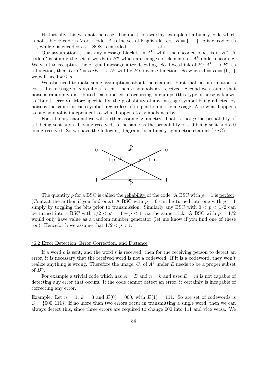Historically this was not the case. The most noteworthy example of a binary code which is not a block code is Morse code. *A* is the set of English letters,  $B = \{\cdot, -\}$ . *a* is encoded as *·−*, while *e* is encoded as *·*. SOS is encoded *· · · − − − · · ·* etc.

Our assumption is that any message block is in  $A^k$ , while the encoded block is in  $B^n$ . A code *C* is simply the set of words in  $B<sup>n</sup>$  which are images of elements of  $A<sup>k</sup>$  under encoding. We want to recapture the original message after decoding. So if we think of  $E: A^k \longrightarrow B^n$  as a function, then  $D: C = imE \longrightarrow A^k$  will be *E*'s inverse function. So when  $A = B = \{0, 1\}$ we will need  $k \leq n$ .

We also need to make some assumptions about the channel. First that no information is lost - if a message of *n* symbols is sent, then *n* symbols are received. Second we assume that noise is randomly distributed - as opposed to occurring in clumps (this type of noise is known as "burst" errors). More specifically, the probability of any message symbol being affected by noise is the same for each symbol, regardless of its position in the message. Also what happens to one symbol is independent to what happens to symbols nearby.

For a binary channel we will further assume symmetry. That is that *p* the probability of a 1 being sent and a 1 being received, is the same as the probability of a 0 being sent and a 0 being received. So we have the following diagram for a binary symmetric channel (BSC).



The quantity *p* for a BSC is called the <u>reliability</u> of the code. A BSC with  $p = 1$  is perfect. (Contact the author if you find one.) A BSC with  $p = 0$  can be turned into one with  $p = 1$ simply by toggling the bits prior to transmission. Similarly any BSC with  $0 < p < 1/2$  can be turned into a BSC with  $1/2 < p' = 1 - p < 1$  via the same trick. A BSC with  $p = 1/2$ would only have value as a random number generator (let me know if you find one of these too). Henceforth we assume that  $1/2 < p < 1$ .

#### *§*6.2 Error Detection, Error Correction, and Distance

If a word *c* is sent, and the word *r* is received, then for the receiving person to detect an error, it is necessary that the received word is not a codeword. If it is a codeword, they won't realize anything is wrong. Therefore the image,  $C$ , of  $A<sup>k</sup>$  under  $E$  needs to be a proper subset of  $B^n$ .

For example a trivial code which has  $A = B$  and  $n = k$  and uses  $E = id$  is not capable of detecting any error that occurs. If the code cannot detect an error, it certainly is incapable of correcting any error.

Example: Let  $n = 1$ ,  $k = 3$  and  $E(0) = 000$ , with  $E(1) = 111$ . So are set of codewords is  $C = \{000, 111\}$ . If no more than two errors occur in transmitting a single word, then we can always detect this, since three errors are required to change 000 into 111 and vice versa. We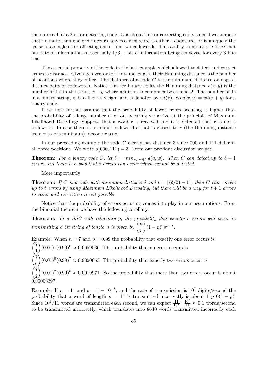therefore call *C* a 2-error detecting code. *C* is also a 1-error correcting code, since if we suppose that no more than one error occurs, any received word is either a codeword, or is uniquely the cause of a single error affecting one of our two codewords. This ability comes at the price that our rate of information is essentially 1*/*3, 1 bit of information being conveyed for every 3 bits sent.

The essential property of the code in the last example which allows it to detect and correct errors is distance. Given two vectors of the same length, their Hamming distance is the number of positions where they differ. The distance of a code *C* is the minimum distance among all distinct pairs of codewords. Notice that for binary codes the Hamming distance  $d(x, y)$  is the number of 1's in the string  $x + y$  where addition is componentwise mod 2. The number of 1s in a binary string, *z*, is called its weight and is denoted by  $wt(z)$ . So  $d(x, y) = wt(x + y)$  for a binary code.

If we now further assume that the probability of fewer errors occuring is higher than the probability of a large number of errors occuring we arrive at the principle of Maximum Likelihood Decoding: Suppose that a word *r* is received and it is detected that *r* is not a codeword. In case there is a unique codeword *c* that is closest to *r* (the Hamming distance from *r* to *c* is minimum), decode *r* as *c*.

In our preceeding example the code C clearly has distance 3 since 000 and 111 differ in all three positions. We write  $d(000, 111) = 3$ . From our previous discussion we get.

**Theorem:** For a binary code C, let  $\delta = min_{v \neq w \in C} d(v, w)$ . Then C can detect up to  $\delta - 1$ *errors, but there is a way that δ errors can occur which cannot be detected.*

More importantly

**Theorem:** *If C is a code with minimum distance*  $\delta$  *and*  $t = \lceil (\delta/2) - 1 \rceil$ *, then C can correct up to t* errors by using Maximum Likelihood Decoding, but there will be a way for  $t + 1$  *errors to occur and correction is not possible.*

Notice that the probability of errors occuring comes into play in our assumptions. From the binomial theorem we have the following corollary.

**Theorem:** *In a BSC with reliability p, the probability that exactly r errors will occur in transmitting a bit string of length n is given by*  $\binom{n}{k}$ *r* )  $(1-p)^{r} p^{n-r}$ .

Example: When  $n = 7$  and  $p = 0.99$  the probability that exactly one error occurs is  $(7)$ 1  $(0.01)^{1}(0.99)^{6} \approx 0.0659036$ . The probability that no error occurs is  $\bigg)$ 0  $\int (0.01)^{0} (0.99)^{7} \approx 0.9320653$ . The probability that exactly two errors occur is  $\bigg)$ 2  $(0.01)^2 (0.99)^5 \approx 0.0019971$ . So the probability that more than two errors occur is about 0*.*00003397.

Example: If  $n = 11$  and  $p = 1 - 10^{-8}$ , and the rate of transmission is  $10^7$  digits/second the probability that a word of length  $n = 11$  is transmitted incorrectly is about  $11p^10(1 - p)$ . Since  $10^7/11$  words are transmitted each second, we can expect  $\frac{11}{10^8} \cdot \frac{10^7}{11} \approx 0.1$  words/second to be transmitted incorrectly, which translates into 8640 words transmitted incorrectly each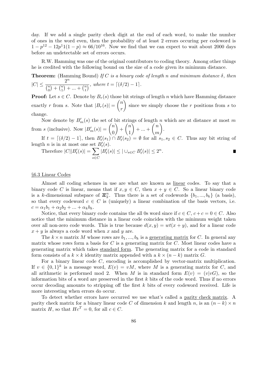day. If we add a single parity check digit at the end of each word, to make the number of ones in the word even, then the probability of at least 2 errors occuring per codeword is 1 −  $p^{12}$  − 12 $p^{11}(1-p)$  ≈ 66/10<sup>16</sup>. Now we find that we can expect to wait about 2000 days before an undetectable set of errors occurs.

R.W. Hamming was one of the original contributors to coding theory. Among other things he is credited with the following bound on the size of a code given its minimum distance.

**Theorem:** (Hamming Bound) *If C is a binary code of length n and minimum distance δ, then*  $|C| \leq \frac{2^n}{(n+1)^n}$ ( *n*  $\binom{n}{0} + \binom{n}{1}$  $\binom{n}{1} + ... + \binom{n}{t}$  $\frac{1}{\binom{n}{t}}$ , where  $t = \lceil (\delta/2) - 1 \rceil$ .

**Proof:** Let  $s \in C$ . Denote by  $B_r(s)$  those bit strings of length *n* which have Hamming distance exactly *r* from *s*. Note that  $|B_r(s)| =$ ( *n r* ) since we simply choose the *r* positions from *s* to change.

Now denote by  $B'_{m}(s)$  the set of bit strings of length *n* which are at distance at most *m* from *s* (inclusive). Now  $|B'_m(s)| =$ ( *n* 0  $\lambda$ + ( *n* 1  $\overline{\phantom{a}}$ + *...* + ( *n m*  $\setminus$ .

If  $t = \lfloor (\delta/2) - 1 \rfloor$ , then  $B_t'(s_1) \cap B_t'(s_2) = \emptyset$  for all  $s_1, s_2 \in C$ . Thus any bit string of length *n* is in at most one set  $B'_t(s)$ .

Therefore 
$$
|C||B_t'(s)| = \sum_{s \in C} |B_t'(s)| \leq |\cup_{s \in C} B_t'(s)| \leq 2^n
$$
.

### *§*6.3 Linear Codes

Almost all coding schemes in use are what are known as linear codes. To say that a binary code *C* is linear, means that if  $x, y \in C$ , then  $x + y \in C$ . So a linear binary code is a *k*-dimensional subspace of  $\mathbb{Z}_2^n$ . Thus there is a set of codewords  $\{b_1, ..., b_k\}$  (a basis), so that every codeword  $c \in C$  is (uniquely) a linear combination of the basis vectors, i.e.  $c = \alpha_1 b_1 + \alpha_2 b_2 + \ldots + \alpha_k b_k$ .

Notice, that every binary code contains the all 0s word since if  $c \in C$ ,  $c + c = 0 \in C$ . Also notice that the minimum distance in a linear code coincides with the minimum weight taken over all non-zero code words. This is true because  $d(x, y) = wt(x + y)$ , and for a linear code  $x + y$  is always a code word when *x* and *y* are.

The  $k \times n$  matrix *M* whose rows are  $b_1, ..., b_k$  is a generating matrix for *C*. In general any matrix whose rows form a basis for *C* is a generating matrix for *C*. Most linear codes have a generating matrix which takes standard form. The generating matrix for a code in standard form consists of a  $k \times k$  identity matrix appended with a  $k \times (n - k)$  matrix *G*.

For a binary linear code *C*, encoding is accomplished by vector-matrix multiplication. If  $v \in \{0,1\}^k$  is a message word,  $E(v) = vM$ , where M is a generating matrix for *C*, and all arithmetic is performed mod 2. When *M* is in standard form  $E(v) = (v|v)$ , so the information bits of a word are preserved in the first *k* bits of the code word. Thus if no errors occur decoding amounts to stripping off the first *k* bits of every codeword received. Life is more interesting when errors do occur.

To detect whether errors have occurred we use what's called a parity check matrix. A parity check matrix for a binary linear code *C* of dimension *k* and length *n*, is an  $(n - k) \times n$ matrix *H*, so that  $He^T = 0$ , for all  $c \in C$ .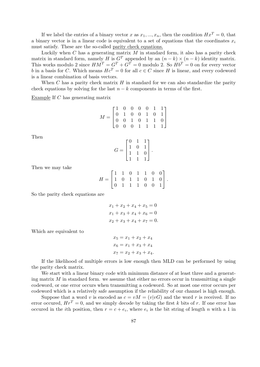If we label the entries of a binary vector *x* as  $x_1, ..., x_n$ , then the condition  $Hx^T = 0$ , that a binary vector is in a linear code is equivalent to a set of equations that the coordinates *x<sup>i</sup>* must satisfy. These are the so-called parity check equations.

Luckily when *C* has a generating matrix *M* in standard form, it also has a parity check matrix in standard form, namely *H* is  $G<sup>T</sup>$  appended by an  $(n-k) \times (n-k)$  identity matrix. This works modulo 2 since  $HM^T = G^T + G^T = 0$  modulo 2. So  $Hb^T = 0$  on for every vector *b* in a basis for *C*. Which means  $He^{T} = 0$  for all  $c \in C$  since *H* is linear, and every codeword is a linear combination of basis vectors.

When *C* has a parity check matrix *H* in standard for we can also standardize the parity check equations by solving for the last  $n - k$  components in terms of the first.

Example If *C* has generating matrix

$$
M = \begin{bmatrix} 1 & 0 & 0 & 0 & 0 & 1 & 1 \\ 0 & 1 & 0 & 0 & 1 & 0 & 1 \\ 0 & 0 & 1 & 0 & 1 & 1 & 0 \\ 0 & 0 & 0 & 1 & 1 & 1 & 1 \end{bmatrix}
$$

Then

$$
G = \begin{bmatrix} 0 & 1 & 1 \\ 1 & 0 & 1 \\ 1 & 1 & 0 \\ 1 & 1 & 1 \end{bmatrix}.
$$

Then we may take

$$
H = \begin{bmatrix} 1 & 1 & 0 & 1 & 1 & 0 & 0 \\ 1 & 0 & 1 & 1 & 0 & 1 & 0 \\ 0 & 1 & 1 & 1 & 0 & 0 & 1 \end{bmatrix}.
$$

So the parity check equations are

$$
x_1 + x_2 + x_4 + x_5 = 0
$$
  

$$
x_1 + x_3 + x_4 + x_6 = 0
$$
  

$$
x_2 + x_3 + x_4 + x_7 = 0.
$$

Which are equivalent to

$$
x_5 = x_1 + x_2 + x_4
$$
  
\n
$$
x_6 = x_1 + x_3 + x_4
$$
  
\n
$$
x_7 = x_2 + x_3 + x_4.
$$

If the likelihood of multiple errors is low enough then MLD can be performed by using the parity check matrix.

We start with a linear binary code with minimum distance of at least three and a generating matrix *M* in standard form. we assume that either no errors occur in transmitting a single codeword, or one error occurs when transmitting a codeword. So at most one error occurs per codeword which is a relatively safe assumption if the reliability of our channel is high enough.

Suppose that a word *v* is encoded as  $c = vM = (v|vG)$  and the word *r* is received. If no error occured,  $Hr^T = 0$ , and we simply decode by taking the first *k* bits of *r*. If one error has occured in the *i*th position, then  $r = c + e_i$ , where  $e_i$  is the bit string of length *n* with a 1 in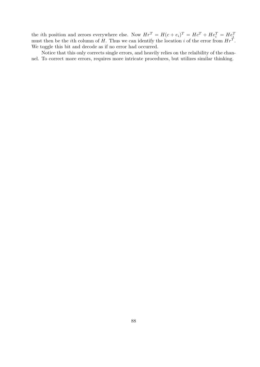the *i*th position and zeroes everywhere else. Now  $Hr^T = H(c + e_i)^T = Hc^T + He_i^T = He_i^T$ <br>must then be the *i*th column of *H*. Thus we can identify the location *i* of the error from  $Hr^T$ . We toggle this bit and decode as if no error had occurred.

Notice that this only corrects single errors, and heavily relies on the relaibility of the channel. To correct more errors, requires more intricate procedures, but utilizes similar thinking.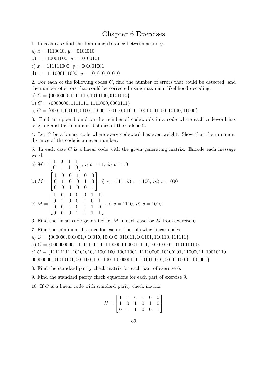## Chapter 6 Exercises

- 1. In each case find the Hamming distance between *x* and *y*.
- a)  $x = 1110010, y = 0101010$
- b)  $x = 10001000, y = 10100101$
- c)  $x = 111111000, y = 001001001$
- d)  $x = 111000111000, y = 101010101010$

2. For each of the following codes *C*, find the number of errors that could be detected, and the number of errors that could be corrected using maximum-likelihood decoding.

- a) *C* = *{*0000000*,* 1111110*,* 1010100*,* 0101010*}*
- b) *C* = *{*0000000*,* 1111111*,* 1111000*,* 0000111*}*
- c) *C* = *{*00011*,* 00101*,* 01001*,* 10001*,* 00110*,* 01010*,* 10010*,* 01100*,* 10100*,* 11000*}*

3. Find an upper bound on the number of codewords in a code where each codeword has length 8 and the minimum distance of the code is 5.

4. Let *C* be a binary code where every codeword has even weight. Show that the minimum distance of the code is an even number.

5. In each case *C* is a linear code with the given generating matrix. Encode each message word.

a) 
$$
M = \begin{bmatrix} 1 & 0 & 1 & 1 \\ 0 & 1 & 1 & 0 \end{bmatrix}
$$
, *i*)  $v = 11$ , *ii*)  $v = 10$   
\nb)  $M = \begin{bmatrix} 1 & 0 & 0 & 1 & 0 & 0 \\ 0 & 1 & 0 & 0 & 1 & 0 \\ 0 & 0 & 1 & 0 & 0 & 1 \end{bmatrix}$ , *i*)  $v = 111$ , *ii*)  $v = 100$ , *iii*)  $v = 000$   
\nc)  $M = \begin{bmatrix} 1 & 0 & 0 & 0 & 0 & 1 & 1 \\ 0 & 1 & 0 & 0 & 1 & 0 & 1 \\ 0 & 0 & 1 & 0 & 1 & 1 & 0 \\ 0 & 0 & 0 & 1 & 1 & 1 & 1 \end{bmatrix}$ , *i*)  $v = 1110$ , *ii*)  $v = 1010$ 

6. Find the linear code generated by *M* in each case for *M* from exercise 6.

7. Find the minimum distance for each of the following linear codes.

a) *C* = *{*000000*,* 001001*,* 010010*,* 100100*,* 011011*,* 101101*,* 110110*,* 111111*}*

b) *C* = *{*000000000*,* 111111111*,* 111100000*,* 000011111*,* 101010101*,* 010101010*}*

c) *C* = *{*11111111*,* 10101010*,* 11001100*,* 10011001*,* 11110000*,* 10100101*,* 11000011*,* 10010110*,*

00000000*,* 01010101*,* 00110011*,* 01100110*,* 00001111*,* 01011010*,* 00111100*,* 01101001*}*

8. Find the standard parity check matrix for each part of exercise 6.

9. Find the standard parity check equations for each part of exercise 9.

10. If *C* is a linear code with standard parity check matrix

$$
H = \begin{bmatrix} 1 & 1 & 0 & 1 & 0 & 0 \\ 1 & 0 & 1 & 0 & 1 & 0 \\ 0 & 1 & 1 & 0 & 0 & 1 \end{bmatrix}
$$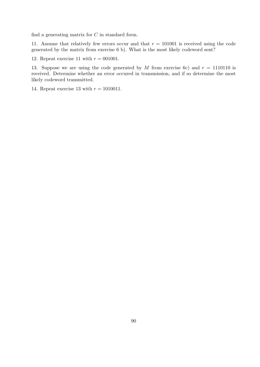find a generating matrix for *C* in standard form.

11. Assume that relatively few errors occur and that  $r = 101001$  is received using the code generated by the matrix from exercise 6 b). What is the most likely codeword sent?

12. Repeat exercise 11 with  $r = 001001$ .

13. Suppose we are using the code generated by *M* from exercise 6c) and  $r = 1110110$  is received. Determine whether an error occured in transmission, and if so determine the most likely codeword transmitted.

14. Repeat exercise 13 with  $r = 1010011$ .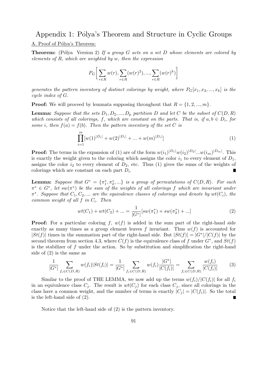# Appendix 1: Pólya's Theorem and Structure in Cyclic Groups

## A. Proof of Pólya's Theorem:

**Theorem:** (Pólya Version 2) If a group *G* acts on a set *D* whose elements are colored by *elements of R, which are weighted by w, then the expression*

$$
P_G\bigg[\sum_{r\in R} w(r), \sum_{r\in R} (w(r)^2), ..., \sum_{r\in R} (w(r)^k)\bigg]
$$

*generates the pattern inventory of distinct colorings by weight, where*  $P_G[x_1, x_2, ..., x_k]$  *is the cycle index of G.*

**Proof:** We will proceed by lemmata supposing throughout that  $R = \{1, 2, ..., m\}$ .

**Lemma:** *Suppose that the sets*  $D_1, D_2, ..., D_p$  *partition*  $D$  *and let*  $C$  *be the subset of*  $C(D, R)$ *which consists of all colorings,*  $f$ *, which are constant on the parts. That is, if*  $a, b \in D_i$ *, for some i*, then  $f(a) = f(b)$ *. Then the pattern inventory of the set C is* 

$$
\prod_{i=1}^{m} [w(1)^{|D_i|} + w(2)^{|D_i|} + \dots + w(m)^{|D_i|}]
$$
\n(1)

**Proof:** The terms in the expansion of (1) are of the form  $w(i_1)^{|D_1|}w(i_2)^{|D_2|}...w(i_m)^{|D_m|}$ . This is exactly the weight given to the coloring which assigns the color  $i_1$  to every element of  $D_1$ , assigns the color  $i_2$  to every element of  $D_2$ , etc. Thus (1) gives the sums of the weights of colorings which are constant on each part *D<sup>i</sup>* .  $\blacksquare$ 

**Lemma:** *Suppose that*  $G^* = {\pi_1^*, \pi_2^*, \dots}$  *is a group of permutations of*  $C(D, R)$ *. For each π <sup>∗</sup> ∈ G<sup>∗</sup> , let sw*(*π ∗* ) *be the sum of the weights of all colorings f which are invariant under π ∗ . Suppose that C*1*, C*2*, ... are the equivalence classes of colorings and denote by wt*(*Ci*)*, the common weight of all f in C<sup>i</sup> . Then*

$$
wt(C_1) + wt(C_2) + \dots = \frac{1}{|G^*|}[sw(\pi_1^*) + sw(\pi_2^*) + \dots]
$$
\n(2)

**Proof:** For a particular coloring  $f, w(f)$  is added in the sum part of the right-hand side exactly as many times as a group element leaves  $f$  invariant. Thus  $w(f)$  is accounted for  $|St(f)|$  times in the summation part of the right-hand side. But  $|St(f)| = |G^*|/|C(f)|$  by the second theorem from section 4.3, where  $C(f)$  is the equivalence class of f under  $G^*$ , and  $St(f)$ is the stabilizer of *f* under the action. So by substitution and simplification the right-hand side of (2) is the same as

$$
\frac{1}{|G^*|} \sum_{f_i \in C(D,R)} w(f_i) |St(f_i)| = \frac{1}{|G^*|} \sum_{f_i \in C(D,R)} w(f_i) \frac{|G^*|}{|C(f_i)|} = \sum_{f_i \in C(D,R)} \frac{w(f_i)}{|C(f_i)|} \tag{3}
$$

Similar to the proof of THE LEMMA, we now add up the terms  $w(f_i)/|C(f_i)|$  for all  $f_i$ in an equivalence class  $C_j$ . The result is  $wt(C_j)$  for each class  $C_j$ , since all colorings in the class have a common weight, and the number of terms is exactly  $|C_i| = |C(f_i)|$ . So the total is the left-hand side of (2).

Notice that the left-hand side of (2) is the pattern inventory.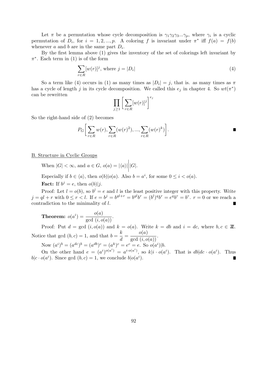Let  $\pi$  be a permutation whose cycle decomposition is  $\gamma_1 \gamma_2 \gamma_3 \dots \gamma_p$ , where  $\gamma_i$  is a cyclic permutation of  $D_i$ , for  $i = 1, 2, ..., p$ . A coloring f is invariant under  $\pi^*$  iff  $f(a) = f(b)$ whenever  $a$  and  $b$  are in the same part  $D_i$ .

By the first lemma above (1) gives the inventory of the set of colorings left invariant by  $\pi^*$ . Each term in (1) is of the form

$$
\sum_{r \in R} [w(r)]^j, \text{ where } j = |D_i| \tag{4}
$$

So a term like (4) occurs in (1) as many times as  $|D_i| = j$ , that is. as many times as  $\pi$ has a cycle of length *j* in its cycle decomposition. We called this  $e_j$  in chapter 4. So  $wt(\pi^*)$ can be rewritten  $e_j$ 

$$
\prod_{j\geq 1} \left[ \sum_{r\in R} [w(r)]^j \right]^e
$$

So the right-hand side of (2) becomes

$$
P_G\bigg[\sum_{r\in R} w(r), \sum_{r\in R} (w(r)^2), ..., \sum_{r\in R} (w(r)^k)\bigg].\qquad \qquad \blacksquare
$$

B. Structure in Cyclic Groups

When  $|G| < \infty$ , and  $a \in G$ ,  $o(a) = |\langle a \rangle|$  *|G|*.

Especially if  $b \in \langle a \rangle$ , then  $o(b)|o(a)$ . Also  $b = a^i$ , for some  $0 \le i < o(a)$ .

**Fact:** If  $b^j = e$ , then  $o(b)|j$ .

Proof: Let  $l = o(b)$ , so  $b^l = e$  and *l* is the least positive integer with this property. Write  $j = ql + r$  with  $0 \le r < l$ . If  $e = b^{j} = b^{ql+r} = b^{ql}b^{r} = (b^{l})^{q}b^{r} = e^{q}b^{r} = b^{r}$ .  $r = 0$  or we reach a contradiction to the minimality of *l*. Ē

 $\textbf{Theorem:}\ \ o(a^i)=\frac{o(a)}{\gcd\ (i,o(a))}.$ 

Proof: Put  $d = \gcd(i, o(a))$  and  $k = o(a)$ . Write  $k = db$  and  $i = dc$ , where  $b, c \in \mathbb{Z}$ . Notice that gcd  $(b, c) = 1$ , and that  $b = \frac{k}{1}$  $\frac{k}{d} = \frac{o(a)}{\gcd(i, o(a))}.$ 

Now  $(a^i)^b = (a^{dc})^b = (a^{db})^c = (a^k)^c = e^c = e$ . So  $o(a^i)|b$ .

On the other hand  $e = (a^i)^{o(a^i)} = a^{i \cdot o(a^i)}$ , so  $k|i \cdot o(a^i)$ . That is  $db|dc \cdot o(a^i)$ . Thus  $b|c \cdot o(a^i)$ . Since gcd  $(b, c) = 1$ , we conclude  $b|o(a^i)$ .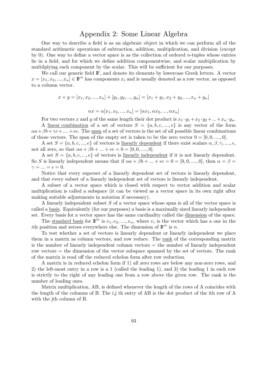## Appendix 2: Some Linear Algebra

One way to describe a field is as an algebraic object in which we can perform all of the standard arithmetic operations of subtraction, addition, multiplication, and division (except by 0). One way to define a vector space is as the collection of ordered *n*-tuples whose entries lie in a field, and for which we define addition componentwise, and scalar multiplication by multilplying each component by the scalar. This will be sufficient for our purposes.

We call our generic field  $\mathbb{F}$ , and denote its elements by lowercase Greek letters. A vector  $x = [x_1, x_2, ..., x_n] \in \mathbb{F}^n$  has components  $x_i$  and is usually denoted as a row vector, as opposed to a column vector.

$$
x + y = [x_1, x_2, ..., x_n] + [y_1, y_2, ..., y_n] = [x_1 + y_1, x_2 + y_2, ..., x_n + y_n]
$$

$$
\alpha x = \alpha [x_1, x_2, ..., x_n] = [\alpha x_1, \alpha x_2, ..., \alpha x_n]
$$

For two vectors *x* and *y* of the same length their dot product is  $x_1 \cdot y_1 + x_2 \cdot y_2 + \ldots + x_n \cdot y_n$ . A linear combination of a set of vectors  $S = \{a, b, c, ..., e\}$  is any vector of the form  $\alpha a + \beta b + \gamma c + \ldots + \epsilon c$ . The span of a set of vectors is the set of all possible linear combinations of those vectors. The span of the empty set is taken to be the zero vector  $0 = [0, 0, \ldots, 0]$ .

A set  $S = \{a, b, c, ..., e\}$  of vectors is <u>linearly dependent</u> if there exist scalars  $\alpha, \beta, \gamma, ..., \epsilon$ , not all zero, so that  $\alpha a + \beta b + ... + \epsilon e = 0 = [0, 0, ..., 0].$ 

A set  $S = \{a, b, c, ..., e\}$  of vectors is linearly independent if it is not linearly dependent. So *S* is linearly independent means that if  $\alpha a + \beta b + \ldots + \epsilon e = 0 = [0, 0, \ldots, 0]$ , then  $\alpha = \beta =$  $\gamma = ... = \epsilon = 0.$ 

Notice that every superset of a linearly dependent set of vectors is linearly dependent, and that every subset of a linearly independent set of vectors is linearly independent.

A subset of a vector space which is closed with respect to vector addition and scalar multiplication is called a subspace (it can be viewed as a vector space in its own right after making suitable adjustments in notation if necessary).

A linearly independent subset *S* of a vector space whose span is all of the vector space is called a basis. Equivalently (for our purposes) a basis is a maximally sized linearly independent set. Every basis for a vector space has the same cardinality called the dimension of the space.

The <u>standard basis</u> for  $\mathbb{F}^n$  is  $e_1, e_2, \ldots, e_n$ , where  $e_i$  is the vector which has a one in the *i*th position and zeroes everywhere else. The dimension of  $\mathbb{F}^n$  is *n*.

To test whether a set of vectors is linearly dependent or linearly independent we place them in a matrix as column vectors, and row reduce. The rank of the corresponding matrix is the number of linearly independent column vectors = the number of linearly independent row vectors = the dimension of the vector subspace spanned by the set of vectors. The rank of the matrix is read off the reduced echelon form after row reduction.

A matrix is in reduced echelon form if 1) all zero rows are below any non-zero rows, and 2) the left-most entry in a row is a 1 (called the leading 1), and 3) the leading 1 in each row is strictly to the right of any leading one from a row above the given row. The rank is the number of leading ones.

Matrix multiplication, AB, is defined whenever the length of the rows of A coincides with the length of the columns of B. The i,j th entry of AB is the dot product of the ith row of A with the j<sup>th</sup> column of B.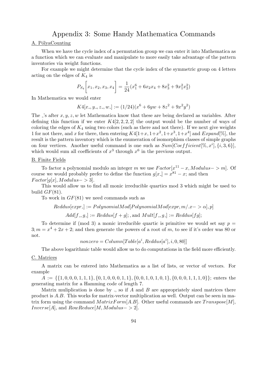## Appendix 3: Some Handy Mathematica Commands

## A. PólyaCounting

When we have the cycle index of a permutation group we can enter it into Mathematica as a function which we can evaluate and manipulate to more easily take advantage of the pattern inventories via weight functions.

For example we might determine that the cycle index of the symmetric group on 4 letters acting on the edges of  $K_4$  is

$$
P_{S_4}\left[x_1, x_2, x_3, x_4\right] = \frac{1}{24}(x_1^6 + 6x_2x_4 + 8x_3^2 + 9x_1^2x_2^2)
$$

In Mathematica we would enter

$$
K4[x_-, y_-, z_-, w_-] := (1/24)(x^6 + 6yw + 8z^2 + 9x^2y^2)
$$

The  $\cdot$ 's after  $x, y, z, w$  let Mathematica know that these are being declared as variables. After defining this function if we enter  $K4[2, 2, 2, 2]$  the output would be the number of ways of coloring the edges of  $K_4$  using two colors (such as there and not there). If we next give weights 1 for not there, and *x* for there, then entering  $K4[1+x, 1+x^2, 1+x^3, 1+x^4]$  and  $Expand[\%],$  the result is the pattern inventory which is the enumeration of isomorphism classes of simple graphs on four vertices. Another useful command is one such as  $Sum[Coefficients[%, x^i], \{i, 3, 6\}],$ which would sum all coefficients of  $x^3$  through  $x^6$  in the previous output.

### B. Finite Fields

To factor a polynomial modulo an integer *m* we use  $Factor[x^{11} - x, Modulus - > m]$ . Of course we would probably prefer to define the function  $g[x] = x^{81} - x$ ; and then  $Factor[g[x], Modulus \rightarrow 3].$ 

This would allow us to find all monic irreducible quartics mod 3 which might be used to build  $GF(81)$ .

To work in *GF*(81) we need commands such as

$$
Reddus[expr] := PolynomialMod[PolynomialMod[expr, m].x->\alpha], p]
$$

 $Add[f_-, g_-] := Reddus[f+g]$ ; *,* and  $Mult[f_-, g_-] := Reddus[fg]$ ;

To determine if (mod 3) a monic irreducible quartic is primitive we would set say  $p =$  $3; m = x<sup>4</sup> + 2x + 2;$  and then generate the powers of a root of *m*, to see if it's order was 80 or not.

 $nonzero = Column[Table[a^i, Reddus[a^i], i, 0, 80]]$ 

The above logarithmic table would allow us to do computations in the field more efficiently.

#### C. Matrices

A matrix can be entered into Mathematica as a list of lists, or vector of vectors. For example

 $A := \{\{1,0,0,0,1,1,1\},\{0,1,0,0,0,1,1\},\{0,0,1,0,1,0,1\},\{0,0,0,1,1,1,0\}\};$  enters the generating matrix for a Hamming code of length 7.

Matrix muliplication is done by *.*, so if *A* and *B* are appropriately sized matrices there product is *A.B*. This works for matrix-vector multiplication as well. Output can be seen in matrix form using the command  $MatrixForm[A.B]$ . Other useful commands are  $Transpose[M]$ , *Inverse*[ $A$ ]*,* and  $RowReduce[M, Modulus - > 2]$ *.*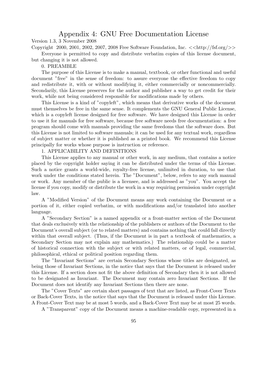## Appendix 4: GNU Free Documentation License

Version 1.3, 3 November 2008

Copyright 2000, 2001, 2002, 2007, 2008 Free Software Foundation, Inc. *<<*http://fsf.org/*>>*

Everyone is permitted to copy and distribute verbatim copies of this license document,

but changing it is not allowed.

0. PREAMBLE

The purpose of this License is to make a manual, textbook, or other functional and useful document "free" in the sense of freedom: to assure everyone the effective freedom to copy and redistribute it, with or without modifying it, either commercially or noncommercially. Secondarily, this License preserves for the author and publisher a way to get credit for their work, while not being considered responsible for modifications made by others.

This License is a kind of "copyleft", which means that derivative works of the document must themselves be free in the same sense. It complements the GNU General Public License, which is a copyleft license designed for free software. We have designed this License in order to use it for manuals for free software, because free software needs free documentation: a free program should come with manuals providing the same freedoms that the software does. But this License is not limited to software manuals; it can be used for any textual work, regardless of subject matter or whether it is published as a printed book. We recommend this License principally for works whose purpose is instruction or reference.

## 1. APPLICABILITY AND DEFINITIONS

This License applies to any manual or other work, in any medium, that contains a notice placed by the copyright holder saying it can be distributed under the terms of this License. Such a notice grants a world-wide, royalty-free license, unlimited in duration, to use that work under the conditions stated herein. The "Document", below, refers to any such manual or work. Any member of the public is a licensee, and is addressed as "you". You accept the license if you copy, modify or distribute the work in a way requiring permission under copyright law.

A "Modified Version" of the Document means any work containing the Document or a portion of it, either copied verbatim, or with modifications and/or translated into another language.

A "Secondary Section" is a named appendix or a front-matter section of the Document that deals exclusively with the relationship of the publishers or authors of the Document to the Document's overall subject (or to related matters) and contains nothing that could fall directly within that overall subject. (Thus, if the Document is in part a textbook of mathematics, a Secondary Section may not explain any mathematics.) The relationship could be a matter of historical connection with the subject or with related matters, or of legal, commercial, philosophical, ethical or political position regarding them.

The "Invariant Sections" are certain Secondary Sections whose titles are designated, as being those of Invariant Sections, in the notice that says that the Document is released under this License. If a section does not fit the above definition of Secondary then it is not allowed to be designated as Invariant. The Document may contain zero Invariant Sections. If the Document does not identify any Invariant Sections then there are none.

The "Cover Texts" are certain short passages of text that are listed, as Front-Cover Texts or Back-Cover Texts, in the notice that says that the Document is released under this License. A Front-Cover Text may be at most 5 words, and a Back-Cover Text may be at most 25 words.

A "Transparent" copy of the Document means a machine-readable copy, represented in a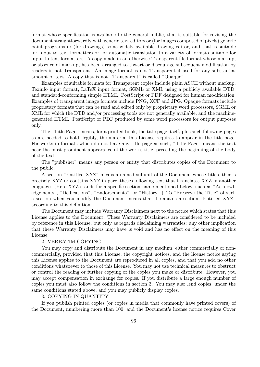format whose specification is available to the general public, that is suitable for revising the document straightforwardly with generic text editors or (for images composed of pixels) generic paint programs or (for drawings) some widely available drawing editor, and that is suitable for input to text formatters or for automatic translation to a variety of formats suitable for input to text formatters. A copy made in an otherwise Transparent file format whose markup, or absence of markup, has been arranged to thwart or discourage subsequent modification by readers is not Transparent. An image format is not Transparent if used for any substantial amount of text. A copy that is not "Transparent" is called "Opaque".

Examples of suitable formats for Transparent copies include plain ASCII without markup, Texinfo input format, LaTeX input format, SGML or XML using a publicly available DTD, and standard-conforming simple HTML, PostScript or PDF designed for human modification. Examples of transparent image formats include PNG, XCF and JPG. Opaque formats include proprietary formats that can be read and edited only by proprietary word processors, SGML or XML for which the DTD and/or processing tools are not generally available, and the machinegenerated HTML, PostScript or PDF produced by some word processors for output purposes only.

The "Title Page" means, for a printed book, the title page itself, plus such following pages as are needed to hold, legibly, the material this License requires to appear in the title page. For works in formats which do not have any title page as such, "Title Page" means the text near the most prominent appearance of the work's title, preceding the beginning of the body of the text.

The "publisher" means any person or entity that distributes copies of the Document to the public.

A section "Entitled XYZ" means a named subunit of the Document whose title either is precisely XYZ or contains XYZ in parentheses following text that t ranslates XYZ in another language. (Here XYZ stands for a specific section name mentioned below, such as "Acknowledgements", "Dedications", "Endorsements", or "History".) To "Preserve the Title" of such a section when you modify the Document means that it remains a section "Entitled XYZ" according to this definition.

The Document may include Warranty Disclaimers next to the notice which states that this License applies to the Document. These Warranty Disclaimers are considered to be included by reference in this License, but only as regards disclaiming warranties: any other implication that these Warranty Disclaimers may have is void and has no effect on the meaning of this License.

## 2. VERBATIM COPYING

You may copy and distribute the Document in any medium, either commercially or noncommercially, provided that this License, the copyright notices, and the license notice saying this License applies to the Document are reproduced in all copies, and that you add no other conditions whatsoever to those of this License. You may not use technical measures to obstruct or control the reading or further copying of the copies you make or distribute. However, you may accept compensation in exchange for copies. If you distribute a large enough number of copies you must also follow the conditions in section 3. You may also lend copies, under the same conditions stated above, and you may publicly display copies.

## 3. COPYING IN QUANTITY

If you publish printed copies (or copies in media that commonly have printed covers) of the Document, numbering more than 100, and the Document's license notice requires Cover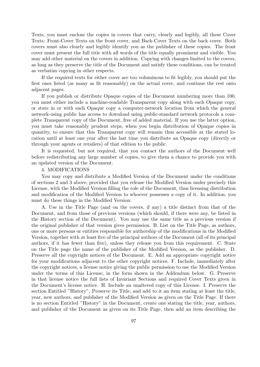Texts, you must enclose the copies in covers that carry, clearly and legibly, all these Cover Texts: Front-Cover Texts on the front cover, and Back-Cover Texts on the back cover. Both covers must also clearly and legibly identify you as the publisher of these copies. The front cover must present the full title with all words of the title equally prominent and visible. You may add other material on the covers in addition. Copying with changes limited to the covers, as long as they preserve the title of the Document and satisfy these conditions, can be treated as verbatim copying in other respects.

If the required texts for either cover are too voluminous to fit legibly, you should put the first ones listed (as many as fit reasonably) on the actual cover, and continue the rest onto adjacent pages.

If you publish or distribute Opaque copies of the Document numbering more than 100, you must either include a machine-readable Transparent copy along with each Opaque copy, or state in or with each Opaque copy a computer-network location from which the general network-using public has access to download using public-standard network protocols a complete Transparent copy of the Document, free of added material. If you use the latter option, you must take reasonably prudent steps, when you begin distribution of Opaque copies in quantity, to ensure that this Transparent copy will remain thus accessible at the stated location until at least one year after the last time you distribute an Opaque copy (directly or through your agents or retailers) of that edition to the public.

It is requested, but not required, that you contact the authors of the Document well before redistributing any large number of copies, to give them a chance to provide you with an updated version of the Document.

## 4. MODIFICATIONS

You may copy and distribute a Modified Version of the Document under the conditions of sections 2 and 3 above, provided that you release the Modified Version under precisely this License, with the Modified Version filling the role of the Document, thus licensing distribution and modification of the Modified Version to whoever possesses a copy of it. In addition, you must do these things in the Modified Version:

A. Use in the Title Page (and on the covers, if any) a title distinct from that of the Document, and from those of previous versions (which should, if there were any, be listed in the History section of the Document). You may use the same title as a previous version if the original publisher of that version gives permission. B. List on the Title Page, as authors, one or more persons or entities responsible for authorship of the modifications in the Modified Version, together with at least five of the principal authors of the Document (all of its principal authors, if it has fewer than five), unless they release you from this requirement. C. State on the Title page the name of the publisher of the Modified Version, as the publisher. D. Preserve all the copyright notices of the Document. E. Add an appropriate copyright notice for your modifications adjacent to the other copyright notices. F. Include, immediately after the copyright notices, a license notice giving the public permission to use the Modified Version under the terms of this License, in the form shown in the Addendum below. G. Preserve in that license notice the full lists of Invariant Sections and required Cover Texts given in the Document's license notice. H. Include an unaltered copy of this License. I. Preserve the section Entitled "History", Preserve its Title, and add to it an item stating at least the title, year, new authors, and publisher of the Modified Version as given on the Title Page. If there is no section Entitled "History" in the Document, create one stating the title, year, authors, and publisher of the Document as given on its Title Page, then add an item describing the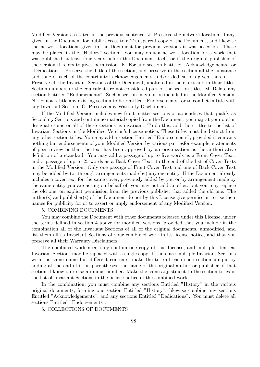Modified Version as stated in the previous sentence. J. Preserve the network location, if any, given in the Document for public access to a Transparent copy of the Document, and likewise the network locations given in the Document for previous versions it was based on. These may be placed in the "History" section. You may omit a network location for a work that was published at least four years before the Document itself, or if the original publisher of the version it refers to gives permission. K. For any section Entitled "Acknowledgements" or "Dedications", Preserve the Title of the section, and preserve in the section all the substance and tone of each of the contributor acknowledgements and/or dedications given therein. L. Preserve all the Invariant Sections of the Document, unaltered in their text and in their titles. Section numbers or the equivalent are not considered part of the section titles. M. Delete any section Entitled "Endorsements". Such a section may not be included in the Modified Version. N. Do not retitle any existing section to be Entitled "Endorsements" or to conflict in title with any Invariant Section. O. Preserve any Warranty Disclaimers.

If the Modified Version includes new front-matter sections or appendices that qualify as Secondary Sections and contain no material copied from the Document, you may at your option designate some or all of these sections as invariant. To do this, add their titles to the list of Invariant Sections in the Modified Version's license notice. These titles must be distinct from any other section titles. You may add a section Entitled "Endorsements", provided it contains nothing but endorsements of your Modified Version by various partiesfor example, statements of peer review or that the text has been approved by an organization as the authoritative definition of a standard. You may add a passage of up to five words as a Front-Cover Text, and a passage of up to 25 words as a Back-Cover Text, to the end of the list of Cover Texts in the Modified Version. Only one passage of Front-Cover Text and one of Back-Cover Text may be added by (or through arrangements made by) any one entity. If the Document already includes a cover text for the same cover, previously added by you or by arrangement made by the same entity you are acting on behalf of, you may not add another; but you may replace the old one, on explicit permission from the previous publisher that added the old one. The author(s) and publisher(s) of the Document do not by this License give permission to use their names for publicity for or to assert or imply endorsement of any Modified Version.

## 5. COMBINING DOCUMENTS

You may combine the Document with other documents released under this License, under the terms defined in section 4 above for modified versions, provided that you include in the combination all of the Invariant Sections of all of the original documents, unmodified, and list them all as Invariant Sections of your combined work in its license notice, and that you preserve all their Warranty Disclaimers.

The combined work need only contain one copy of this License, and multiple identical Invariant Sections may be replaced with a single copy. If there are multiple Invariant Sections with the same name but different contents, make the title of each such section unique by adding at the end of it, in parentheses, the name of the original author or publisher of that section if known, or else a unique number. Make the same adjustment to the section titles in the list of Invariant Sections in the license notice of the combined work.

In the combination, you must combine any sections Entitled "History" in the various original documents, forming one section Entitled "History"; likewise combine any sections Entitled "Acknowledgements", and any sections Entitled "Dedications". You must delete all sections Entitled "Endorsements".

6. COLLECTIONS OF DOCUMENTS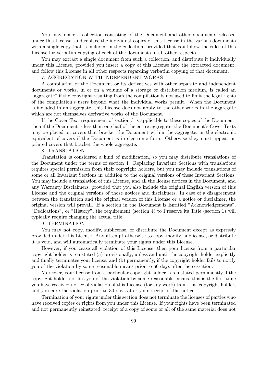You may make a collection consisting of the Document and other documents released under this License, and replace the individual copies of this License in the various documents with a single copy that is included in the collection, provided that you follow the rules of this License for verbatim copying of each of the documents in all other respects.

You may extract a single document from such a collection, and distribute it individually under this License, provided you insert a copy of this License into the extracted document, and follow this License in all other respects regarding verbatim copying of that document.

## 7. AGGREGATION WITH INDEPENDENT WORKS

A compilation of the Document or its derivatives with other separate and independent documents or works, in or on a volume of a storage or distribution medium, is called an "aggregate" if the copyright resulting from the compilation is not used to limit the legal rights of the compilation's users beyond what the individual works permit. When the Document is included in an aggregate, this License does not apply to the other works in the aggregate which are not themselves derivative works of the Document.

If the Cover Text requirement of section 3 is applicable to these copies of the Document, then if the Document is less than one half of the entire aggregate, the Document's Cover Texts may be placed on covers that bracket the Document within the aggregate, or the electronic equivalent of covers if the Document is in electronic form. Otherwise they must appear on printed covers that bracket the whole aggregate.

## 8. TRANSLATION

Translation is considered a kind of modification, so you may distribute translations of the Document under the terms of section 4. Replacing Invariant Sections with translations requires special permission from their copyright holders, but you may include translations of some or all Invariant Sections in addition to the original versions of these Invariant Sections. You may include a translation of this License, and all the license notices in the Document, and any Warranty Disclaimers, provided that you also include the original English version of this License and the original versions of those notices and disclaimers. In case of a disagreement between the translation and the original version of this License or a notice or disclaimer, the original version will prevail. If a section in the Document is Entitled "Acknowledgements", "Dedications", or "History", the requirement (section 4) to Preserve its Title (section 1) will typically require changing the actual title.

### 9. TERMINATION

You may not copy, modify, sublicense, or distribute the Document except as expressly provided under this License. Any attempt otherwise to copy, modify, sublicense, or distribute it is void, and will automatically terminate your rights under this License.

However, if you cease all violation of this License, then your license from a particular copyright holder is reinstated (a) provisionally, unless and until the copyright holder explicitly and finally terminates your license, and (b) permanently, if the copyright holder fails to notify you of the violation by some reasonable means prior to 60 days after the cessation.

Moreover, your license from a particular copyright holder is reinstated permanently if the copyright holder notifies you of the violation by some reasonable means, this is the first time you have received notice of violation of this License (for any work) from that copyright holder, and you cure the violation prior to 30 days after your receipt of the notice.

Termination of your rights under this section does not terminate the licenses of parties who have received copies or rights from you under this License. If your rights have been terminated and not permanently reinstated, receipt of a copy of some or all of the same material does not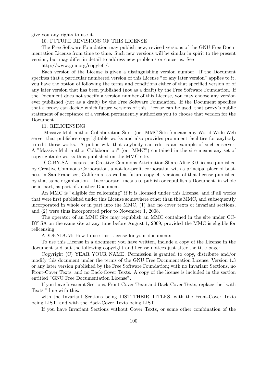give you any rights to use it.

## 10. FUTURE REVISIONS OF THIS LICENSE

The Free Software Foundation may publish new, revised versions of the GNU Free Documentation License from time to time. Such new versions will be similar in spirit to the present version, but may differ in detail to address new problems or concerns. See

http://www.gnu.org/copyleft/.

Each version of the License is given a distinguishing version number. If the Document specifies that a particular numbered version of this License "or any later version" applies to it, you have the option of following the terms and conditions either of that specified version or of any later version that has been published (not as a draft) by the Free Software Foundation. If the Document does not specify a version number of this License, you may choose any version ever published (not as a draft) by the Free Software Foundation. If the Document specifies that a proxy can decide which future versions of this License can be used, that proxy's public statement of acceptance of a version permanently authorizes you to choose that version for the Document.

### 11. RELICENSING

"Massive Multiauthor Collaboration Site" (or "MMC Site") means any World Wide Web server that publishes copyrightable works and also provides prominent facilities for anybody to edit those works. A public wiki that anybody can edit is an example of such a server. A "Massive Multiauthor Collaboration" (or "MMC") contained in the site means any set of copyrightable works thus published on the MMC site.

"CC-BY-SA" means the Creative Commons Attribution-Share Alike 3.0 license published by Creative Commons Corporation, a not-for-profit corporation with a principal place of business in San Francisco, California, as well as future copyleft versions of that license published by that same organization. "Incorporate" means to publish or republish a Document, in whole or in part, as part of another Document.

An MMC is "eligible for relicensing" if it is licensed under this License, and if all works that were first published under this License somewhere other than this MMC, and subsequently incorporated in whole or in part into the MMC, (1) had no cover texts or invariant sections, and (2) were thus incorporated prior to November 1, 2008.

The operator of an MMC Site may republish an MMC contained in the site under CC-BY-SA on the same site at any time before August 1, 2009, provided the MMC is eligible for relicensing.

ADDENDUM: How to use this License for your documents

To use this License in a document you have written, include a copy of the License in the document and put the following copyright and license notices just after the title page:

Copyright (C) YEAR YOUR NAME. Permission is granted to copy, distribute and/or modify this document under the terms of the GNU Free Documentation License, Version 1.3 or any later version published by the Free Software Foundation; with no Invariant Sections, no Front-Cover Texts, and no Back-Cover Texts. A copy of the license is included in the section entitled "GNU Free Documentation License".

If you have Invariant Sections, Front-Cover Texts and Back-Cover Texts, replace the "with Texts." line with this:

with the Invariant Sections being LIST THEIR TITLES, with the Front-Cover Texts being LIST, and with the Back-Cover Texts being LIST.

If you have Invariant Sections without Cover Texts, or some other combination of the